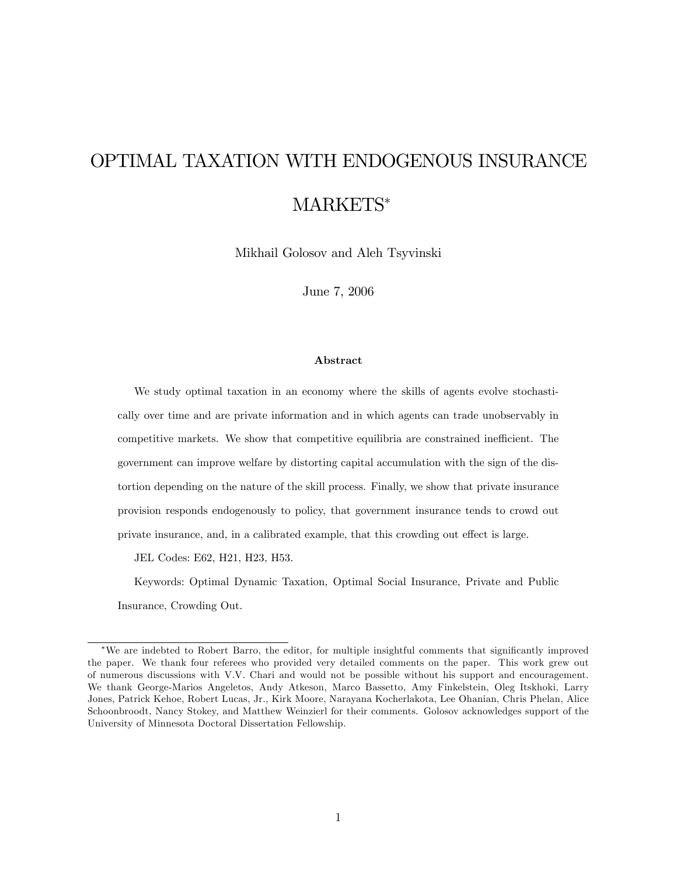# OPTIMAL TAXATION WITH ENDOGENOUS INSURANCE MARKETS\*

Mikhail Golosov and Aleh Tsyvinski

June 7, 2006

#### Abstract

We study optimal taxation in an economy where the skills of agents evolve stochastically over time and are private information and in which agents can trade unobservably in competitive markets. We show that competitive equilibria are constrained inefficient. The government can improve welfare by distorting capital accumulation with the sign of the distortion depending on the nature of the skill process. Finally, we show that private insurance provision responds endogenously to policy, that government insurance tends to crowd out private insurance, and, in a calibrated example, that this crowding out effect is large.

JEL Codes: E62, H21, H23, H53.

Keywords: Optimal Dynamic Taxation, Optimal Social Insurance, Private and Public Insurance, Crowding Out.

<sup>\*</sup>We are indebted to Robert Barro, the editor, for multiple insightful comments that significantly improved the paper. We thank four referees who provided very detailed comments on the paper. This work grew out of numerous discussions with V.V. Chari and would not be possible without his support and encouragement. We thank George-Marios Angeletos, Andy Atkeson, Marco Bassetto, Amy Finkelstein, Oleg Itskhoki, Larry Jones, Patrick Kehoe, Robert Lucas, Jr., Kirk Moore, Narayana Kocherlakota, Lee Ohanian, Chris Phelan, Alice Schoonbroodt, Nancy Stokey, and Matthew Weinzierl for their comments. Golosov acknowledges support of the University of Minnesota Doctoral Dissertation Fellowship.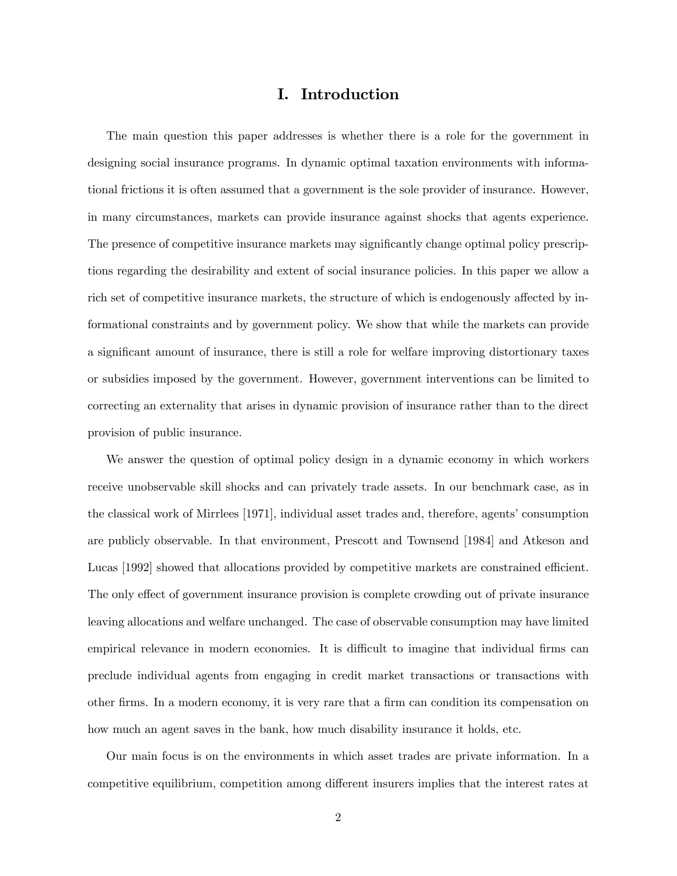## I. Introduction

The main question this paper addresses is whether there is a role for the government in designing social insurance programs. In dynamic optimal taxation environments with informational frictions it is often assumed that a government is the sole provider of insurance. However, in many circumstances, markets can provide insurance against shocks that agents experience. The presence of competitive insurance markets may significantly change optimal policy prescriptions regarding the desirability and extent of social insurance policies. In this paper we allow a rich set of competitive insurance markets, the structure of which is endogenously affected by informational constraints and by government policy. We show that while the markets can provide a significant amount of insurance, there is still a role for welfare improving distortionary taxes or subsidies imposed by the government. However, government interventions can be limited to correcting an externality that arises in dynamic provision of insurance rather than to the direct provision of public insurance.

We answer the question of optimal policy design in a dynamic economy in which workers receive unobservable skill shocks and can privately trade assets. In our benchmark case, as in the classical work of Mirrlees [1971], individual asset trades and, therefore, agents' consumption are publicly observable. In that environment, Prescott and Townsend [1984] and Atkeson and Lucas [1992] showed that allocations provided by competitive markets are constrained efficient. The only effect of government insurance provision is complete crowding out of private insurance leaving allocations and welfare unchanged. The case of observable consumption may have limited empirical relevance in modern economies. It is difficult to imagine that individual firms can preclude individual agents from engaging in credit market transactions or transactions with other firms. In a modern economy, it is very rare that a firm can condition its compensation on how much an agent saves in the bank, how much disability insurance it holds, etc.

Our main focus is on the environments in which asset trades are private information. In a competitive equilibrium, competition among different insurers implies that the interest rates at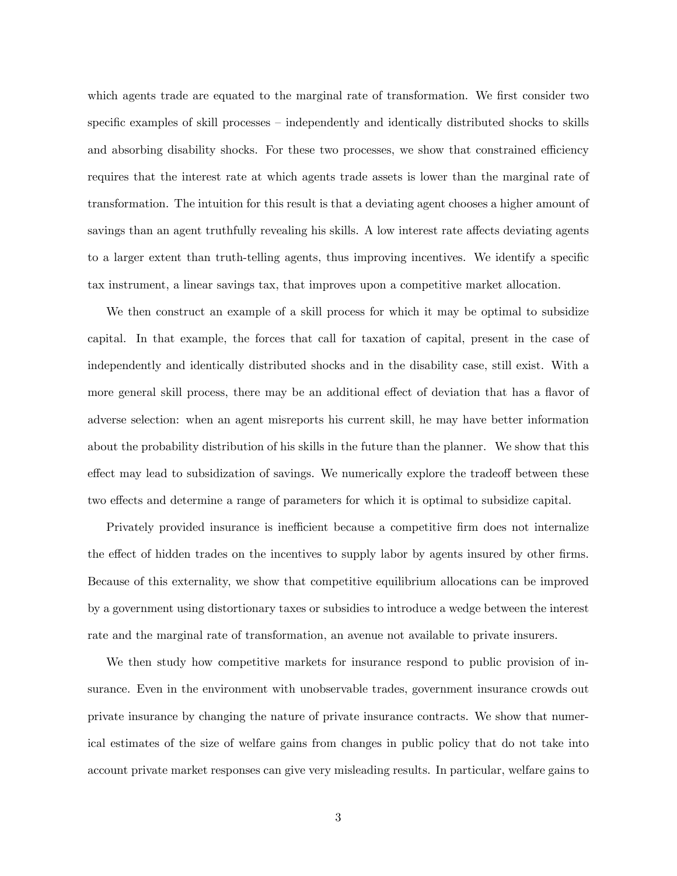which agents trade are equated to the marginal rate of transformation. We first consider two specific examples of skill processes  $\overline{\phantom{a}}$  independently and identically distributed shocks to skills and absorbing disability shocks. For these two processes, we show that constrained efficiency requires that the interest rate at which agents trade assets is lower than the marginal rate of transformation. The intuition for this result is that a deviating agent chooses a higher amount of savings than an agent truthfully revealing his skills. A low interest rate affects deviating agents to a larger extent than truth-telling agents, thus improving incentives. We identify a specific tax instrument, a linear savings tax, that improves upon a competitive market allocation.

We then construct an example of a skill process for which it may be optimal to subsidize capital. In that example, the forces that call for taxation of capital, present in the case of independently and identically distributed shocks and in the disability case, still exist. With a more general skill process, there may be an additional effect of deviation that has a flavor of adverse selection: when an agent misreports his current skill, he may have better information about the probability distribution of his skills in the future than the planner. We show that this effect may lead to subsidization of savings. We numerically explore the tradeoff between these two effects and determine a range of parameters for which it is optimal to subsidize capital.

Privately provided insurance is inefficient because a competitive firm does not internalize the effect of hidden trades on the incentives to supply labor by agents insured by other firms. Because of this externality, we show that competitive equilibrium allocations can be improved by a government using distortionary taxes or subsidies to introduce a wedge between the interest rate and the marginal rate of transformation, an avenue not available to private insurers.

We then study how competitive markets for insurance respond to public provision of insurance. Even in the environment with unobservable trades, government insurance crowds out private insurance by changing the nature of private insurance contracts. We show that numerical estimates of the size of welfare gains from changes in public policy that do not take into account private market responses can give very misleading results. In particular, welfare gains to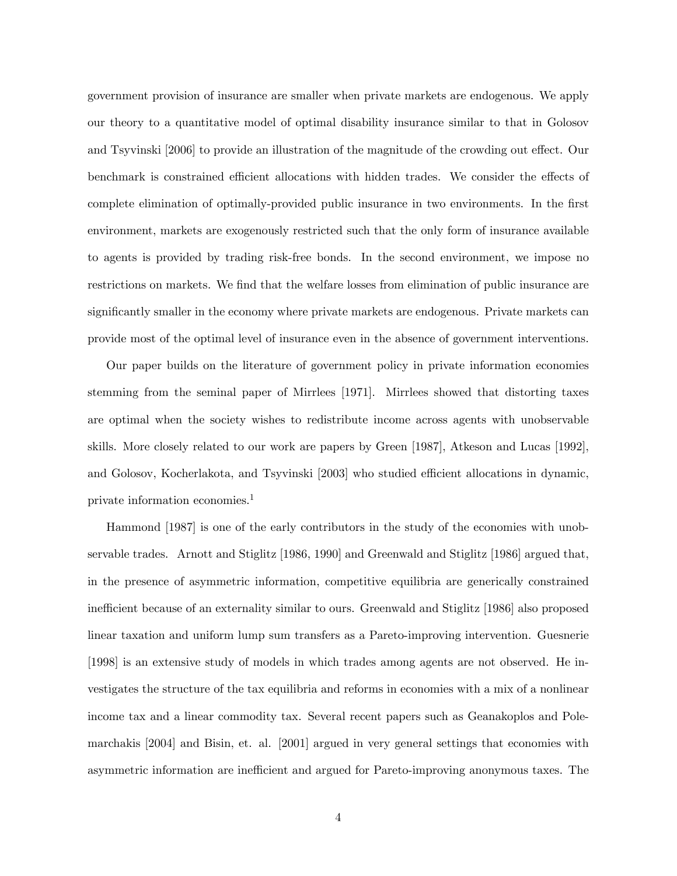government provision of insurance are smaller when private markets are endogenous. We apply our theory to a quantitative model of optimal disability insurance similar to that in Golosov and Tsyvinski [2006] to provide an illustration of the magnitude of the crowding out effect. Our benchmark is constrained efficient allocations with hidden trades. We consider the effects of complete elimination of optimally-provided public insurance in two environments. In the first environment, markets are exogenously restricted such that the only form of insurance available to agents is provided by trading risk-free bonds. In the second environment, we impose no restrictions on markets. We find that the welfare losses from elimination of public insurance are significantly smaller in the economy where private markets are endogenous. Private markets can provide most of the optimal level of insurance even in the absence of government interventions.

Our paper builds on the literature of government policy in private information economies stemming from the seminal paper of Mirrlees [1971]. Mirrlees showed that distorting taxes are optimal when the society wishes to redistribute income across agents with unobservable skills. More closely related to our work are papers by Green [1987], Atkeson and Lucas [1992], and Golosov, Kocherlakota, and Tsyvinski [2003] who studied efficient allocations in dynamic, private information economies.<sup>1</sup>

Hammond [1987] is one of the early contributors in the study of the economies with unobservable trades. Arnott and Stiglitz [1986, 1990] and Greenwald and Stiglitz [1986] argued that, in the presence of asymmetric information, competitive equilibria are generically constrained inefficient because of an externality similar to ours. Greenwald and Stiglitz [1986] also proposed linear taxation and uniform lump sum transfers as a Pareto-improving intervention. Guesnerie [1998] is an extensive study of models in which trades among agents are not observed. He investigates the structure of the tax equilibria and reforms in economies with a mix of a nonlinear income tax and a linear commodity tax. Several recent papers such as Geanakoplos and Polemarchakis [2004] and Bisin, et. al. [2001] argued in very general settings that economies with asymmetric information are inefficient and argued for Pareto-improving anonymous taxes. The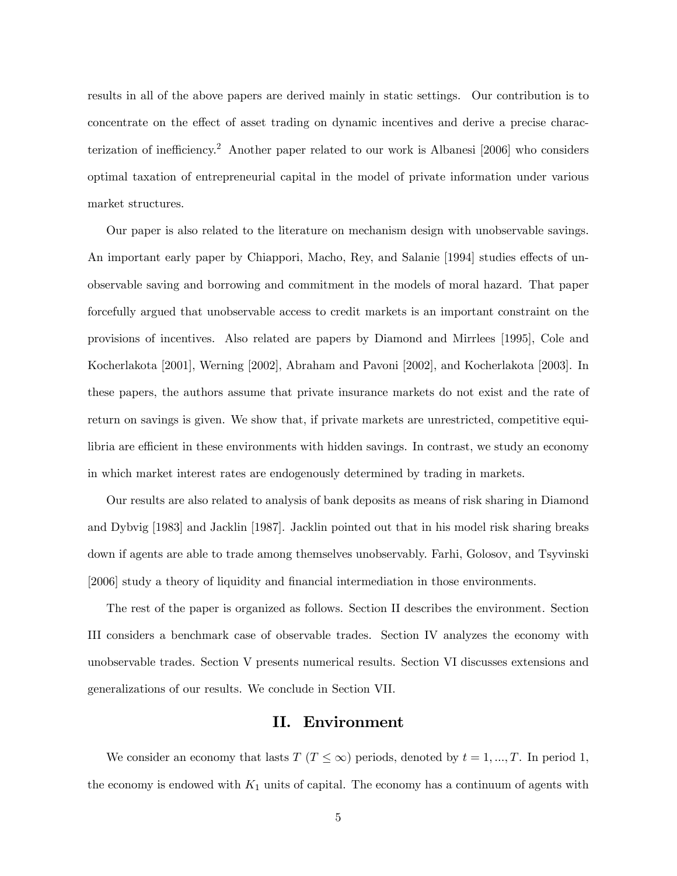results in all of the above papers are derived mainly in static settings. Our contribution is to concentrate on the effect of asset trading on dynamic incentives and derive a precise characterization of inefficiency.<sup>2</sup> Another paper related to our work is Albanesi [2006] who considers optimal taxation of entrepreneurial capital in the model of private information under various market structures.

Our paper is also related to the literature on mechanism design with unobservable savings. An important early paper by Chiappori, Macho, Rey, and Salanie [1994] studies effects of unobservable saving and borrowing and commitment in the models of moral hazard. That paper forcefully argued that unobservable access to credit markets is an important constraint on the provisions of incentives. Also related are papers by Diamond and Mirrlees [1995], Cole and Kocherlakota [2001], Werning [2002], Abraham and Pavoni [2002], and Kocherlakota [2003]. In these papers, the authors assume that private insurance markets do not exist and the rate of return on savings is given. We show that, if private markets are unrestricted, competitive equilibria are efficient in these environments with hidden savings. In contrast, we study an economy in which market interest rates are endogenously determined by trading in markets.

Our results are also related to analysis of bank deposits as means of risk sharing in Diamond and Dybvig [1983] and Jacklin [1987]. Jacklin pointed out that in his model risk sharing breaks down if agents are able to trade among themselves unobservably. Farhi, Golosov, and Tsyvinski [2006] study a theory of liquidity and Önancial intermediation in those environments.

The rest of the paper is organized as follows. Section II describes the environment. Section III considers a benchmark case of observable trades. Section IV analyzes the economy with unobservable trades. Section V presents numerical results. Section VI discusses extensions and generalizations of our results. We conclude in Section VII.

## II. Environment

We consider an economy that lasts  $T$   $(T \leq \infty)$  periods, denoted by  $t = 1, ..., T$ . In period 1, the economy is endowed with  $K_1$  units of capital. The economy has a continuum of agents with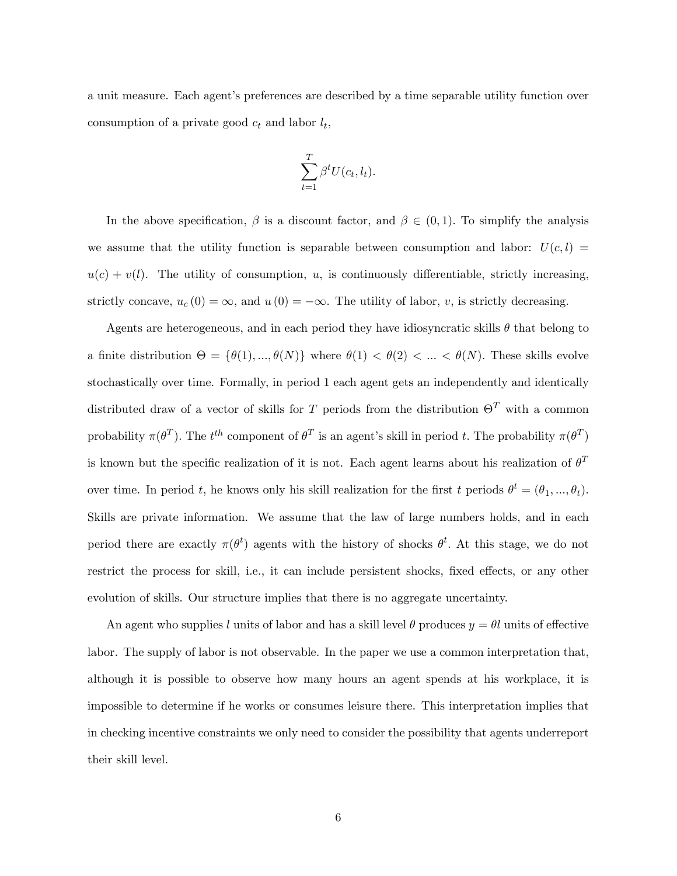a unit measure. Each agent's preferences are described by a time separable utility function over consumption of a private good  $c_t$  and labor  $l_t$ ,

$$
\sum_{t=1}^T \beta^t U(c_t, l_t).
$$

In the above specification,  $\beta$  is a discount factor, and  $\beta \in (0,1)$ . To simplify the analysis we assume that the utility function is separable between consumption and labor:  $U(c, l)$  $u(c) + v(l)$ . The utility of consumption, u, is continuously differentiable, strictly increasing, strictly concave,  $u_c(0) = \infty$ , and  $u(0) = -\infty$ . The utility of labor, v, is strictly decreasing.

Agents are heterogeneous, and in each period they have idiosyncratic skills  $\theta$  that belong to a finite distribution  $\Theta = \{\theta(1), ..., \theta(N)\}\$  where  $\theta(1) < \theta(2) < ... < \theta(N)$ . These skills evolve stochastically over time. Formally, in period 1 each agent gets an independently and identically distributed draw of a vector of skills for T periods from the distribution  $\Theta^T$  with a common probability  $\pi(\theta^T)$ . The  $t^{th}$  component of  $\theta^T$  is an agent's skill in period t. The probability  $\pi(\theta^T)$ is known but the specific realization of it is not. Each agent learns about his realization of  $\theta^T$ over time. In period t, he knows only his skill realization for the first t periods  $\theta^t = (\theta_1, ..., \theta_t)$ . Skills are private information. We assume that the law of large numbers holds, and in each period there are exactly  $\pi(\theta^t)$  agents with the history of shocks  $\theta^t$ . At this stage, we do not restrict the process for skill, i.e., it can include persistent shocks, fixed effects, or any other evolution of skills. Our structure implies that there is no aggregate uncertainty.

An agent who supplies l units of labor and has a skill level  $\theta$  produces  $y = \theta l$  units of effective labor. The supply of labor is not observable. In the paper we use a common interpretation that, although it is possible to observe how many hours an agent spends at his workplace, it is impossible to determine if he works or consumes leisure there. This interpretation implies that in checking incentive constraints we only need to consider the possibility that agents underreport their skill level.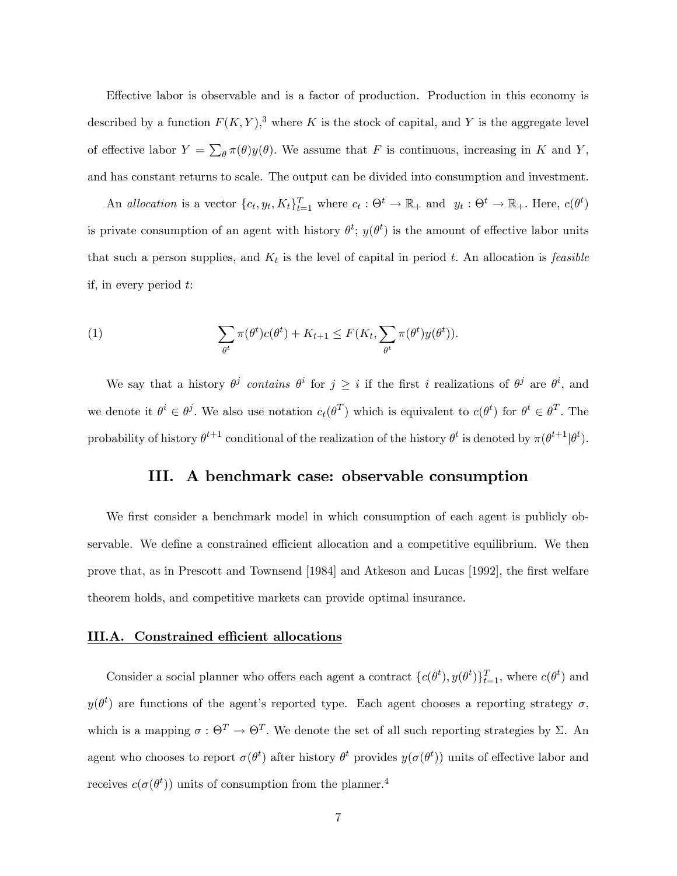Effective labor is observable and is a factor of production. Production in this economy is described by a function  $F(K, Y),$ <sup>3</sup> where K is the stock of capital, and Y is the aggregate level of effective labor  $Y = \sum_{\theta} \pi(\theta)y(\theta)$ . We assume that F is continuous, increasing in K and Y, and has constant returns to scale. The output can be divided into consumption and investment.

An allocation is a vector  $\{c_t, y_t, K_t\}_{t=1}^T$  where  $c_t : \Theta^t \to \mathbb{R}_+$  and  $y_t : \Theta^t \to \mathbb{R}_+$ . Here,  $c(\theta^t)$ is private consumption of an agent with history  $\theta^t$ ;  $y(\theta^t)$  is the amount of effective labor units that such a person supplies, and  $K_t$  is the level of capital in period t. An allocation is *feasible* if, in every period t:

(1) 
$$
\sum_{\theta^t} \pi(\theta^t) c(\theta^t) + K_{t+1} \leq F(K_t, \sum_{\theta^t} \pi(\theta^t) y(\theta^t)).
$$

We say that a history  $\theta^j$  contains  $\theta^i$  for  $j \geq i$  if the first i realizations of  $\theta^j$  are  $\theta^i$ , and we denote it  $\theta^i \in \theta^j$ . We also use notation  $c_t(\theta^T)$  which is equivalent to  $c(\theta^t)$  for  $\theta^t \in \theta^T$ . The probability of history  $\theta^{t+1}$  conditional of the realization of the history  $\theta^t$  is denoted by  $\pi(\theta^{t+1}|\theta^t)$ .

## III. A benchmark case: observable consumption

We first consider a benchmark model in which consumption of each agent is publicly observable. We define a constrained efficient allocation and a competitive equilibrium. We then prove that, as in Prescott and Townsend [1984] and Atkeson and Lucas [1992], the first welfare theorem holds, and competitive markets can provide optimal insurance.

#### III.A. Constrained efficient allocations

Consider a social planner who offers each agent a contract  $\{c(\theta^t), y(\theta^t)\}_{t=1}^T$ , where  $c(\theta^t)$  and  $y(\theta^t)$  are functions of the agent's reported type. Each agent chooses a reporting strategy  $\sigma$ , which is a mapping  $\sigma : \Theta^T \to \Theta^T$ . We denote the set of all such reporting strategies by  $\Sigma$ . An agent who chooses to report  $\sigma(\theta^t)$  after history  $\theta^t$  provides  $y(\sigma(\theta^t))$  units of effective labor and receives  $c(\sigma(\theta^t))$  units of consumption from the planner.<sup>4</sup>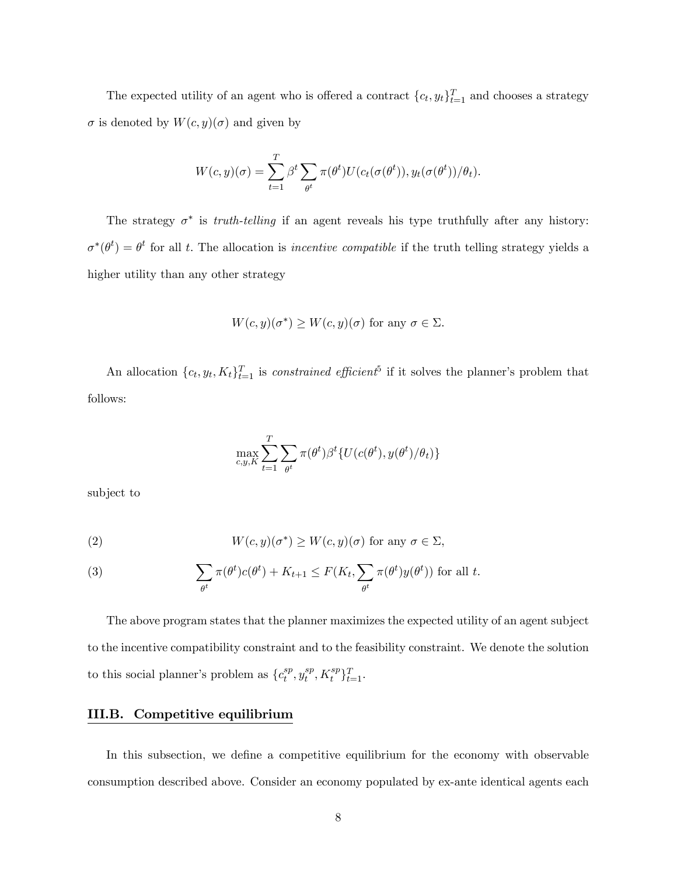The expected utility of an agent who is offered a contract  $\{c_t, y_t\}_{t=1}^T$  and chooses a strategy  $\sigma$  is denoted by  $W(c, y)(\sigma)$  and given by

$$
W(c, y)(\sigma) = \sum_{t=1}^{T} \beta^t \sum_{\theta^t} \pi(\theta^t) U(c_t(\sigma(\theta^t)), y_t(\sigma(\theta^t))/\theta_t).
$$

The strategy  $\sigma^*$  is *truth-telling* if an agent reveals his type truthfully after any history:  $\sigma^*(\theta^t) = \theta^t$  for all t. The allocation is *incentive compatible* if the truth telling strategy yields a higher utility than any other strategy

$$
W(c, y)(\sigma^*) \ge W(c, y)(\sigma)
$$
 for any  $\sigma \in \Sigma$ .

An allocation  $\{c_t, y_t, K_t\}_{t=1}^T$  is *constrained efficient*<sup>5</sup> if it solves the planner's problem that follows:

$$
\max_{c,y,K} \sum_{t=1}^{T} \sum_{\theta^t} \pi(\theta^t) \beta^t \{ U(c(\theta^t), y(\theta^t) / \theta_t) \}
$$

subject to

(2) 
$$
W(c, y)(\sigma^*) \ge W(c, y)(\sigma)
$$
 for any  $\sigma \in \Sigma$ ,

(3) 
$$
\sum_{\theta^t} \pi(\theta^t)c(\theta^t) + K_{t+1} \leq F(K_t, \sum_{\theta^t} \pi(\theta^t)y(\theta^t))
$$
 for all  $t$ .

The above program states that the planner maximizes the expected utility of an agent subject to the incentive compatibility constraint and to the feasibility constraint. We denote the solution to this social planner's problem as  $\{c_t^{sp}$  $_t^{sp}, y_t^{sp}$  $_{t}^{sp}, K_{t}^{sp} \}_{t=1}^{T}.$ 

## III.B. Competitive equilibrium

In this subsection, we define a competitive equilibrium for the economy with observable consumption described above. Consider an economy populated by ex-ante identical agents each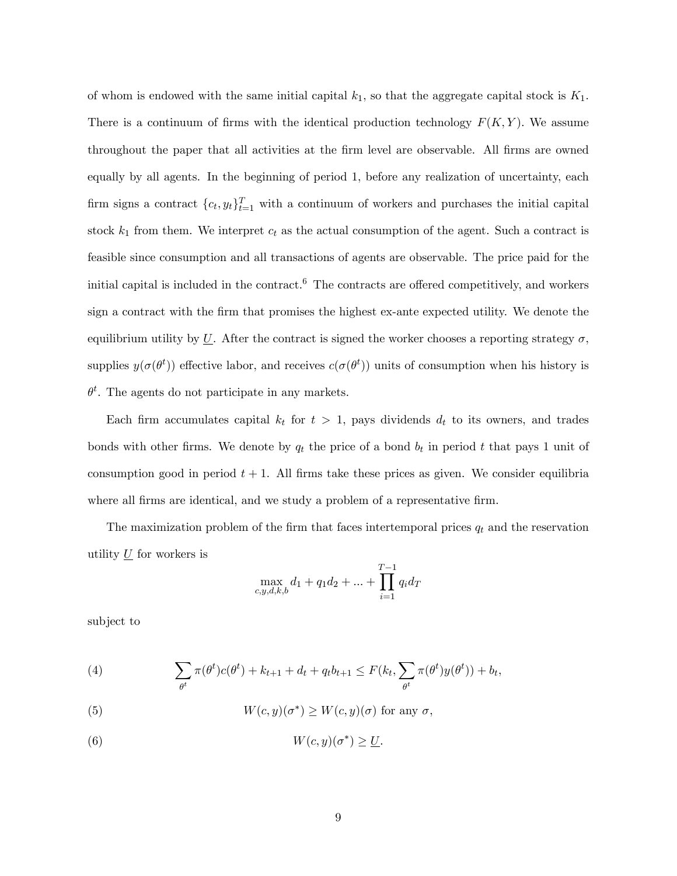of whom is endowed with the same initial capital  $k_1$ , so that the aggregate capital stock is  $K_1$ . There is a continuum of firms with the identical production technology  $F(K, Y)$ . We assume throughout the paper that all activities at the firm level are observable. All firms are owned equally by all agents. In the beginning of period 1; before any realization of uncertainty, each firm signs a contract  $\{c_t, y_t\}_{t=1}^T$  with a continuum of workers and purchases the initial capital stock  $k_1$  from them. We interpret  $c_t$  as the actual consumption of the agent. Such a contract is feasible since consumption and all transactions of agents are observable. The price paid for the initial capital is included in the contract.<sup>6</sup> The contracts are offered competitively, and workers sign a contract with the Örm that promises the highest ex-ante expected utility. We denote the equilibrium utility by U. After the contract is signed the worker chooses a reporting strategy  $\sigma$ , supplies  $y(\sigma(\theta^t))$  effective labor, and receives  $c(\sigma(\theta^t))$  units of consumption when his history is  $\theta^t$ . The agents do not participate in any markets.

Each firm accumulates capital  $k_t$  for  $t > 1$ , pays dividends  $d_t$  to its owners, and trades bonds with other firms. We denote by  $q_t$  the price of a bond  $b_t$  in period t that pays 1 unit of consumption good in period  $t + 1$ . All firms take these prices as given. We consider equilibria where all firms are identical, and we study a problem of a representative firm.

The maximization problem of the firm that faces intertemporal prices  $q_t$  and the reservation utility  $U$  for workers is

$$
\max_{c,y,d,k,b} d_1 + q_1 d_2 + \dots + \prod_{i=1}^{T-1} q_i d_T
$$

subject to

(4) 
$$
\sum_{\theta^t} \pi(\theta^t)c(\theta^t) + k_{t+1} + d_t + q_t b_{t+1} \leq F(k_t, \sum_{\theta^t} \pi(\theta^t)y(\theta^t)) + b_t,
$$

(5) 
$$
W(c, y)(\sigma^*) \ge W(c, y)(\sigma)
$$
 for any  $\sigma$ ,

(6) 
$$
W(c, y)(\sigma^*) \geq \underline{U}.
$$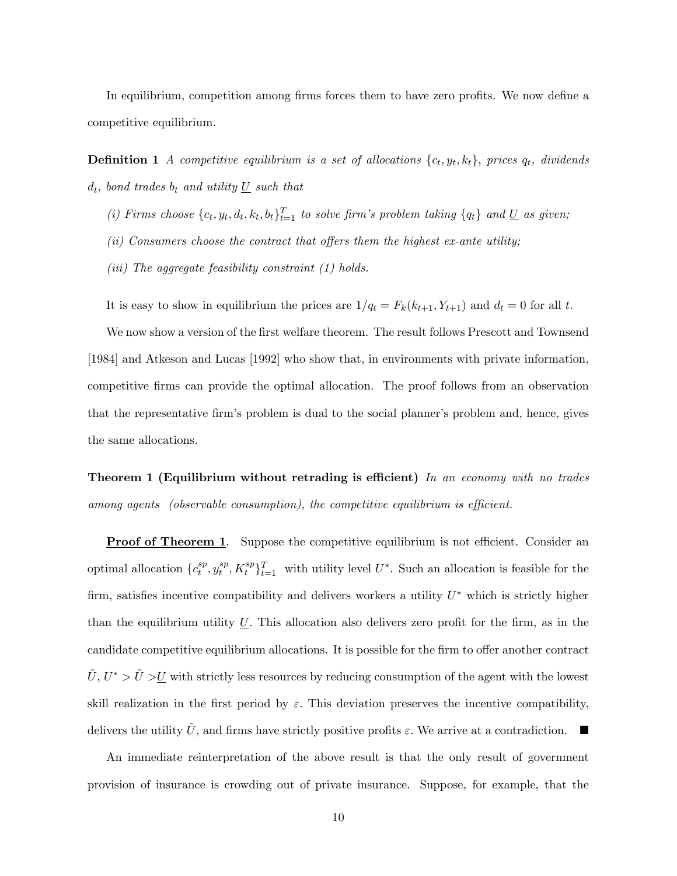In equilibrium, competition among firms forces them to have zero profits. We now define a competitive equilibrium.

**Definition 1** A competitive equilibrium is a set of allocations  $\{c_t, y_t, k_t\}$ , prices  $q_t$ , dividends  $d_t$ , bond trades  $b_t$  and utility <u>U</u> such that

- (i) Firms choose  $\{c_t, y_t, d_t, k_t, b_t\}_{t=1}^T$  to solve firm's problem taking  $\{q_t\}$  and  $\underline{U}$  as given;
- (ii) Consumers choose the contract that offers them the highest ex-ante utility;
- (iii) The aggregate feasibility constraint  $(1)$  holds.

It is easy to show in equilibrium the prices are  $1/q_t = F_k(k_{t+1}, Y_{t+1})$  and  $d_t = 0$  for all t.

We now show a version of the first welfare theorem. The result follows Prescott and Townsend [1984] and Atkeson and Lucas [1992] who show that, in environments with private information, competitive firms can provide the optimal allocation. The proof follows from an observation that the representative firm's problem is dual to the social planner's problem and, hence, gives the same allocations.

Theorem 1 (Equilibrium without retrading is efficient) In an economy with no trades among agents (observable consumption), the competitive equilibrium is efficient.

**Proof of Theorem 1.** Suppose the competitive equilibrium is not efficient. Consider an optimal allocation  $\{c_t^{sp}$  $_i^{sp}, y_t^{sp}$  $t^{\{sp\}}, K_t^{\{sp\}}_{t=1}^T$  with utility level  $U^*$ . Such an allocation is feasible for the firm, satisfies incentive compatibility and delivers workers a utility  $U^*$  which is strictly higher than the equilibrium utility  $U$ . This allocation also delivers zero profit for the firm, as in the candidate competitive equilibrium allocations. It is possible for the firm to offer another contract  $\tilde{U}, U^* > \tilde{U} > U$  with strictly less resources by reducing consumption of the agent with the lowest skill realization in the first period by  $\varepsilon$ . This deviation preserves the incentive compatibility, delivers the utility  $\tilde{U}$ , and firms have strictly positive profits  $\varepsilon$ . We arrive at a contradiction.

An immediate reinterpretation of the above result is that the only result of government provision of insurance is crowding out of private insurance. Suppose, for example, that the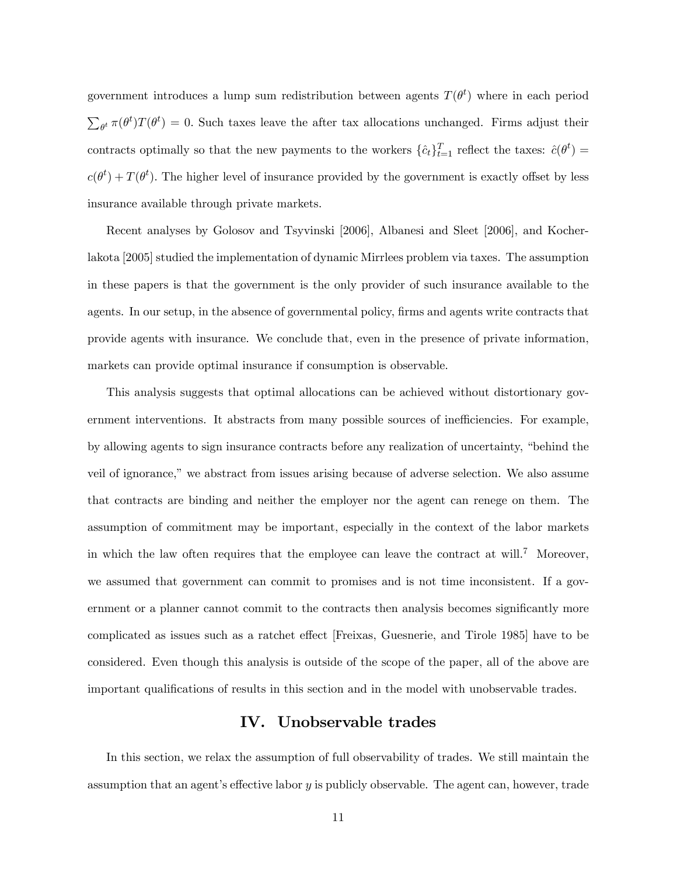government introduces a lump sum redistribution between agents  $T(\theta^t)$  where in each period  $\sum_{\theta^t} \pi(\theta^t) T(\theta^t) = 0$ . Such taxes leave the after tax allocations unchanged. Firms adjust their contracts optimally so that the new payments to the workers  $\{\hat{c}_t\}_{t=1}^T$  reflect the taxes:  $\hat{c}(\theta^t)$  =  $c(\theta^t) + T(\theta^t)$ . The higher level of insurance provided by the government is exactly offset by less insurance available through private markets.

Recent analyses by Golosov and Tsyvinski [2006], Albanesi and Sleet [2006], and Kocherlakota [2005] studied the implementation of dynamic Mirrlees problem via taxes. The assumption in these papers is that the government is the only provider of such insurance available to the agents. In our setup, in the absence of governmental policy, Örms and agents write contracts that provide agents with insurance. We conclude that, even in the presence of private information, markets can provide optimal insurance if consumption is observable.

This analysis suggests that optimal allocations can be achieved without distortionary government interventions. It abstracts from many possible sources of inefficiencies. For example, by allowing agents to sign insurance contracts before any realization of uncertainty, "behind the veil of ignorance," we abstract from issues arising because of adverse selection. We also assume that contracts are binding and neither the employer nor the agent can renege on them. The assumption of commitment may be important, especially in the context of the labor markets in which the law often requires that the employee can leave the contract at will.<sup>7</sup> Moreover, we assumed that government can commit to promises and is not time inconsistent. If a government or a planner cannot commit to the contracts then analysis becomes significantly more complicated as issues such as a ratchet effect [Freixas, Guesnerie, and Tirole 1985] have to be considered. Even though this analysis is outside of the scope of the paper, all of the above are important qualifications of results in this section and in the model with unobservable trades.

## IV. Unobservable trades

In this section, we relax the assumption of full observability of trades. We still maintain the assumption that an agent's effective labor  $y$  is publicly observable. The agent can, however, trade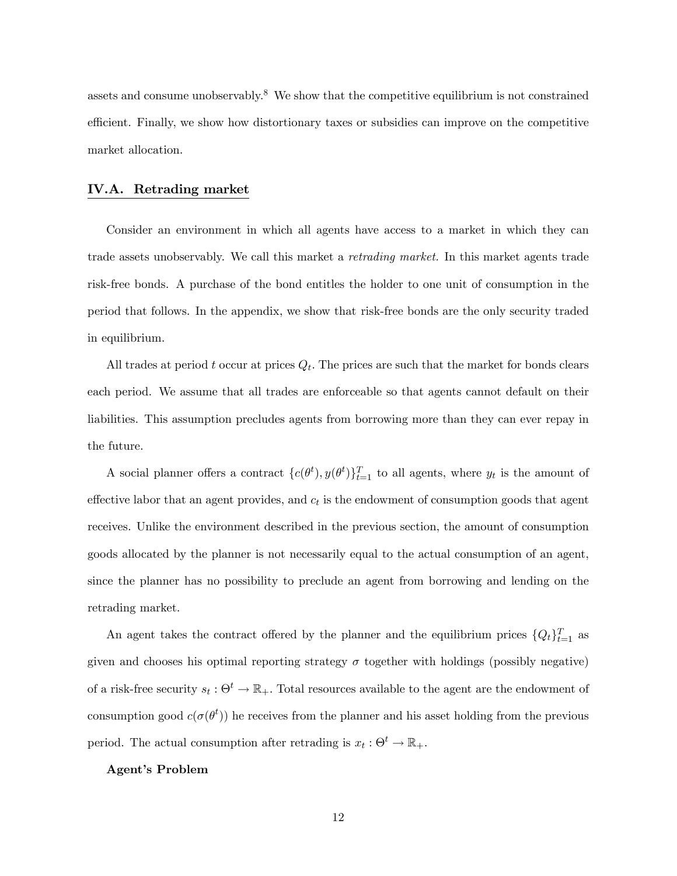assets and consume unobservably.<sup>8</sup> We show that the competitive equilibrium is not constrained efficient. Finally, we show how distortionary taxes or subsidies can improve on the competitive market allocation.

#### IV.A. Retrading market

Consider an environment in which all agents have access to a market in which they can trade assets unobservably. We call this market a *retrading market*. In this market agents trade risk-free bonds. A purchase of the bond entitles the holder to one unit of consumption in the period that follows. In the appendix, we show that risk-free bonds are the only security traded in equilibrium.

All trades at period t occur at prices  $Q_t$ . The prices are such that the market for bonds clears each period. We assume that all trades are enforceable so that agents cannot default on their liabilities. This assumption precludes agents from borrowing more than they can ever repay in the future.

A social planner offers a contract  $\{c(\theta^t), y(\theta^t)\}_{t=1}^T$  to all agents, where  $y_t$  is the amount of effective labor that an agent provides, and  $c_t$  is the endowment of consumption goods that agent receives. Unlike the environment described in the previous section, the amount of consumption goods allocated by the planner is not necessarily equal to the actual consumption of an agent, since the planner has no possibility to preclude an agent from borrowing and lending on the retrading market.

An agent takes the contract offered by the planner and the equilibrium prices  $\{Q_t\}_{t=1}^T$  as given and chooses his optimal reporting strategy  $\sigma$  together with holdings (possibly negative) of a risk-free security  $s_t: \Theta^t \to \mathbb{R}_+$ . Total resources available to the agent are the endowment of consumption good  $c(\sigma(\theta^t))$  he receives from the planner and his asset holding from the previous period. The actual consumption after retrading is  $x_t : \Theta^t \to \mathbb{R}_+$ .

#### Agent's Problem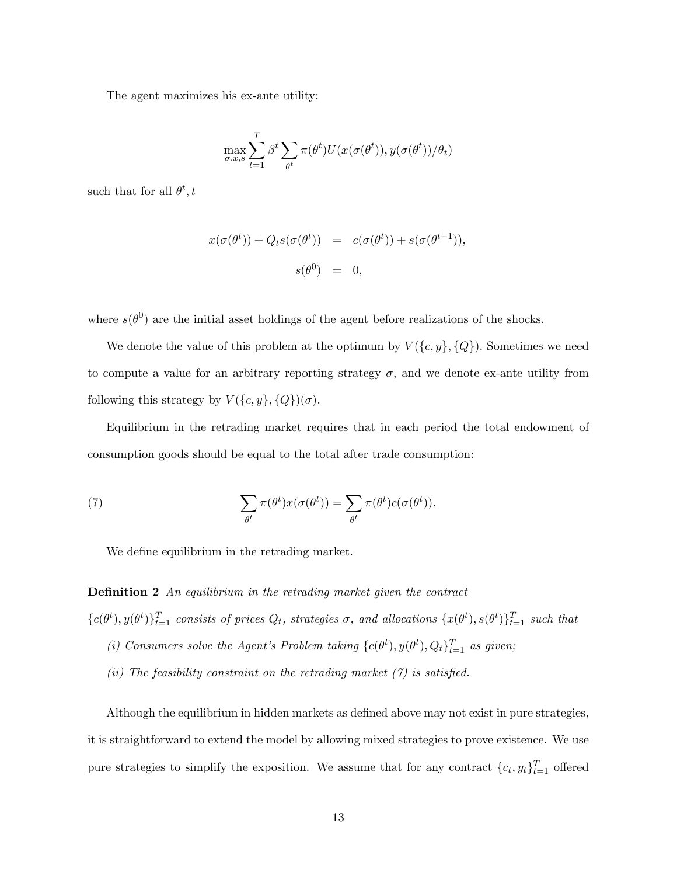The agent maximizes his ex-ante utility:

$$
\max_{\sigma, x, s} \sum_{t=1}^{T} \beta^t \sum_{\theta^t} \pi(\theta^t) U(x(\sigma(\theta^t)), y(\sigma(\theta^t)) / \theta_t)
$$

such that for all  $\theta^t, t$ 

$$
x(\sigma(\theta^t)) + Q_t s(\sigma(\theta^t)) = c(\sigma(\theta^t)) + s(\sigma(\theta^{t-1})),
$$
  

$$
s(\theta^0) = 0,
$$

where  $s(\theta^0)$  are the initial asset holdings of the agent before realizations of the shocks.

We denote the value of this problem at the optimum by  $V({c, y}, {Q})$ . Sometimes we need to compute a value for an arbitrary reporting strategy  $\sigma$ , and we denote ex-ante utility from following this strategy by  $V({c, y}, {Q})(\sigma)$ .

Equilibrium in the retrading market requires that in each period the total endowment of consumption goods should be equal to the total after trade consumption:

(7) 
$$
\sum_{\theta^t} \pi(\theta^t) x(\sigma(\theta^t)) = \sum_{\theta^t} \pi(\theta^t) c(\sigma(\theta^t)).
$$

We define equilibrium in the retrading market.

**Definition 2** An equilibrium in the retrading market given the contract

 $\{c(\theta^t), y(\theta^t)\}_{t=1}^T$  consists of prices  $Q_t$ , strategies  $\sigma$ , and allocations  $\{x(\theta^t), s(\theta^t)\}_{t=1}^T$  such that

- (i) Consumers solve the Agent's Problem taking  $\{c(\theta^t), y(\theta^t), Q_t\}_{t=1}^T$  as given;
- (ii) The feasibility constraint on the retrading market  $(7)$  is satisfied.

Although the equilibrium in hidden markets as defined above may not exist in pure strategies, it is straightforward to extend the model by allowing mixed strategies to prove existence. We use pure strategies to simplify the exposition. We assume that for any contract  $\{c_t, y_t\}_{t=1}^T$  offered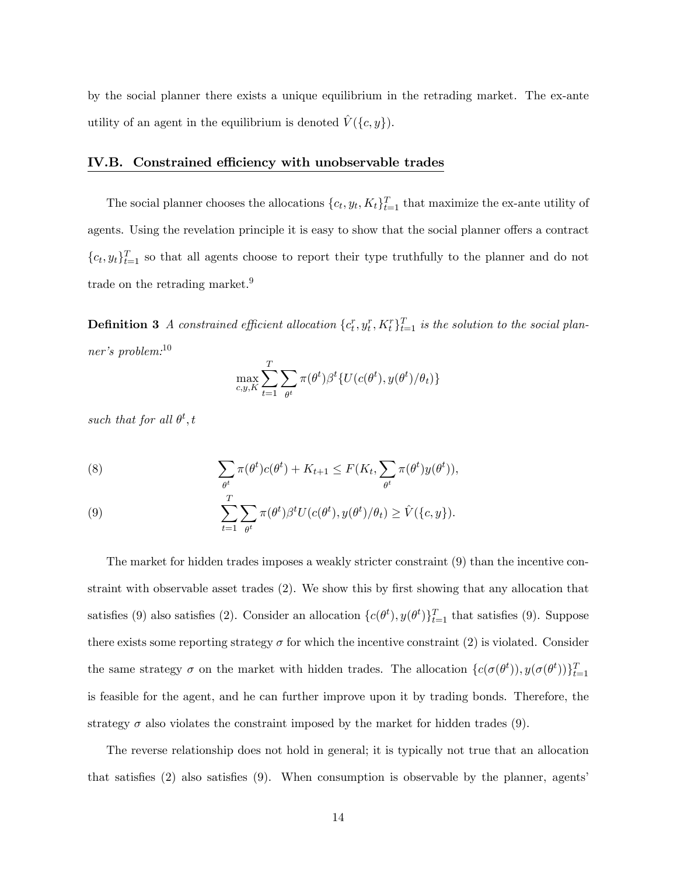by the social planner there exists a unique equilibrium in the retrading market. The ex-ante utility of an agent in the equilibrium is denoted  $\hat{V}(\lbrace c, y \rbrace)$ .

#### IV.B. Constrained efficiency with unobservable trades

The social planner chooses the allocations  $\{c_t, y_t, K_t\}_{t=1}^T$  that maximize the ex-ante utility of agents. Using the revelation principle it is easy to show that the social planner offers a contract  $\{c_t, y_t\}_{t=1}^T$  so that all agents choose to report their type truthfully to the planner and do not trade on the retrading market.<sup>9</sup>

**Definition 3** A constrained efficient allocation  $\{c_t^r, y_t^r, K_t^r\}_{t=1}^T$  is the solution to the social planner's problem: $^{10}$ 

$$
\max_{c,y,K} \sum_{t=1}^{T} \sum_{\theta^t} \pi(\theta^t) \beta^t \{ U(c(\theta^t), y(\theta^t) / \theta_t) \}
$$

such that for all  $\theta^t$ , t

(8) 
$$
\sum_{\theta^t} \pi(\theta^t)c(\theta^t) + K_{t+1} \leq F(K_t, \sum_{\theta^t} \pi(\theta^t)y(\theta^t)),
$$

(9) 
$$
\sum_{t=1}^{T} \sum_{\theta^t} \pi(\theta^t) \beta^t U(c(\theta^t), y(\theta^t) / \theta_t) \geq \hat{V}(\{c, y\}).
$$

The market for hidden trades imposes a weakly stricter constraint (9) than the incentive constraint with observable asset trades  $(2)$ . We show this by first showing that any allocation that satisfies (9) also satisfies (2). Consider an allocation  $\{c(\theta^t), y(\theta^t)\}_{t=1}^T$  that satisfies (9). Suppose there exists some reporting strategy  $\sigma$  for which the incentive constraint (2) is violated. Consider the same strategy  $\sigma$  on the market with hidden trades. The allocation  $\{c(\sigma(\theta^t)), y(\sigma(\theta^t))\}_{t=1}^T$ is feasible for the agent, and he can further improve upon it by trading bonds. Therefore, the strategy  $\sigma$  also violates the constraint imposed by the market for hidden trades (9).

The reverse relationship does not hold in general; it is typically not true that an allocation that satisfies  $(2)$  also satisfies  $(9)$ . When consumption is observable by the planner, agents<sup>†</sup>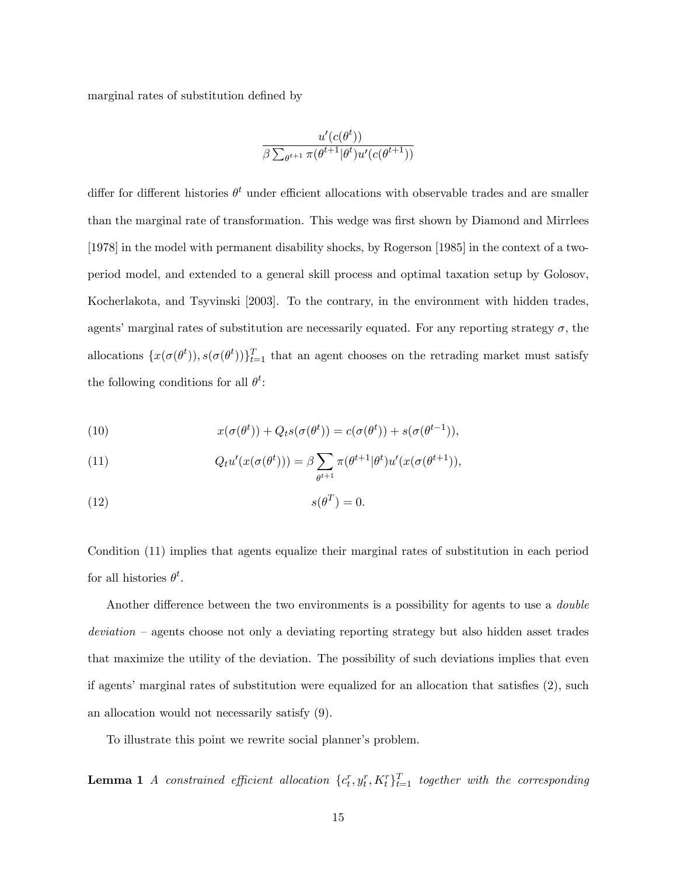marginal rates of substitution defined by

$$
\frac{u'(c(\theta^t))}{\beta \sum_{\theta^{t+1}} \pi(\theta^{t+1}|\theta^t) u'(c(\theta^{t+1}))}
$$

differ for different histories  $\theta^t$  under efficient allocations with observable trades and are smaller than the marginal rate of transformation. This wedge was first shown by Diamond and Mirrlees [1978] in the model with permanent disability shocks, by Rogerson [1985] in the context of a twoperiod model, and extended to a general skill process and optimal taxation setup by Golosov, Kocherlakota, and Tsyvinski [2003]. To the contrary, in the environment with hidden trades, agents' marginal rates of substitution are necessarily equated. For any reporting strategy  $\sigma$ , the allocations  $\{x(\sigma(\theta^t)), s(\sigma(\theta^t))\}_{t=1}^T$  that an agent chooses on the retrading market must satisfy the following conditions for all  $\theta^t$ :

(10) 
$$
x(\sigma(\theta^t)) + Q_t s(\sigma(\theta^t)) = c(\sigma(\theta^t)) + s(\sigma(\theta^{t-1})),
$$

(11) 
$$
Q_t u'(x(\sigma(\theta^t))) = \beta \sum_{\theta^{t+1}} \pi(\theta^{t+1}|\theta^t) u'(x(\sigma(\theta^{t+1}))),
$$

$$
(12) \t\t s(\theta^T) = 0.
$$

Condition (11) implies that agents equalize their marginal rates of substitution in each period for all histories  $\theta^t$ .

Another difference between the two environments is a possibility for agents to use a *double*  $deviation$  – agents choose not only a deviating reporting strategy but also hidden asset trades that maximize the utility of the deviation. The possibility of such deviations implies that even if agents' marginal rates of substitution were equalized for an allocation that satisfies  $(2)$ , such an allocation would not necessarily satisfy (9).

To illustrate this point we rewrite social planner's problem.

**Lemma 1** A constrained efficient allocation  $\{c_t^r, y_t^r, K_t^r\}_{t=1}^T$  together with the corresponding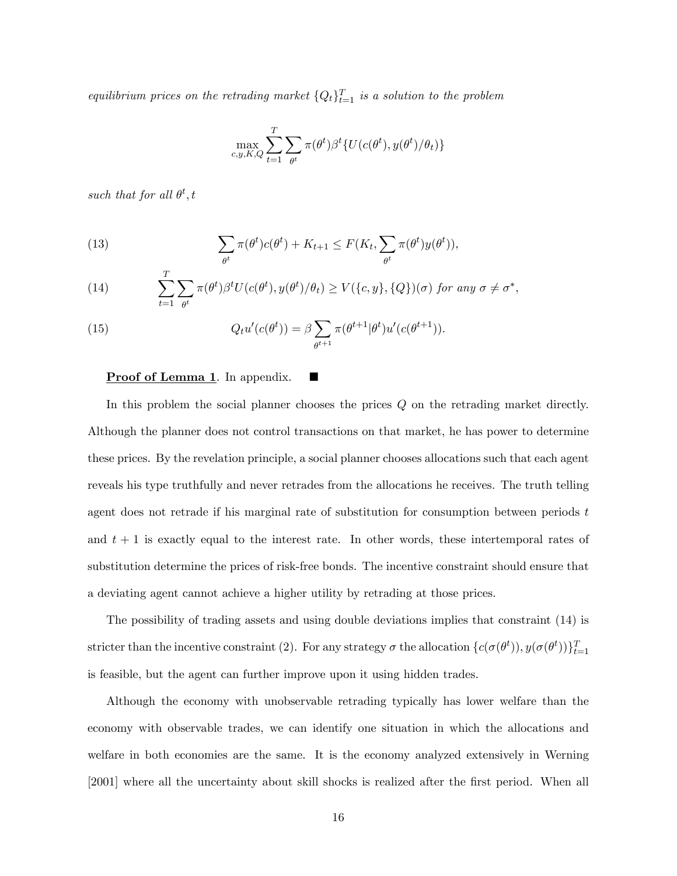equilibrium prices on the retrading market  ${Q_t}_{t=1}^T$  is a solution to the problem

$$
\max_{c,y,K,Q} \sum_{t=1}^{T} \sum_{\theta^t} \pi(\theta^t) \beta^t \{ U(c(\theta^t), y(\theta^t)/\theta_t) \}
$$

such that for all  $\theta^t$ , t

 $\tau$ 

(13) 
$$
\sum_{\theta^t} \pi(\theta^t)c(\theta^t) + K_{t+1} \leq F(K_t, \sum_{\theta^t} \pi(\theta^t)y(\theta^t)),
$$

(14) 
$$
\sum_{t=1}^{1} \sum_{\theta^t} \pi(\theta^t) \beta^t U(c(\theta^t), y(\theta^t)/\theta_t) \ge V(\lbrace c, y \rbrace, \lbrace Q \rbrace)(\sigma) \text{ for any } \sigma \neq \sigma^*,
$$

(15) 
$$
Q_t u'(c(\theta^t)) = \beta \sum_{\theta^{t+1}} \pi(\theta^{t+1}|\theta^t) u'(c(\theta^{t+1})).
$$

#### Proof of Lemma 1. In appendix.

In this problem the social planner chooses the prices  $Q$  on the retrading market directly. Although the planner does not control transactions on that market, he has power to determine these prices. By the revelation principle, a social planner chooses allocations such that each agent reveals his type truthfully and never retrades from the allocations he receives. The truth telling agent does not retrade if his marginal rate of substitution for consumption between periods t and  $t + 1$  is exactly equal to the interest rate. In other words, these intertemporal rates of substitution determine the prices of risk-free bonds. The incentive constraint should ensure that a deviating agent cannot achieve a higher utility by retrading at those prices.

The possibility of trading assets and using double deviations implies that constraint (14) is stricter than the incentive constraint (2). For any strategy  $\sigma$  the allocation  $\{c(\sigma(\theta^t)), y(\sigma(\theta^t))\}_{t=1}^T$ is feasible, but the agent can further improve upon it using hidden trades.

Although the economy with unobservable retrading typically has lower welfare than the economy with observable trades, we can identify one situation in which the allocations and welfare in both economies are the same. It is the economy analyzed extensively in Werning [2001] where all the uncertainty about skill shocks is realized after the Örst period. When all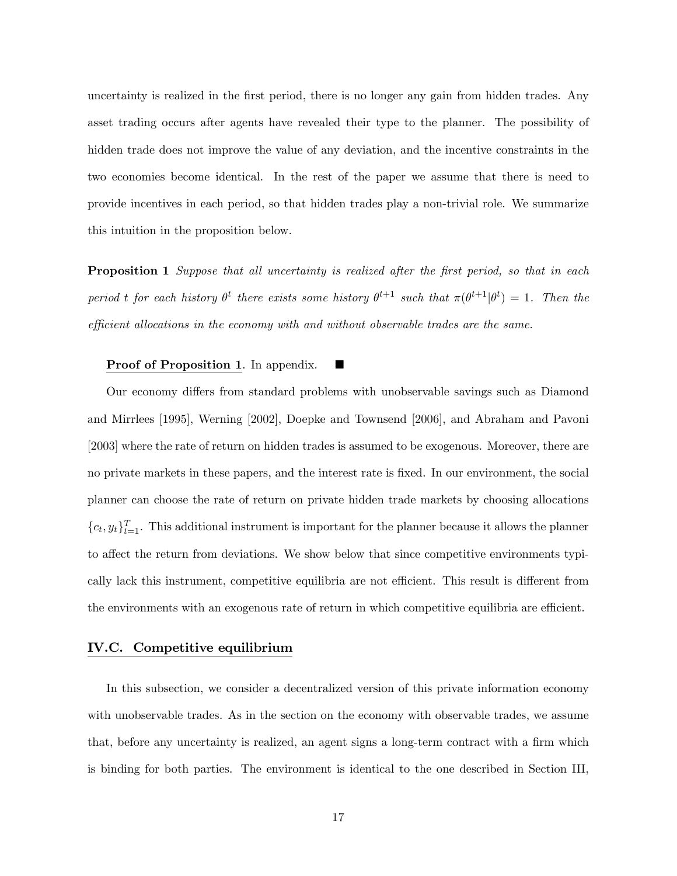uncertainty is realized in the first period, there is no longer any gain from hidden trades. Any asset trading occurs after agents have revealed their type to the planner. The possibility of hidden trade does not improve the value of any deviation, and the incentive constraints in the two economies become identical. In the rest of the paper we assume that there is need to provide incentives in each period, so that hidden trades play a non-trivial role. We summarize this intuition in the proposition below.

**Proposition 1** Suppose that all uncertainty is realized after the first period, so that in each period t for each history  $\theta^t$  there exists some history  $\theta^{t+1}$  such that  $\pi(\theta^{t+1}|\theta^t) = 1$ . Then the efficient allocations in the economy with and without observable trades are the same.

#### Proof of Proposition 1. In appendix.

Our economy differs from standard problems with unobservable savings such as Diamond and Mirrlees [1995], Werning [2002], Doepke and Townsend [2006], and Abraham and Pavoni [2003] where the rate of return on hidden trades is assumed to be exogenous. Moreover, there are no private markets in these papers, and the interest rate is fixed. In our environment, the social planner can choose the rate of return on private hidden trade markets by choosing allocations  $\{c_t, y_t\}_{t=1}^T$ . This additional instrument is important for the planner because it allows the planner to affect the return from deviations. We show below that since competitive environments typically lack this instrument, competitive equilibria are not efficient. This result is different from the environments with an exogenous rate of return in which competitive equilibria are efficient.

#### IV.C. Competitive equilibrium

In this subsection, we consider a decentralized version of this private information economy with unobservable trades. As in the section on the economy with observable trades, we assume that, before any uncertainty is realized, an agent signs a long-term contract with a firm which is binding for both parties. The environment is identical to the one described in Section III,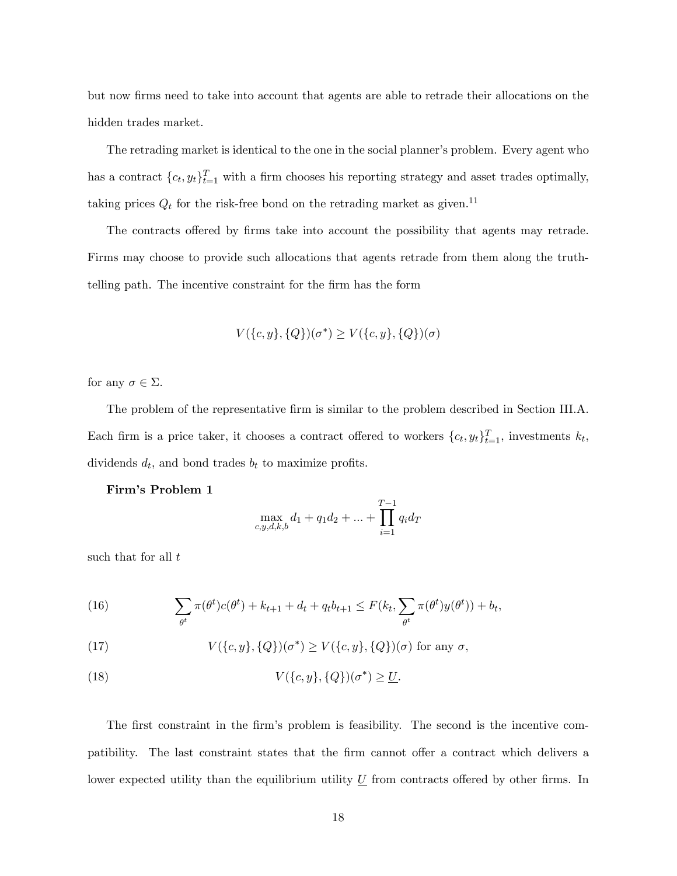but now firms need to take into account that agents are able to retrade their allocations on the hidden trades market.

The retrading market is identical to the one in the social planner's problem. Every agent who has a contract  $\{c_t, y_t\}_{t=1}^T$  with a firm chooses his reporting strategy and asset trades optimally, taking prices  $Q_t$  for the risk-free bond on the retrading market as given.<sup>11</sup>

The contracts offered by firms take into account the possibility that agents may retrade. Firms may choose to provide such allocations that agents retrade from them along the truthtelling path. The incentive constraint for the firm has the form

$$
V(\{c, y\}, \{Q\})(\sigma^*) \ge V(\{c, y\}, \{Q\})(\sigma)
$$

for any  $\sigma \in \Sigma$ .

The problem of the representative firm is similar to the problem described in Section III.A. Each firm is a price taker, it chooses a contract offered to workers  $\{c_t, y_t\}_{t=1}^T$ , investments  $k_t$ , dividends  $d_t$ , and bond trades  $b_t$  to maximize profits.

Firmís Problem 1

$$
\max_{c,y,d,k,b} d_1 + q_1 d_2 + \dots + \prod_{i=1}^{T-1} q_i d_T
$$

such that for all  $t$ 

(16) 
$$
\sum_{\theta^t} \pi(\theta^t)c(\theta^t) + k_{t+1} + d_t + q_t b_{t+1} \leq F(k_t, \sum_{\theta^t} \pi(\theta^t)y(\theta^t)) + b_t,
$$

(17) 
$$
V({c, y}, {Q})(\sigma^*) \ge V({c, y}, {Q})(\sigma) \text{ for any } \sigma,
$$

(18) 
$$
V(\lbrace c, y \rbrace, \lbrace Q \rbrace)(\sigma^*) \geq \underline{U}.
$$

The first constraint in the firm's problem is feasibility. The second is the incentive compatibility. The last constraint states that the firm cannot offer a contract which delivers a lower expected utility than the equilibrium utility  $U$  from contracts offered by other firms. In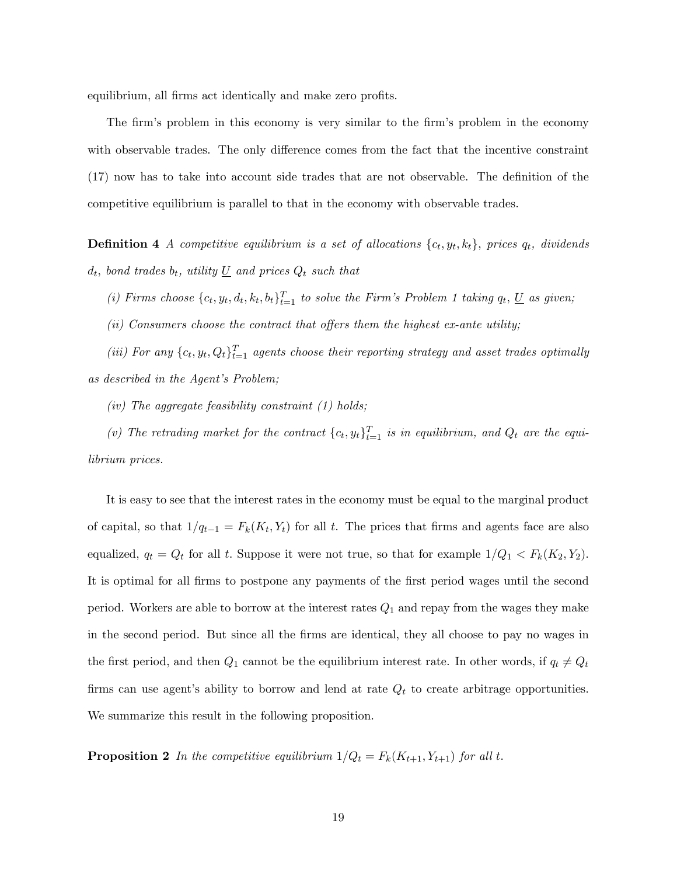equilibrium, all firms act identically and make zero profits.

The firm's problem in this economy is very similar to the firm's problem in the economy with observable trades. The only difference comes from the fact that the incentive constraint  $(17)$  now has to take into account side trades that are not observable. The definition of the competitive equilibrium is parallel to that in the economy with observable trades.

**Definition 4** A competitive equilibrium is a set of allocations  $\{c_t, y_t, k_t\}$ , prices  $q_t$ , dividends  $d_t$ , bond trades  $b_t$ , utility <u>U</u> and prices  $Q_t$  such that

- (i) Firms choose  $\{c_t, y_t, d_t, k_t, b_t\}_{t=1}^T$  to solve the Firm's Problem 1 taking  $q_t, \underline{U}$  as given;
- (ii) Consumers choose the contract that offers them the highest ex-ante utility;
- (iii) For any  $\{c_t, y_t, Q_t\}_{t=1}^T$  agents choose their reporting strategy and asset trades optimally as described in the Agent's Problem;

(iv) The aggregate feasibility constraint  $(1)$  holds;

(v) The retrading market for the contract  $\{c_t, y_t\}_{t=1}^T$  is in equilibrium, and  $Q_t$  are the equilibrium prices.

It is easy to see that the interest rates in the economy must be equal to the marginal product of capital, so that  $1/q_{t-1} = F_k(K_t, Y_t)$  for all t. The prices that firms and agents face are also equalized,  $q_t = Q_t$  for all t. Suppose it were not true, so that for example  $1/Q_1 < F_k(K_2, Y_2)$ . It is optimal for all firms to postpone any payments of the first period wages until the second period. Workers are able to borrow at the interest rates  $Q_1$  and repay from the wages they make in the second period. But since all the firms are identical, they all choose to pay no wages in the first period, and then  $Q_1$  cannot be the equilibrium interest rate. In other words, if  $q_t \neq Q_t$ firms can use agent's ability to borrow and lend at rate  $Q_t$  to create arbitrage opportunities. We summarize this result in the following proposition.

**Proposition 2** In the competitive equilibrium  $1/Q_t = F_k(K_{t+1}, Y_{t+1})$  for all t.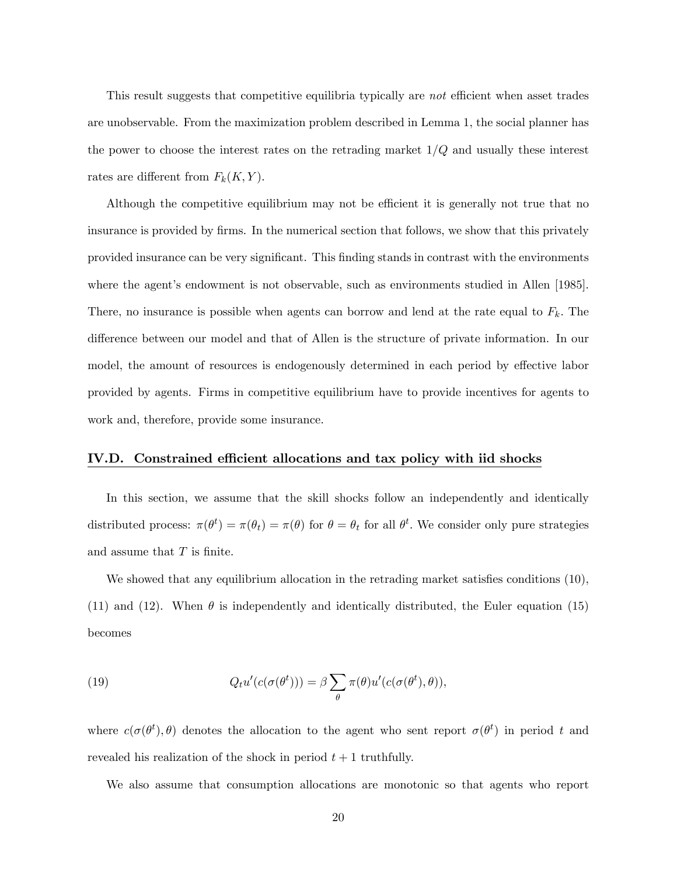This result suggests that competitive equilibria typically are not efficient when asset trades are unobservable. From the maximization problem described in Lemma 1, the social planner has the power to choose the interest rates on the retrading market  $1/Q$  and usually these interest rates are different from  $F_k(K, Y)$ .

Although the competitive equilibrium may not be efficient it is generally not true that no insurance is provided by firms. In the numerical section that follows, we show that this privately provided insurance can be very significant. This finding stands in contrast with the environments where the agent's endowment is not observable, such as environments studied in Allen [1985]. There, no insurance is possible when agents can borrow and lend at the rate equal to  $F_k$ . The difference between our model and that of Allen is the structure of private information. In our model, the amount of resources is endogenously determined in each period by effective labor provided by agents. Firms in competitive equilibrium have to provide incentives for agents to work and, therefore, provide some insurance.

#### IV.D. Constrained efficient allocations and tax policy with iid shocks

In this section, we assume that the skill shocks follow an independently and identically distributed process:  $\pi(\theta^t) = \pi(\theta_t) = \pi(\theta)$  for  $\theta = \theta_t$  for all  $\theta^t$ . We consider only pure strategies and assume that  $T$  is finite.

We showed that any equilibrium allocation in the retrading market satisfies conditions  $(10)$ , (11) and (12). When  $\theta$  is independently and identically distributed, the Euler equation (15) becomes

(19) 
$$
Q_t u'(c(\sigma(\theta^t))) = \beta \sum_{\theta} \pi(\theta) u'(c(\sigma(\theta^t), \theta)),
$$

where  $c(\sigma(\theta^t), \theta)$  denotes the allocation to the agent who sent report  $\sigma(\theta^t)$  in period t and revealed his realization of the shock in period  $t + 1$  truthfully.

We also assume that consumption allocations are monotonic so that agents who report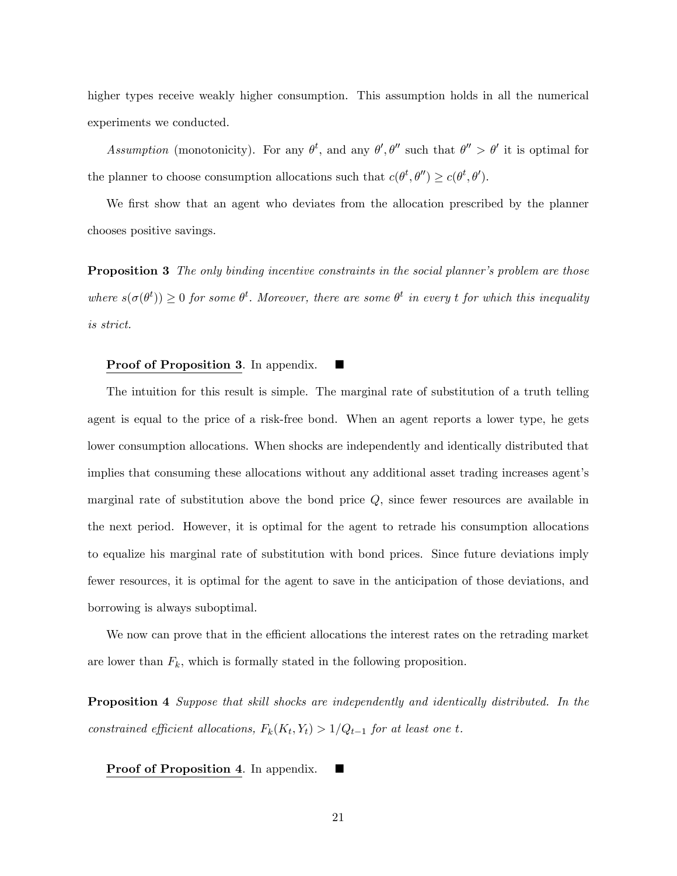higher types receive weakly higher consumption. This assumption holds in all the numerical experiments we conducted.

Assumption (monotonicity). For any  $\theta^t$ , and any  $\theta', \theta''$  such that  $\theta'' > \theta'$  it is optimal for the planner to choose consumption allocations such that  $c(\theta^t, \theta'') \geq c(\theta^t, \theta')$ .

We first show that an agent who deviates from the allocation prescribed by the planner chooses positive savings.

**Proposition 3** The only binding incentive constraints in the social planner's problem are those where  $s(\sigma(\theta^t)) \geq 0$  for some  $\theta^t$ . Moreover, there are some  $\theta^t$  in every t for which this inequality is strict.

#### Proof of Proposition 3. In appendix.

The intuition for this result is simple. The marginal rate of substitution of a truth telling agent is equal to the price of a risk-free bond. When an agent reports a lower type, he gets lower consumption allocations. When shocks are independently and identically distributed that implies that consuming these allocations without any additional asset trading increases agentís marginal rate of substitution above the bond price  $Q$ , since fewer resources are available in the next period. However, it is optimal for the agent to retrade his consumption allocations to equalize his marginal rate of substitution with bond prices. Since future deviations imply fewer resources, it is optimal for the agent to save in the anticipation of those deviations, and borrowing is always suboptimal.

We now can prove that in the efficient allocations the interest rates on the retrading market are lower than  $F_k$ , which is formally stated in the following proposition.

**Proposition 4** Suppose that skill shocks are independently and identically distributed. In the constrained efficient allocations,  $F_k(K_t, Y_t) > 1/Q_{t-1}$  for at least one t.

Proof of Proposition 4. In appendix.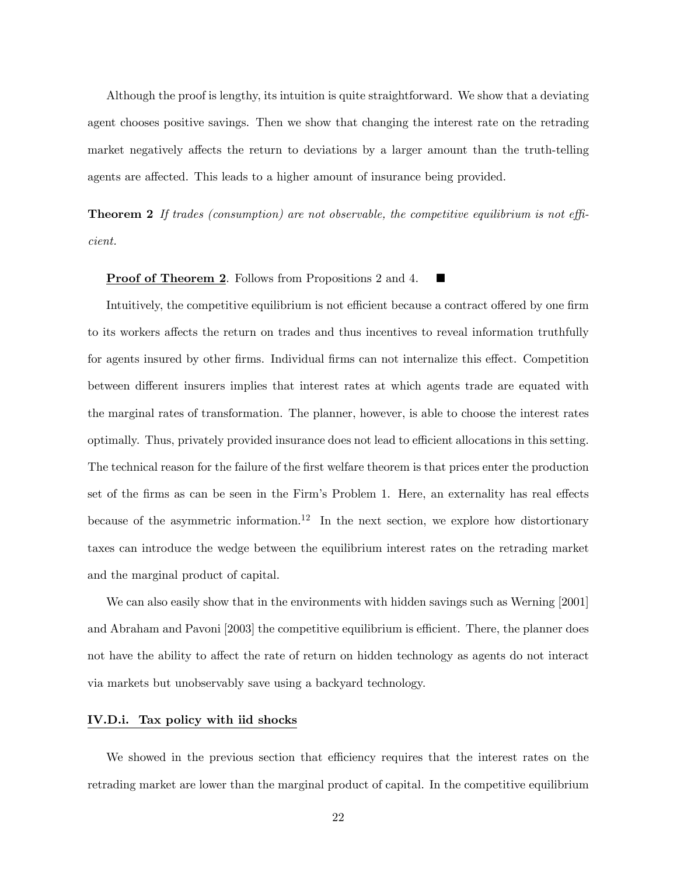Although the proof is lengthy, its intuition is quite straightforward. We show that a deviating agent chooses positive savings. Then we show that changing the interest rate on the retrading market negatively affects the return to deviations by a larger amount than the truth-telling agents are affected. This leads to a higher amount of insurance being provided.

**Theorem 2** If trades (consumption) are not observable, the competitive equilibrium is not efficient.

#### **Proof of Theorem 2.** Follows from Propositions 2 and 4.

Intuitively, the competitive equilibrium is not efficient because a contract offered by one firm to its workers affects the return on trades and thus incentives to reveal information truthfully for agents insured by other firms. Individual firms can not internalize this effect. Competition between different insurers implies that interest rates at which agents trade are equated with the marginal rates of transformation. The planner, however, is able to choose the interest rates optimally. Thus, privately provided insurance does not lead to efficient allocations in this setting. The technical reason for the failure of the first welfare theorem is that prices enter the production set of the firms as can be seen in the Firm's Problem 1. Here, an externality has real effects because of the asymmetric information.<sup>12</sup> In the next section, we explore how distortionary taxes can introduce the wedge between the equilibrium interest rates on the retrading market and the marginal product of capital.

We can also easily show that in the environments with hidden savings such as Werning [2001] and Abraham and Pavoni [2003] the competitive equilibrium is efficient. There, the planner does not have the ability to affect the rate of return on hidden technology as agents do not interact via markets but unobservably save using a backyard technology.

#### IV.D.i. Tax policy with iid shocks

We showed in the previous section that efficiency requires that the interest rates on the retrading market are lower than the marginal product of capital. In the competitive equilibrium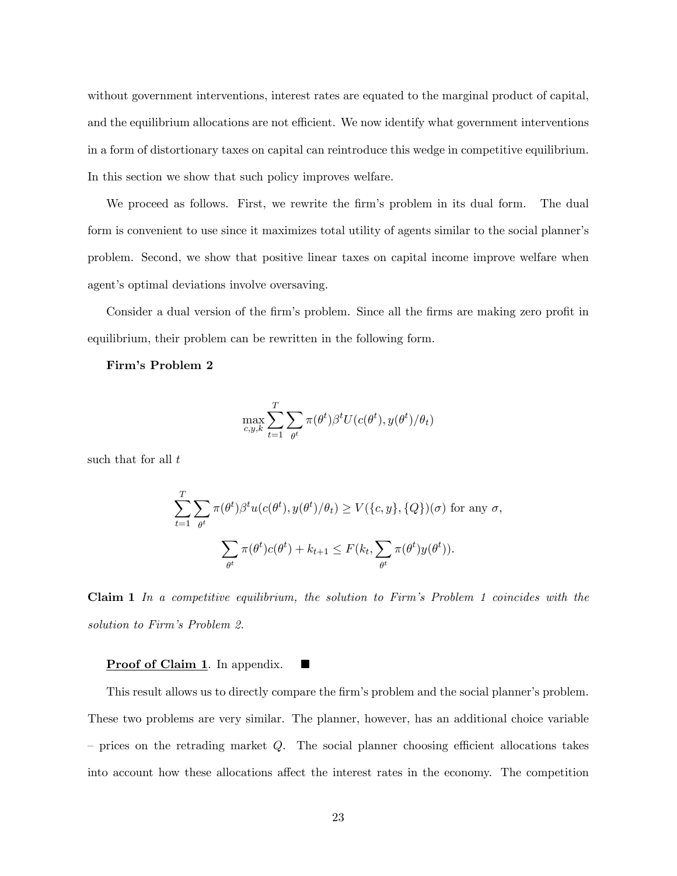without government interventions, interest rates are equated to the marginal product of capital, and the equilibrium allocations are not efficient. We now identify what government interventions in a form of distortionary taxes on capital can reintroduce this wedge in competitive equilibrium. In this section we show that such policy improves welfare.

We proceed as follows. First, we rewrite the firm's problem in its dual form. The dual form is convenient to use since it maximizes total utility of agents similar to the social planner's problem. Second, we show that positive linear taxes on capital income improve welfare when agent's optimal deviations involve oversaving.

Consider a dual version of the firm's problem. Since all the firms are making zero profit in equilibrium, their problem can be rewritten in the following form.

#### Firmís Problem 2

$$
\max_{c,y,k}\sum_{t=1}^T \sum_{\theta^t} \pi(\theta^t) \beta^t U(c(\theta^t),y(\theta^t)/\theta_t)
$$

such that for all  $t$ 

$$
\sum_{t=1}^{T} \sum_{\theta^t} \pi(\theta^t) \beta^t u(c(\theta^t), y(\theta^t) / \theta_t) \ge V(\{c, y\}, \{Q\})(\sigma) \text{ for any } \sigma,
$$

$$
\sum_{\theta^t} \pi(\theta^t) c(\theta^t) + k_{t+1} \le F(k_t, \sum_{\theta^t} \pi(\theta^t) y(\theta^t)).
$$

**Claim 1** In a competitive equilibrium, the solution to Firm's Problem 1 coincides with the solution to Firm's Problem 2.

#### **Proof of Claim 1.** In appendix.  $\blacksquare$

This result allows us to directly compare the firm's problem and the social planner's problem. These two problems are very similar. The planner, however, has an additional choice variable  $\overline{\phantom{a}}$  prices on the retrading market Q. The social planner choosing efficient allocations takes into account how these allocations affect the interest rates in the economy. The competition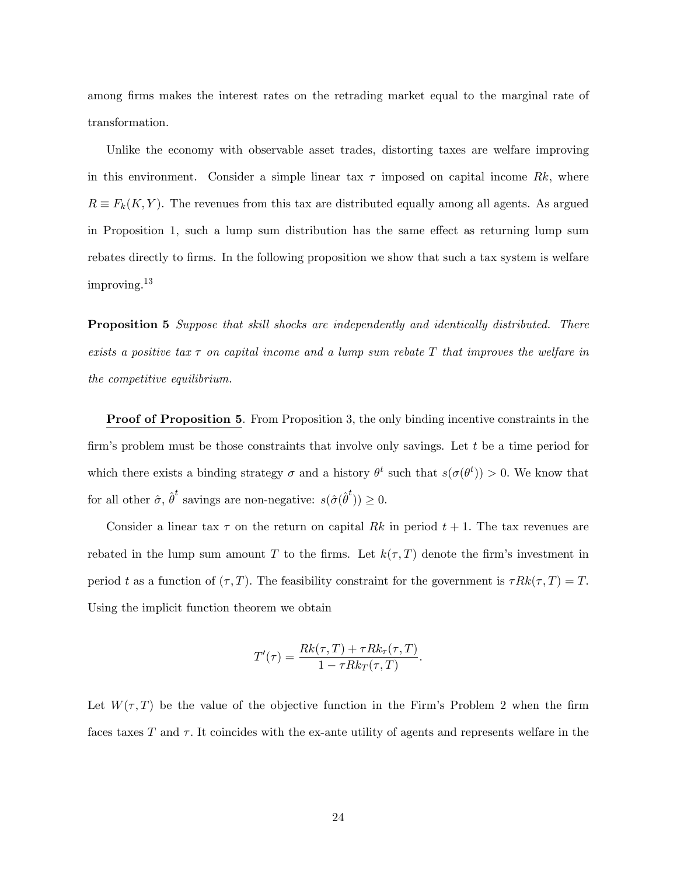among firms makes the interest rates on the retrading market equal to the marginal rate of transformation.

Unlike the economy with observable asset trades, distorting taxes are welfare improving in this environment. Consider a simple linear tax  $\tau$  imposed on capital income Rk, where  $R \equiv F_k(K, Y)$ . The revenues from this tax are distributed equally among all agents. As argued in Proposition 1, such a lump sum distribution has the same effect as returning lump sum rebates directly to firms. In the following proposition we show that such a tax system is welfare improving.<sup>13</sup>

**Proposition 5** Suppose that skill shocks are independently and identically distributed. There exists a positive tax  $\tau$  on capital income and a lump sum rebate T that improves the welfare in the competitive equilibrium.

Proof of Proposition 5. From Proposition 3, the only binding incentive constraints in the firm's problem must be those constraints that involve only savings. Let  $t$  be a time period for which there exists a binding strategy  $\sigma$  and a history  $\theta^t$  such that  $s(\sigma(\theta^t)) > 0$ . We know that for all other  $\hat{\sigma}$ ,  $\hat{\theta}^t$  savings are non-negative:  $s(\hat{\sigma}(\hat{\theta}^t)) \geq 0$ .

Consider a linear tax  $\tau$  on the return on capital Rk in period  $t + 1$ . The tax revenues are rebated in the lump sum amount T to the firms. Let  $k(\tau, T)$  denote the firm's investment in period t as a function of  $(\tau, T)$ . The feasibility constraint for the government is  $\tau Rk(\tau, T) = T$ . Using the implicit function theorem we obtain

$$
T'(\tau) = \frac{Rk(\tau,T) + \tau Rk_{\tau}(\tau,T)}{1 - \tau Rk_T(\tau,T)}.
$$

Let  $W(\tau, T)$  be the value of the objective function in the Firm's Problem 2 when the firm faces taxes T and  $\tau$ . It coincides with the ex-ante utility of agents and represents welfare in the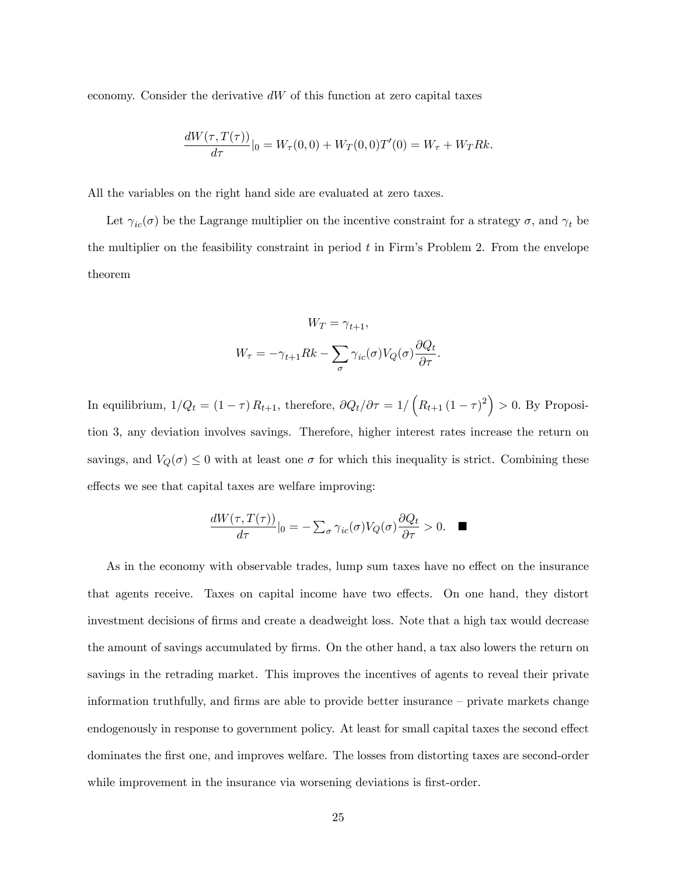economy. Consider the derivative  $dW$  of this function at zero capital taxes

$$
\frac{dW(\tau, T(\tau))}{d\tau}|_0 = W_\tau(0,0) + W_T(0,0)T'(0) = W_\tau + W_T Rk.
$$

All the variables on the right hand side are evaluated at zero taxes.

Let  $\gamma_{ic}(\sigma)$  be the Lagrange multiplier on the incentive constraint for a strategy  $\sigma$ , and  $\gamma_t$  be the multiplier on the feasibility constraint in period  $t$  in Firm's Problem 2. From the envelope theorem

$$
W_T = \gamma_{t+1},
$$
  

$$
W_{\tau} = -\gamma_{t+1} Rk - \sum_{\sigma} \gamma_{ic}(\sigma) V_Q(\sigma) \frac{\partial Q_t}{\partial \tau}.
$$

In equilibrium,  $1/Q_t = (1 - \tau) R_{t+1}$ , therefore,  $\partial Q_t / \partial \tau = 1/\left(R_{t+1} (1 - \tau)^2\right) > 0$ . By Proposition 3, any deviation involves savings. Therefore, higher interest rates increase the return on savings, and  $V_Q(\sigma) \leq 0$  with at least one  $\sigma$  for which this inequality is strict. Combining these effects we see that capital taxes are welfare improving:

$$
\frac{dW(\tau, T(\tau))}{d\tau}|_0 = -\sum_{\sigma} \gamma_{ic}(\sigma) V_Q(\sigma) \frac{\partial Q_t}{\partial \tau} > 0. \quad \blacksquare
$$

As in the economy with observable trades, lump sum taxes have no effect on the insurance that agents receive. Taxes on capital income have two effects. On one hand, they distort investment decisions of firms and create a deadweight loss. Note that a high tax would decrease the amount of savings accumulated by firms. On the other hand, a tax also lowers the return on savings in the retrading market. This improves the incentives of agents to reveal their private information truthfully, and firms are able to provide better insurance  $-\frac{1}{2}$  private markets change endogenously in response to government policy. At least for small capital taxes the second effect dominates the first one, and improves welfare. The losses from distorting taxes are second-order while improvement in the insurance via worsening deviations is first-order.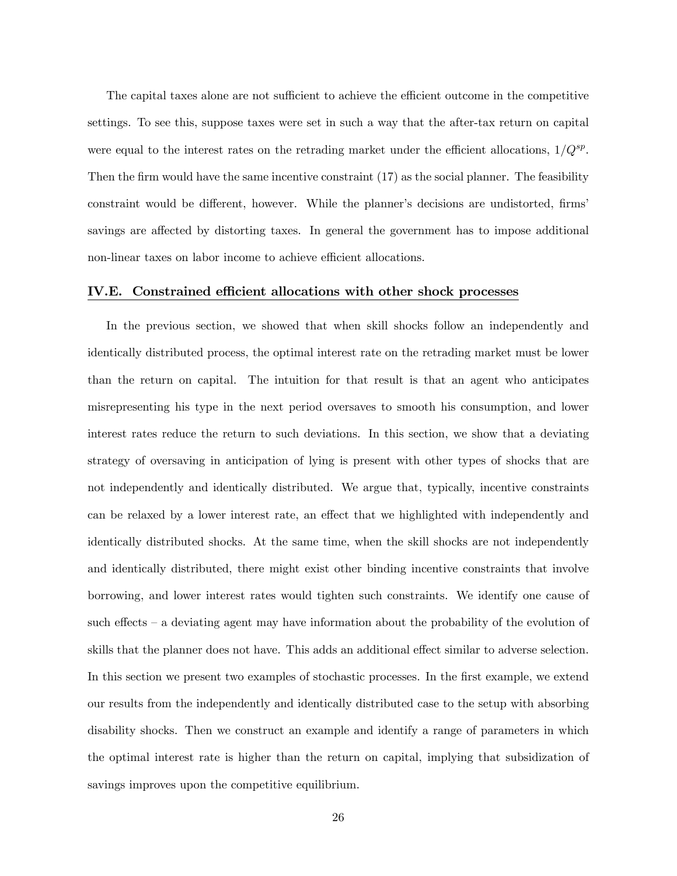The capital taxes alone are not sufficient to achieve the efficient outcome in the competitive settings. To see this, suppose taxes were set in such a way that the after-tax return on capital were equal to the interest rates on the retrading market under the efficient allocations,  $1/Q^{sp}$ . Then the firm would have the same incentive constraint (17) as the social planner. The feasibility constraint would be different, however. While the planner's decisions are undistorted, firms' savings are affected by distorting taxes. In general the government has to impose additional non-linear taxes on labor income to achieve efficient allocations.

#### IV.E. Constrained efficient allocations with other shock processes

In the previous section, we showed that when skill shocks follow an independently and identically distributed process, the optimal interest rate on the retrading market must be lower than the return on capital. The intuition for that result is that an agent who anticipates misrepresenting his type in the next period oversaves to smooth his consumption, and lower interest rates reduce the return to such deviations. In this section, we show that a deviating strategy of oversaving in anticipation of lying is present with other types of shocks that are not independently and identically distributed. We argue that, typically, incentive constraints can be relaxed by a lower interest rate, an effect that we highlighted with independently and identically distributed shocks. At the same time, when the skill shocks are not independently and identically distributed, there might exist other binding incentive constraints that involve borrowing, and lower interest rates would tighten such constraints. We identify one cause of such effects  $-$  a deviating agent may have information about the probability of the evolution of skills that the planner does not have. This adds an additional effect similar to adverse selection. In this section we present two examples of stochastic processes. In the first example, we extend our results from the independently and identically distributed case to the setup with absorbing disability shocks. Then we construct an example and identify a range of parameters in which the optimal interest rate is higher than the return on capital, implying that subsidization of savings improves upon the competitive equilibrium.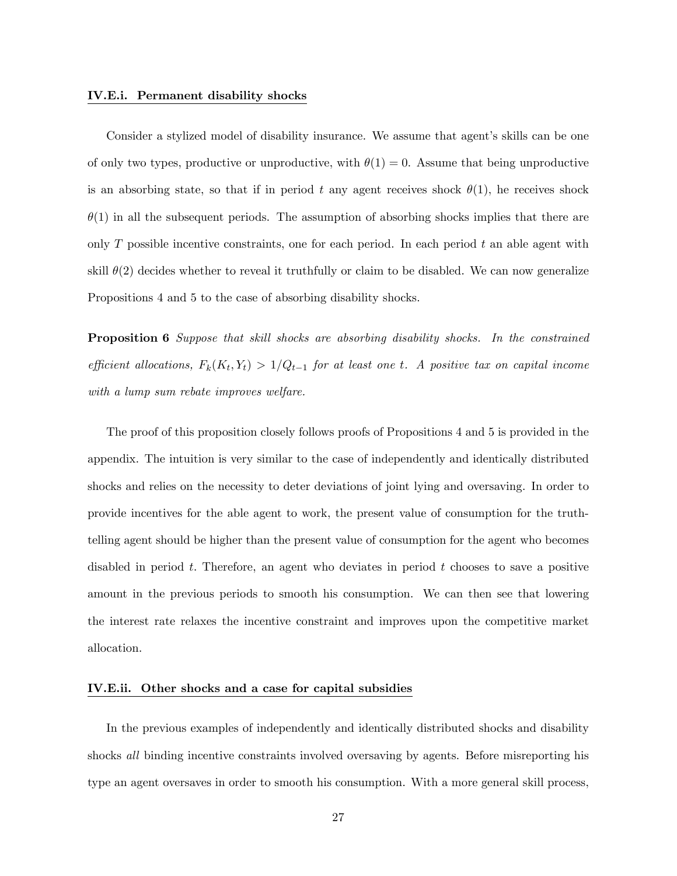#### IV.E.i. Permanent disability shocks

Consider a stylized model of disability insurance. We assume that agent's skills can be one of only two types, productive or unproductive, with  $\theta(1) = 0$ . Assume that being unproductive is an absorbing state, so that if in period t any agent receives shock  $\theta(1)$ , he receives shock  $\theta(1)$  in all the subsequent periods. The assumption of absorbing shocks implies that there are only  $T$  possible incentive constraints, one for each period. In each period  $t$  an able agent with skill  $\theta(2)$  decides whether to reveal it truthfully or claim to be disabled. We can now generalize Propositions 4 and 5 to the case of absorbing disability shocks.

**Proposition 6** Suppose that skill shocks are absorbing disability shocks. In the constrained efficient allocations,  $F_k(K_t,Y_t) > 1/Q_{t-1}$  for at least one t. A positive tax on capital income with a lump sum rebate improves welfare.

The proof of this proposition closely follows proofs of Propositions 4 and 5 is provided in the appendix. The intuition is very similar to the case of independently and identically distributed shocks and relies on the necessity to deter deviations of joint lying and oversaving. In order to provide incentives for the able agent to work, the present value of consumption for the truthtelling agent should be higher than the present value of consumption for the agent who becomes disabled in period  $t$ . Therefore, an agent who deviates in period  $t$  chooses to save a positive amount in the previous periods to smooth his consumption. We can then see that lowering the interest rate relaxes the incentive constraint and improves upon the competitive market allocation.

#### IV.E.ii. Other shocks and a case for capital subsidies

In the previous examples of independently and identically distributed shocks and disability shocks all binding incentive constraints involved oversaving by agents. Before misreporting his type an agent oversaves in order to smooth his consumption. With a more general skill process,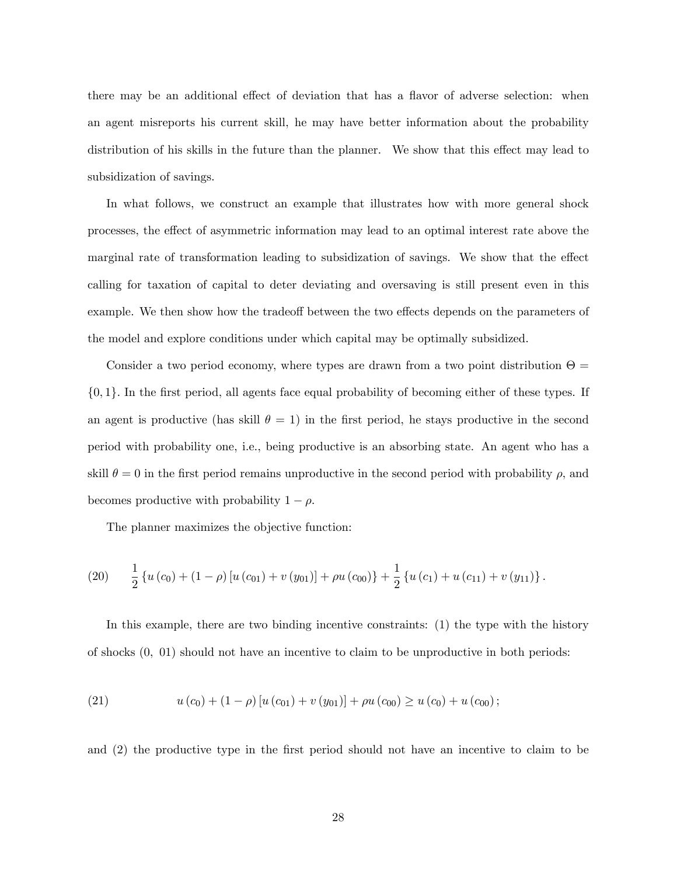there may be an additional effect of deviation that has a flavor of adverse selection: when an agent misreports his current skill, he may have better information about the probability distribution of his skills in the future than the planner. We show that this effect may lead to subsidization of savings.

In what follows, we construct an example that illustrates how with more general shock processes, the effect of asymmetric information may lead to an optimal interest rate above the marginal rate of transformation leading to subsidization of savings. We show that the effect calling for taxation of capital to deter deviating and oversaving is still present even in this example. We then show how the tradeoff between the two effects depends on the parameters of the model and explore conditions under which capital may be optimally subsidized.

Consider a two period economy, where types are drawn from a two point distribution  $\Theta =$  $\{0,1\}$ . In the first period, all agents face equal probability of becoming either of these types. If an agent is productive (has skill  $\theta = 1$ ) in the first period, he stays productive in the second period with probability one, i.e., being productive is an absorbing state. An agent who has a skill  $\theta = 0$  in the first period remains unproductive in the second period with probability  $\rho$ , and becomes productive with probability  $1 - \rho$ .

The planner maximizes the objective function:

(20) 
$$
\frac{1}{2} \left\{ u(c_0) + (1 - \rho) \left[ u(c_{01}) + v(y_{01}) \right] + \rho u(c_{00}) \right\} + \frac{1}{2} \left\{ u(c_1) + u(c_{11}) + v(y_{11}) \right\}.
$$

In this example, there are two binding incentive constraints: (1) the type with the history of shocks (0; 01) should not have an incentive to claim to be unproductive in both periods:

(21) 
$$
u(c_0) + (1 - \rho) [u(c_{01}) + v(y_{01})] + \rho u(c_{00}) \ge u(c_0) + u(c_{00});
$$

and (2) the productive type in the first period should not have an incentive to claim to be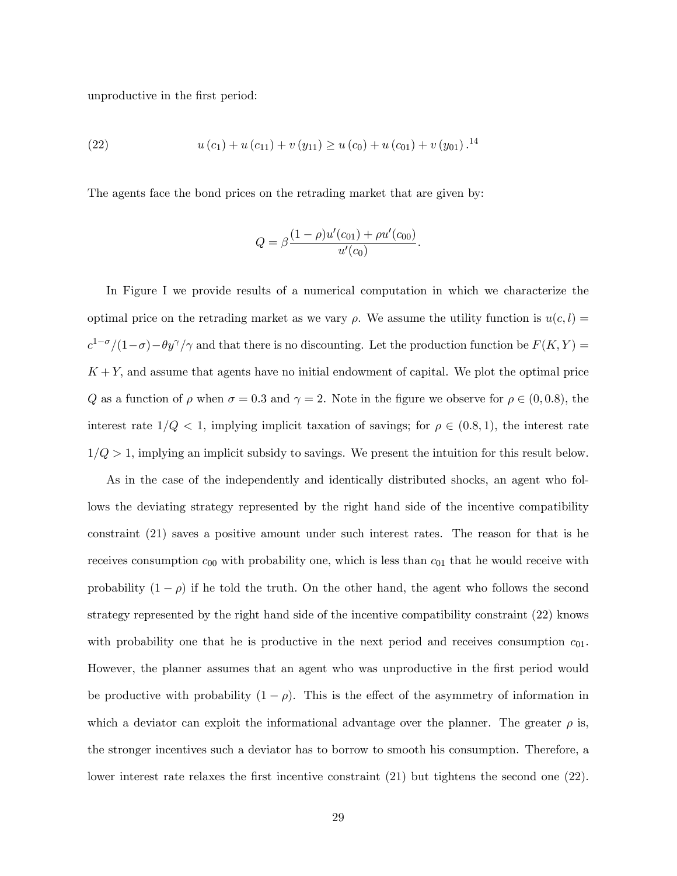unproductive in the first period:

(22) 
$$
u(c_1) + u(c_{11}) + v(y_{11}) \ge u(c_0) + u(c_{01}) + v(y_{01}).^{14}
$$

The agents face the bond prices on the retrading market that are given by:

$$
Q = \beta \frac{(1 - \rho)u'(c_{01}) + \rho u'(c_{00})}{u'(c_0)}.
$$

In Figure I we provide results of a numerical computation in which we characterize the optimal price on the retrading market as we vary  $\rho$ . We assume the utility function is  $u(c, l)$  $c^{1-\sigma}/(1-\sigma) - \theta y^{\gamma}/\gamma$  and that there is no discounting. Let the production function be  $F(K, Y) =$  $K + Y$ , and assume that agents have no initial endowment of capital. We plot the optimal price Q as a function of  $\rho$  when  $\sigma = 0.3$  and  $\gamma = 2$ . Note in the figure we observe for  $\rho \in (0, 0.8)$ , the interest rate  $1/Q < 1$ , implying implicit taxation of savings; for  $\rho \in (0.8, 1)$ , the interest rate  $1/Q > 1$ , implying an implicit subsidy to savings. We present the intuition for this result below.

As in the case of the independently and identically distributed shocks, an agent who follows the deviating strategy represented by the right hand side of the incentive compatibility constraint (21) saves a positive amount under such interest rates. The reason for that is he receives consumption  $c_{00}$  with probability one, which is less than  $c_{01}$  that he would receive with probability  $(1 - \rho)$  if he told the truth. On the other hand, the agent who follows the second strategy represented by the right hand side of the incentive compatibility constraint (22) knows with probability one that he is productive in the next period and receives consumption  $c_{01}$ . However, the planner assumes that an agent who was unproductive in the first period would be productive with probability  $(1 - \rho)$ . This is the effect of the asymmetry of information in which a deviator can exploit the informational advantage over the planner. The greater  $\rho$  is, the stronger incentives such a deviator has to borrow to smooth his consumption. Therefore, a lower interest rate relaxes the first incentive constraint (21) but tightens the second one (22).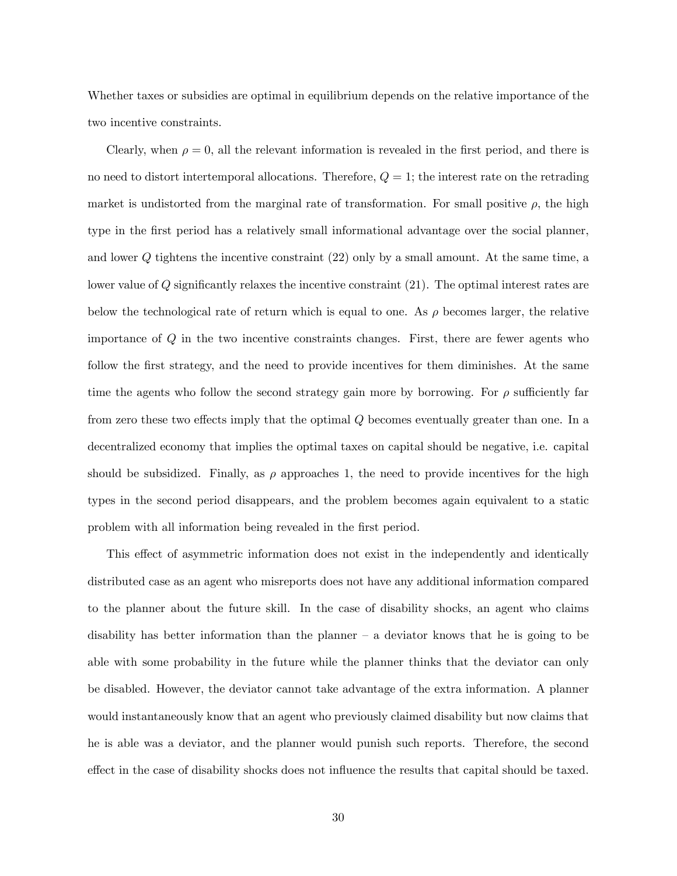Whether taxes or subsidies are optimal in equilibrium depends on the relative importance of the two incentive constraints.

Clearly, when  $\rho = 0$ , all the relevant information is revealed in the first period, and there is no need to distort intertemporal allocations. Therefore,  $Q = 1$ ; the interest rate on the retrading market is undistorted from the marginal rate of transformation. For small positive  $\rho$ , the high type in the first period has a relatively small informational advantage over the social planner, and lower Q tightens the incentive constraint (22) only by a small amount. At the same time, a lower value of  $Q$  significantly relaxes the incentive constraint  $(21)$ . The optimal interest rates are below the technological rate of return which is equal to one. As  $\rho$  becomes larger, the relative importance of Q in the two incentive constraints changes. First, there are fewer agents who follow the first strategy, and the need to provide incentives for them diminishes. At the same time the agents who follow the second strategy gain more by borrowing. For  $\rho$  sufficiently far from zero these two effects imply that the optimal  $Q$  becomes eventually greater than one. In a decentralized economy that implies the optimal taxes on capital should be negative, i.e. capital should be subsidized. Finally, as  $\rho$  approaches 1, the need to provide incentives for the high types in the second period disappears, and the problem becomes again equivalent to a static problem with all information being revealed in the first period.

This effect of asymmetric information does not exist in the independently and identically distributed case as an agent who misreports does not have any additional information compared to the planner about the future skill. In the case of disability shocks, an agent who claims disability has better information than the planner  $-$  a deviator knows that he is going to be able with some probability in the future while the planner thinks that the deviator can only be disabled. However, the deviator cannot take advantage of the extra information. A planner would instantaneously know that an agent who previously claimed disability but now claims that he is able was a deviator, and the planner would punish such reports. Therefore, the second effect in the case of disability shocks does not influence the results that capital should be taxed.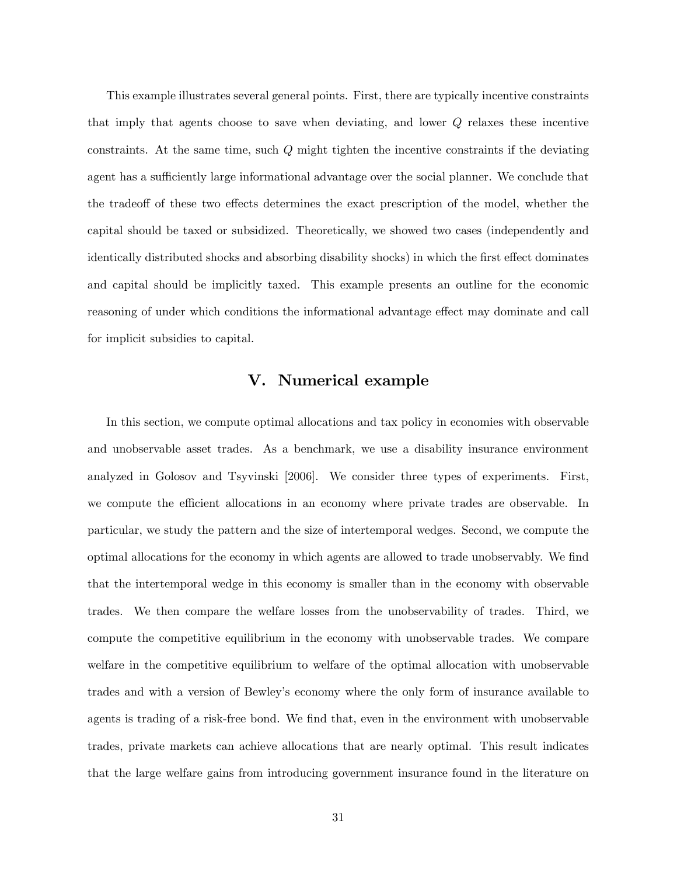This example illustrates several general points. First, there are typically incentive constraints that imply that agents choose to save when deviating, and lower Q relaxes these incentive constraints. At the same time, such Q might tighten the incentive constraints if the deviating agent has a sufficiently large informational advantage over the social planner. We conclude that the tradeoff of these two effects determines the exact prescription of the model, whether the capital should be taxed or subsidized. Theoretically, we showed two cases (independently and identically distributed shocks and absorbing disability shocks) in which the first effect dominates and capital should be implicitly taxed. This example presents an outline for the economic reasoning of under which conditions the informational advantage effect may dominate and call for implicit subsidies to capital.

## V. Numerical example

In this section, we compute optimal allocations and tax policy in economies with observable and unobservable asset trades. As a benchmark, we use a disability insurance environment analyzed in Golosov and Tsyvinski [2006]. We consider three types of experiments. First, we compute the efficient allocations in an economy where private trades are observable. In particular, we study the pattern and the size of intertemporal wedges. Second, we compute the optimal allocations for the economy in which agents are allowed to trade unobservably. We find that the intertemporal wedge in this economy is smaller than in the economy with observable trades. We then compare the welfare losses from the unobservability of trades. Third, we compute the competitive equilibrium in the economy with unobservable trades. We compare welfare in the competitive equilibrium to welfare of the optimal allocation with unobservable trades and with a version of Bewleyís economy where the only form of insurance available to agents is trading of a risk-free bond. We find that, even in the environment with unobservable trades, private markets can achieve allocations that are nearly optimal. This result indicates that the large welfare gains from introducing government insurance found in the literature on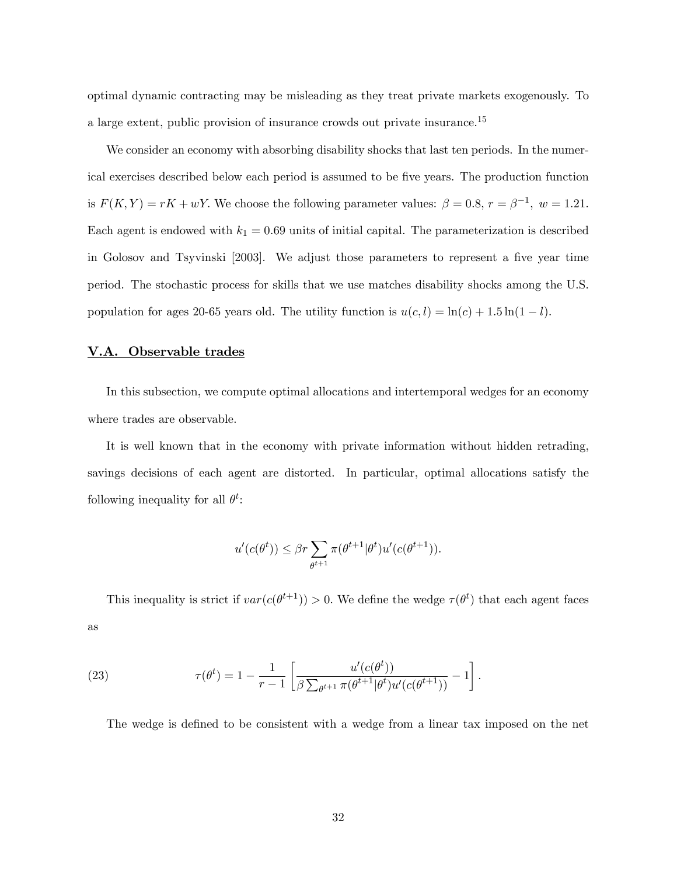optimal dynamic contracting may be misleading as they treat private markets exogenously. To a large extent, public provision of insurance crowds out private insurance.<sup>15</sup>

We consider an economy with absorbing disability shocks that last ten periods. In the numerical exercises described below each period is assumed to be Öve years. The production function is  $F(K,Y) = rK + wY$ . We choose the following parameter values:  $\beta = 0.8, r = \beta^{-1}, w = 1.21$ . Each agent is endowed with  $k_1 = 0.69$  units of initial capital. The parameterization is described in Golosov and Tsyvinski [2003]. We adjust those parameters to represent a five year time period. The stochastic process for skills that we use matches disability shocks among the U.S. population for ages 20-65 years old. The utility function is  $u(c, l) = \ln(c) + 1.5 \ln(1 - l)$ .

#### V.A. Observable trades

In this subsection, we compute optimal allocations and intertemporal wedges for an economy where trades are observable.

It is well known that in the economy with private information without hidden retrading, savings decisions of each agent are distorted. In particular, optimal allocations satisfy the following inequality for all  $\theta^t$ :

$$
u'(c(\theta^t)) \leq \beta r \sum_{\theta^{t+1}} \pi(\theta^{t+1}|\theta^t) u'(c(\theta^{t+1})).
$$

This inequality is strict if  $var(c(\theta^{t+1})) > 0$ . We define the wedge  $\tau(\theta^t)$  that each agent faces as

(23) 
$$
\tau(\theta^t) = 1 - \frac{1}{r-1} \left[ \frac{u'(c(\theta^t))}{\beta \sum_{\theta^{t+1}} \pi(\theta^{t+1}|\theta^t) u'(c(\theta^{t+1}))} - 1 \right].
$$

The wedge is defined to be consistent with a wedge from a linear tax imposed on the net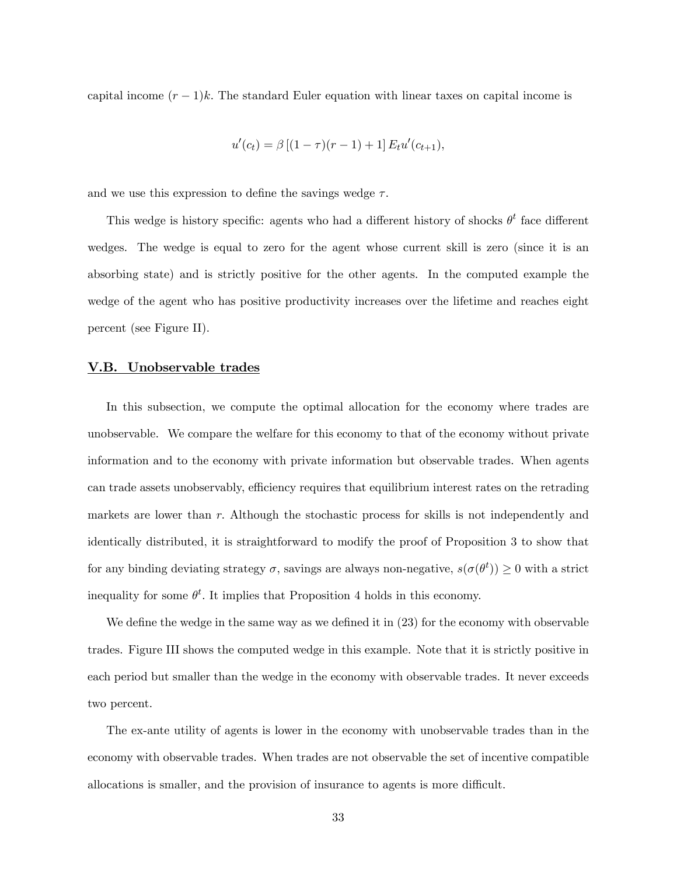capital income  $(r-1)k$ . The standard Euler equation with linear taxes on capital income is

$$
u'(c_t) = \beta [(1 - \tau)(r - 1) + 1] E_t u'(c_{t+1}),
$$

and we use this expression to define the savings wedge  $\tau$ .

This wedge is history specific: agents who had a different history of shocks  $\theta^t$  face different wedges. The wedge is equal to zero for the agent whose current skill is zero (since it is an absorbing state) and is strictly positive for the other agents. In the computed example the wedge of the agent who has positive productivity increases over the lifetime and reaches eight percent (see Figure II).

#### V.B. Unobservable trades

In this subsection, we compute the optimal allocation for the economy where trades are unobservable. We compare the welfare for this economy to that of the economy without private information and to the economy with private information but observable trades. When agents can trade assets unobservably, efficiency requires that equilibrium interest rates on the retrading markets are lower than r. Although the stochastic process for skills is not independently and identically distributed, it is straightforward to modify the proof of Proposition 3 to show that for any binding deviating strategy  $\sigma$ , savings are always non-negative,  $s(\sigma(\theta^t)) \geq 0$  with a strict inequality for some  $\theta^t$ . It implies that Proposition 4 holds in this economy.

We define the wedge in the same way as we defined it in  $(23)$  for the economy with observable trades. Figure III shows the computed wedge in this example. Note that it is strictly positive in each period but smaller than the wedge in the economy with observable trades. It never exceeds two percent.

The ex-ante utility of agents is lower in the economy with unobservable trades than in the economy with observable trades. When trades are not observable the set of incentive compatible allocations is smaller, and the provision of insurance to agents is more difficult.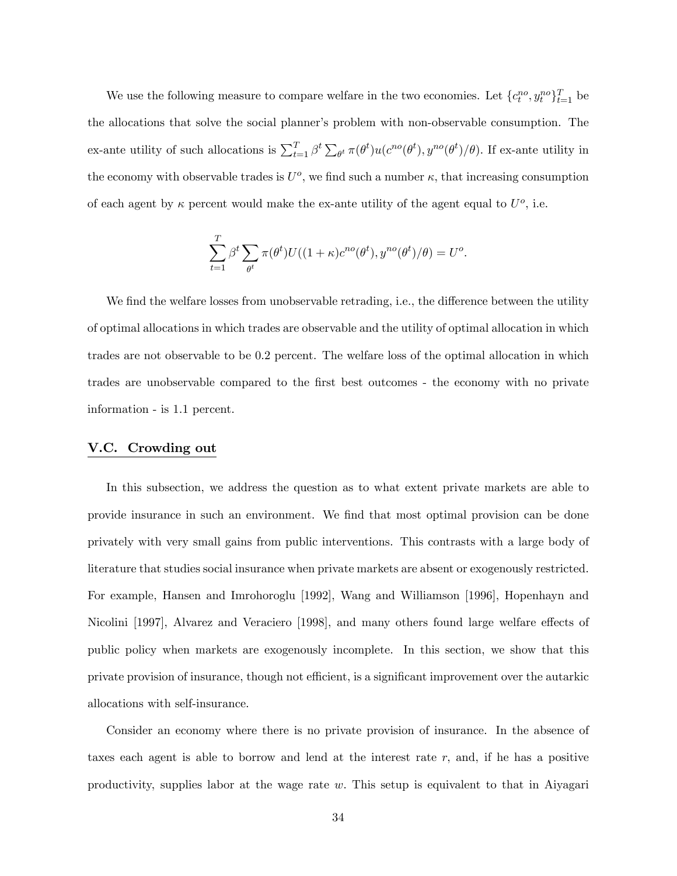We use the following measure to compare welfare in the two economies. Let  $\{c_t^{no}, y_t^{no}\}_{t=1}^T$  be the allocations that solve the social planner's problem with non-observable consumption. The ex-ante utility of such allocations is  $\sum_{t=1}^T \beta^t \sum_{\theta^t} \pi(\theta^t) u(c^{no}(\theta^t), y^{no}(\theta^t)/\theta)$ . If ex-ante utility in the economy with observable trades is  $U^o$ , we find such a number  $\kappa$ , that increasing consumption of each agent by  $\kappa$  percent would make the ex-ante utility of the agent equal to  $U^o$ , i.e.

$$
\sum_{t=1}^{T} \beta^t \sum_{\theta^t} \pi(\theta^t) U((1+\kappa)c^{n\sigma}(\theta^t), y^{n\sigma}(\theta^t)/\theta) = U^o.
$$

We find the welfare losses from unobservable retrading, i.e., the difference between the utility of optimal allocations in which trades are observable and the utility of optimal allocation in which trades are not observable to be 0.2 percent. The welfare loss of the optimal allocation in which trades are unobservable compared to the first best outcomes - the economy with no private information - is 1.1 percent.

#### V.C. Crowding out

In this subsection, we address the question as to what extent private markets are able to provide insurance in such an environment. We Önd that most optimal provision can be done privately with very small gains from public interventions. This contrasts with a large body of literature that studies social insurance when private markets are absent or exogenously restricted. For example, Hansen and Imrohoroglu [1992], Wang and Williamson [1996], Hopenhayn and Nicolini [1997], Alvarez and Veraciero [1998], and many others found large welfare effects of public policy when markets are exogenously incomplete. In this section, we show that this private provision of insurance, though not efficient, is a significant improvement over the autarkic allocations with self-insurance.

Consider an economy where there is no private provision of insurance. In the absence of taxes each agent is able to borrow and lend at the interest rate  $r$ , and, if he has a positive productivity, supplies labor at the wage rate w: This setup is equivalent to that in Aiyagari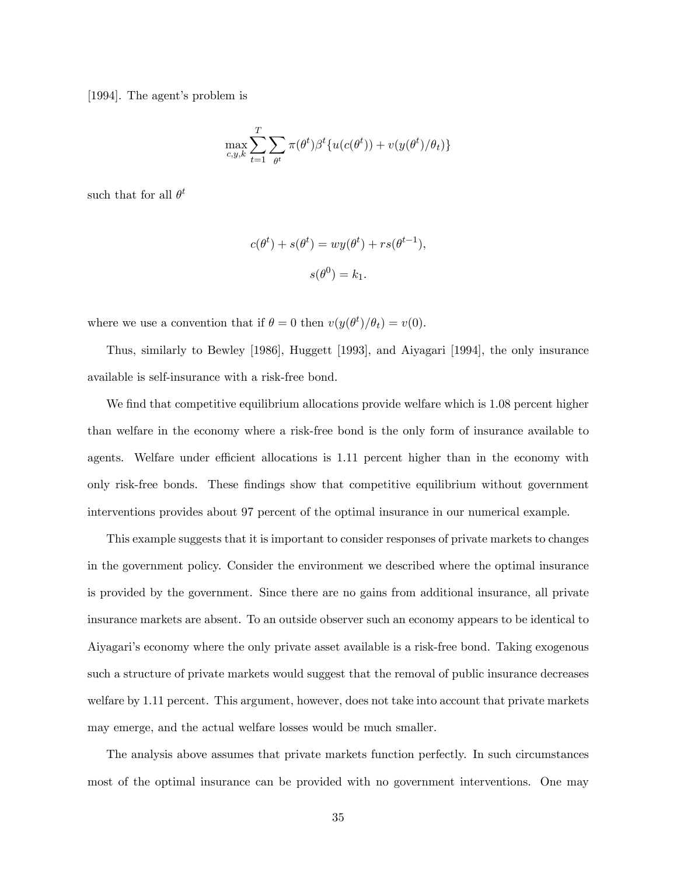[1994]. The agent's problem is

$$
\max_{c,y,k}\sum_{t=1}^T \sum_{\theta^t} \pi(\theta^t) \beta^t \{ u(c(\theta^t)) + v(y(\theta^t)/\theta_t) \}
$$

such that for all  $\theta^t$ 

$$
c(\theta^t) + s(\theta^t) = wy(\theta^t) + rs(\theta^{t-1}),
$$
  

$$
s(\theta^0) = k_1.
$$

where we use a convention that if  $\theta = 0$  then  $v(y(\theta^t)/\theta_t) = v(0)$ .

Thus, similarly to Bewley [1986], Huggett [1993], and Aiyagari [1994], the only insurance available is self-insurance with a risk-free bond.

We find that competitive equilibrium allocations provide welfare which is 1.08 percent higher than welfare in the economy where a risk-free bond is the only form of insurance available to agents. Welfare under efficient allocations is 1.11 percent higher than in the economy with only risk-free bonds. These findings show that competitive equilibrium without government interventions provides about 97 percent of the optimal insurance in our numerical example.

This example suggests that it is important to consider responses of private markets to changes in the government policy. Consider the environment we described where the optimal insurance is provided by the government. Since there are no gains from additional insurance, all private insurance markets are absent. To an outside observer such an economy appears to be identical to Aiyagariís economy where the only private asset available is a risk-free bond. Taking exogenous such a structure of private markets would suggest that the removal of public insurance decreases welfare by 1.11 percent. This argument, however, does not take into account that private markets may emerge, and the actual welfare losses would be much smaller.

The analysis above assumes that private markets function perfectly. In such circumstances most of the optimal insurance can be provided with no government interventions. One may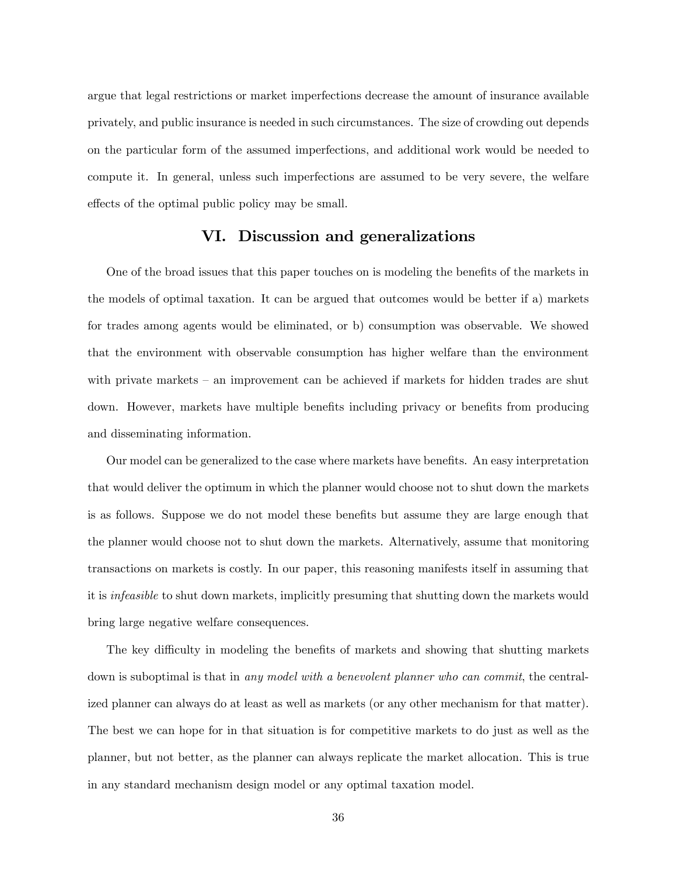argue that legal restrictions or market imperfections decrease the amount of insurance available privately, and public insurance is needed in such circumstances. The size of crowding out depends on the particular form of the assumed imperfections, and additional work would be needed to compute it. In general, unless such imperfections are assumed to be very severe, the welfare effects of the optimal public policy may be small.

## VI. Discussion and generalizations

One of the broad issues that this paper touches on is modeling the benefits of the markets in the models of optimal taxation. It can be argued that outcomes would be better if a) markets for trades among agents would be eliminated, or b) consumption was observable. We showed that the environment with observable consumption has higher welfare than the environment with private markets  $-$  an improvement can be achieved if markets for hidden trades are shut down. However, markets have multiple benefits including privacy or benefits from producing and disseminating information.

Our model can be generalized to the case where markets have benefits. An easy interpretation that would deliver the optimum in which the planner would choose not to shut down the markets is as follows. Suppose we do not model these benefits but assume they are large enough that the planner would choose not to shut down the markets. Alternatively, assume that monitoring transactions on markets is costly. In our paper, this reasoning manifests itself in assuming that it is infeasible to shut down markets, implicitly presuming that shutting down the markets would bring large negative welfare consequences.

The key difficulty in modeling the benefits of markets and showing that shutting markets down is suboptimal is that in *any model with a benevolent planner who can commit*, the centralized planner can always do at least as well as markets (or any other mechanism for that matter). The best we can hope for in that situation is for competitive markets to do just as well as the planner, but not better, as the planner can always replicate the market allocation. This is true in any standard mechanism design model or any optimal taxation model.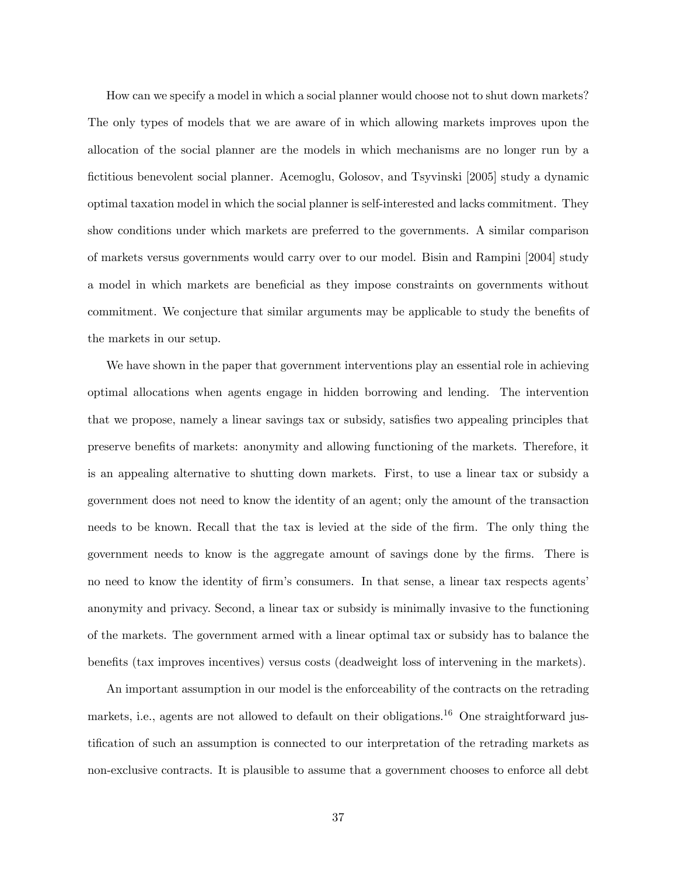How can we specify a model in which a social planner would choose not to shut down markets? The only types of models that we are aware of in which allowing markets improves upon the allocation of the social planner are the models in which mechanisms are no longer run by a fictitious benevolent social planner. Acemoglu, Golosov, and Tsyvinski [2005] study a dynamic optimal taxation model in which the social planner is self-interested and lacks commitment. They show conditions under which markets are preferred to the governments. A similar comparison of markets versus governments would carry over to our model. Bisin and Rampini [2004] study a model in which markets are beneficial as they impose constraints on governments without commitment. We conjecture that similar arguments may be applicable to study the benefits of the markets in our setup.

We have shown in the paper that government interventions play an essential role in achieving optimal allocations when agents engage in hidden borrowing and lending. The intervention that we propose, namely a linear savings tax or subsidy, satisfies two appealing principles that preserve benefits of markets: anonymity and allowing functioning of the markets. Therefore, it is an appealing alternative to shutting down markets. First, to use a linear tax or subsidy a government does not need to know the identity of an agent; only the amount of the transaction needs to be known. Recall that the tax is levied at the side of the firm. The only thing the government needs to know is the aggregate amount of savings done by the Örms. There is no need to know the identity of firm's consumers. In that sense, a linear tax respects agents' anonymity and privacy. Second, a linear tax or subsidy is minimally invasive to the functioning of the markets. The government armed with a linear optimal tax or subsidy has to balance the benefits (tax improves incentives) versus costs (deadweight loss of intervening in the markets).

An important assumption in our model is the enforceability of the contracts on the retrading markets, i.e., agents are not allowed to default on their obligations.<sup>16</sup> One straightforward justification of such an assumption is connected to our interpretation of the retrading markets as non-exclusive contracts. It is plausible to assume that a government chooses to enforce all debt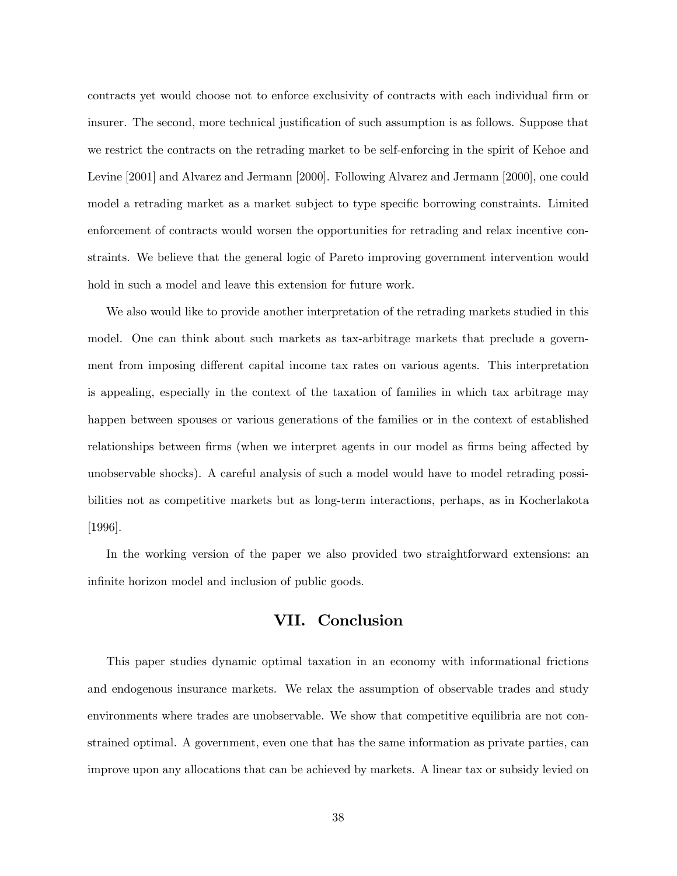contracts yet would choose not to enforce exclusivity of contracts with each individual firm or insurer. The second, more technical justification of such assumption is as follows. Suppose that we restrict the contracts on the retrading market to be self-enforcing in the spirit of Kehoe and Levine [2001] and Alvarez and Jermann [2000]. Following Alvarez and Jermann [2000], one could model a retrading market as a market subject to type specific borrowing constraints. Limited enforcement of contracts would worsen the opportunities for retrading and relax incentive constraints. We believe that the general logic of Pareto improving government intervention would hold in such a model and leave this extension for future work.

We also would like to provide another interpretation of the retrading markets studied in this model. One can think about such markets as tax-arbitrage markets that preclude a government from imposing different capital income tax rates on various agents. This interpretation is appealing, especially in the context of the taxation of families in which tax arbitrage may happen between spouses or various generations of the families or in the context of established relationships between firms (when we interpret agents in our model as firms being affected by unobservable shocks). A careful analysis of such a model would have to model retrading possibilities not as competitive markets but as long-term interactions, perhaps, as in Kocherlakota [1996].

In the working version of the paper we also provided two straightforward extensions: an infinite horizon model and inclusion of public goods.

## VII. Conclusion

This paper studies dynamic optimal taxation in an economy with informational frictions and endogenous insurance markets. We relax the assumption of observable trades and study environments where trades are unobservable. We show that competitive equilibria are not constrained optimal. A government, even one that has the same information as private parties, can improve upon any allocations that can be achieved by markets. A linear tax or subsidy levied on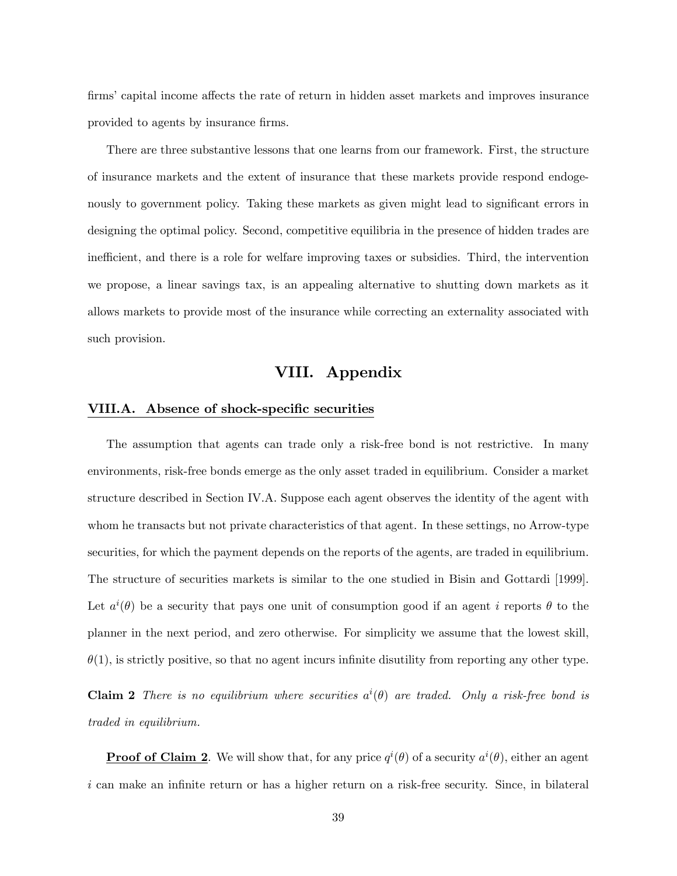firms' capital income affects the rate of return in hidden asset markets and improves insurance provided to agents by insurance firms.

There are three substantive lessons that one learns from our framework. First, the structure of insurance markets and the extent of insurance that these markets provide respond endogenously to government policy. Taking these markets as given might lead to significant errors in designing the optimal policy. Second, competitive equilibria in the presence of hidden trades are inefficient, and there is a role for welfare improving taxes or subsidies. Third, the intervention we propose, a linear savings tax, is an appealing alternative to shutting down markets as it allows markets to provide most of the insurance while correcting an externality associated with such provision.

## VIII. Appendix

#### VIII.A. Absence of shock-specific securities

The assumption that agents can trade only a risk-free bond is not restrictive. In many environments, risk-free bonds emerge as the only asset traded in equilibrium. Consider a market structure described in Section IV.A. Suppose each agent observes the identity of the agent with whom he transacts but not private characteristics of that agent. In these settings, no Arrow-type securities, for which the payment depends on the reports of the agents, are traded in equilibrium. The structure of securities markets is similar to the one studied in Bisin and Gottardi [1999]. Let  $a^{i}(\theta)$  be a security that pays one unit of consumption good if an agent i reports  $\theta$  to the planner in the next period, and zero otherwise. For simplicity we assume that the lowest skill,  $\theta(1)$ , is strictly positive, so that no agent incurs infinite disutility from reporting any other type.

**Claim 2** There is no equilibrium where securities  $a^{i}(\theta)$  are traded. Only a risk-free bond is traded in equilibrium.

**Proof of Claim 2**. We will show that, for any price  $q^{i}(\theta)$  of a security  $a^{i}(\theta)$ , either an agent  $i$  can make an infinite return or has a higher return on a risk-free security. Since, in bilateral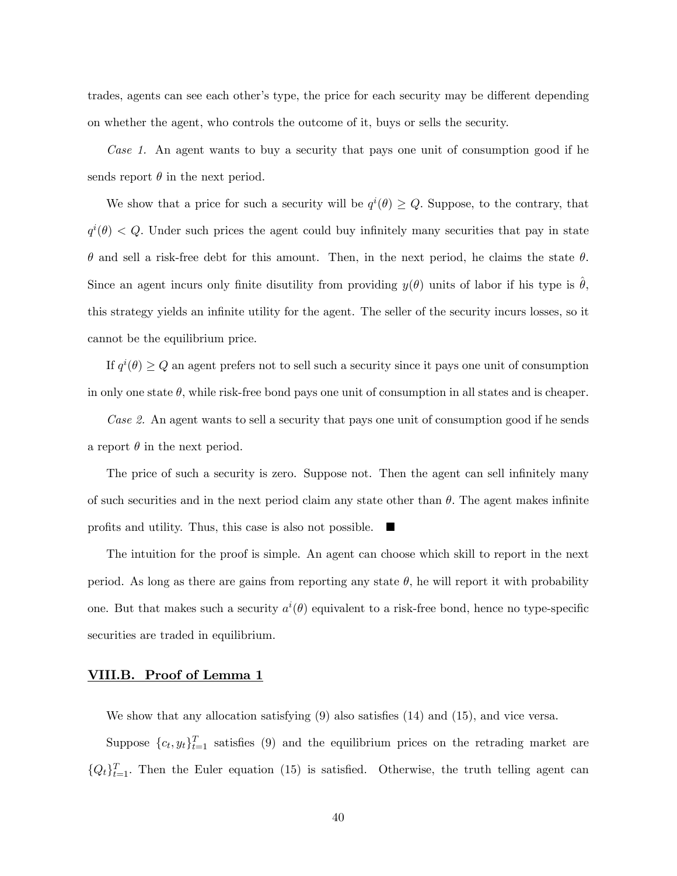trades, agents can see each other's type, the price for each security may be different depending on whether the agent, who controls the outcome of it, buys or sells the security.

Case 1. An agent wants to buy a security that pays one unit of consumption good if he sends report  $\theta$  in the next period.

We show that a price for such a security will be  $q^{i}(\theta) \geq Q$ . Suppose, to the contrary, that  $q^{i}(\theta) < Q$ . Under such prices the agent could buy infinitely many securities that pay in state  $\theta$  and sell a risk-free debt for this amount. Then, in the next period, he claims the state  $\theta$ . Since an agent incurs only finite disutility from providing  $y(\theta)$  units of labor if his type is  $\hat{\theta}$ , this strategy yields an infinite utility for the agent. The seller of the security incurs losses, so it cannot be the equilibrium price.

If  $q^{i}(\theta) \geq Q$  an agent prefers not to sell such a security since it pays one unit of consumption in only one state  $\theta$ , while risk-free bond pays one unit of consumption in all states and is cheaper.

Case 2. An agent wants to sell a security that pays one unit of consumption good if he sends a report  $\theta$  in the next period.

The price of such a security is zero. Suppose not. Then the agent can sell infinitely many of such securities and in the next period claim any state other than  $\theta$ . The agent makes infinite profits and utility. Thus, this case is also not possible.  $\blacksquare$ 

The intuition for the proof is simple. An agent can choose which skill to report in the next period. As long as there are gains from reporting any state  $\theta$ , he will report it with probability one. But that makes such a security  $a^{i}(\theta)$  equivalent to a risk-free bond, hence no type-specific securities are traded in equilibrium.

#### VIII.B. Proof of Lemma 1

We show that any allocation satisfying  $(9)$  also satisfies  $(14)$  and  $(15)$ , and vice versa.

Suppose  $\{c_t, y_t\}_{t=1}^T$  satisfies (9) and the equilibrium prices on the retrading market are  ${Q_t}_{t=1}^T$ . Then the Euler equation (15) is satisfied. Otherwise, the truth telling agent can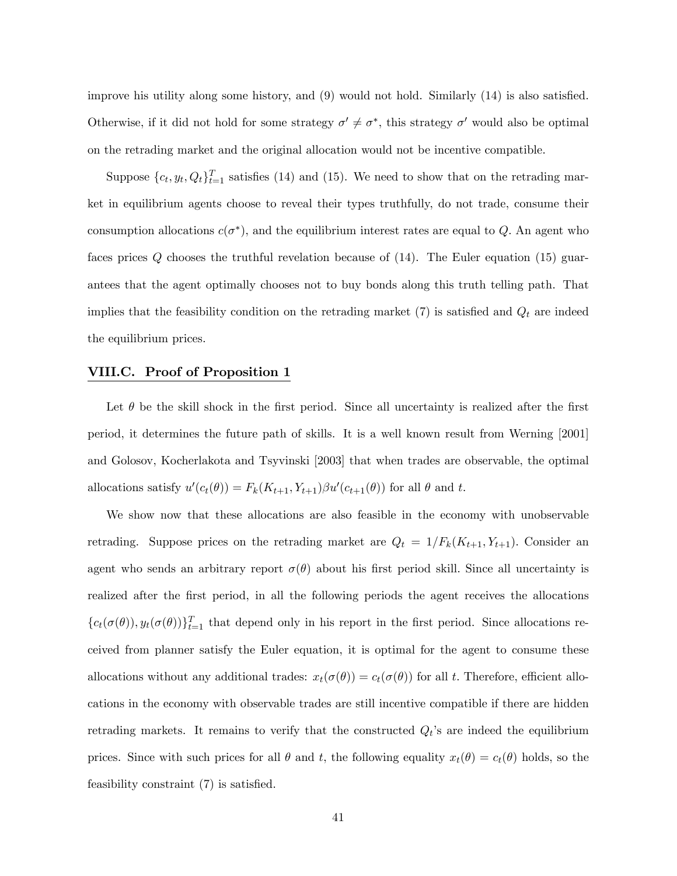improve his utility along some history, and  $(9)$  would not hold. Similarly  $(14)$  is also satisfied. Otherwise, if it did not hold for some strategy  $\sigma' \neq \sigma^*$ , this strategy  $\sigma'$  would also be optimal on the retrading market and the original allocation would not be incentive compatible.

Suppose  $\{c_t, y_t, Q_t\}_{t=1}^T$  satisfies (14) and (15). We need to show that on the retrading market in equilibrium agents choose to reveal their types truthfully, do not trade, consume their consumption allocations  $c(\sigma^*)$ , and the equilibrium interest rates are equal to Q. An agent who faces prices  $Q$  chooses the truthful revelation because of  $(14)$ . The Euler equation  $(15)$  guarantees that the agent optimally chooses not to buy bonds along this truth telling path. That implies that the feasibility condition on the retrading market  $(7)$  is satisfied and  $Q_t$  are indeed the equilibrium prices.

#### VIII.C. Proof of Proposition 1

Let  $\theta$  be the skill shock in the first period. Since all uncertainty is realized after the first period, it determines the future path of skills. It is a well known result from Werning [2001] and Golosov, Kocherlakota and Tsyvinski [2003] that when trades are observable, the optimal allocations satisfy  $u'(c_t(\theta)) = F_k(K_{t+1}, Y_{t+1})\beta u'(c_{t+1}(\theta))$  for all  $\theta$  and t.

We show now that these allocations are also feasible in the economy with unobservable retrading. Suppose prices on the retrading market are  $Q_t = 1/F_k(K_{t+1}, Y_{t+1})$ . Consider an agent who sends an arbitrary report  $\sigma(\theta)$  about his first period skill. Since all uncertainty is realized after the first period, in all the following periods the agent receives the allocations  $\{c_t(\sigma(\theta)), y_t(\sigma(\theta))\}_{t=1}^T$  that depend only in his report in the first period. Since allocations received from planner satisfy the Euler equation, it is optimal for the agent to consume these allocations without any additional trades:  $x_t(\sigma(\theta)) = c_t(\sigma(\theta))$  for all t. Therefore, efficient allocations in the economy with observable trades are still incentive compatible if there are hidden retrading markets. It remains to verify that the constructed  $Q_t$ 's are indeed the equilibrium prices. Since with such prices for all  $\theta$  and t, the following equality  $x_t(\theta) = c_t(\theta)$  holds, so the feasibility constraint  $(7)$  is satisfied.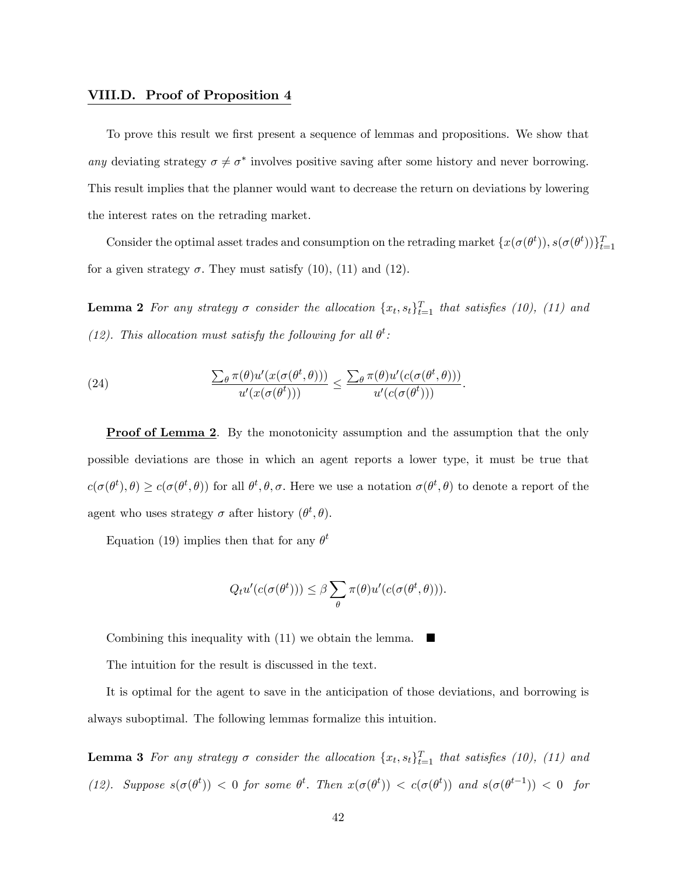#### VIII.D. Proof of Proposition 4

To prove this result we first present a sequence of lemmas and propositions. We show that any deviating strategy  $\sigma \neq \sigma^*$  involves positive saving after some history and never borrowing. This result implies that the planner would want to decrease the return on deviations by lowering the interest rates on the retrading market.

Consider the optimal asset trades and consumption on the retrading market  $\{x(\sigma(\theta^t)), s(\sigma(\theta^t))\}_{t=1}^T$ for a given strategy  $\sigma$ . They must satisfy (10), (11) and (12).

**Lemma 2** For any strategy  $\sigma$  consider the allocation  $\{x_t, s_t\}_{t=1}^T$  that satisfies (10), (11) and (12). This allocation must satisfy the following for all  $\theta^t$ :

(24) 
$$
\frac{\sum_{\theta} \pi(\theta) u'(x(\sigma(\theta^t, \theta)))}{u'(x(\sigma(\theta^t)))} \leq \frac{\sum_{\theta} \pi(\theta) u'(c(\sigma(\theta^t, \theta)))}{u'(c(\sigma(\theta^t)))}.
$$

**Proof of Lemma 2.** By the monotonicity assumption and the assumption that the only possible deviations are those in which an agent reports a lower type, it must be true that  $c(\sigma(\theta^t), \theta) \ge c(\sigma(\theta^t, \theta))$  for all  $\theta^t, \theta, \sigma$ . Here we use a notation  $\sigma(\theta^t, \theta)$  to denote a report of the agent who uses strategy  $\sigma$  after history  $(\theta^t, \theta)$ .

Equation (19) implies then that for any  $\theta^t$ 

$$
Q_t u'(c(\sigma(\theta^t))) \leq \beta \sum_{\theta} \pi(\theta) u'(c(\sigma(\theta^t, \theta))).
$$

Combining this inequality with  $(11)$  we obtain the lemma.

The intuition for the result is discussed in the text.

It is optimal for the agent to save in the anticipation of those deviations, and borrowing is always suboptimal. The following lemmas formalize this intuition.

**Lemma 3** For any strategy  $\sigma$  consider the allocation  $\{x_t, s_t\}_{t=1}^T$  that satisfies (10), (11) and (12). Suppose  $s(\sigma(\theta^t)) < 0$  for some  $\theta^t$ . Then  $x(\sigma(\theta^t)) < c(\sigma(\theta^t))$  and  $s(\sigma(\theta^{t-1})) < 0$  for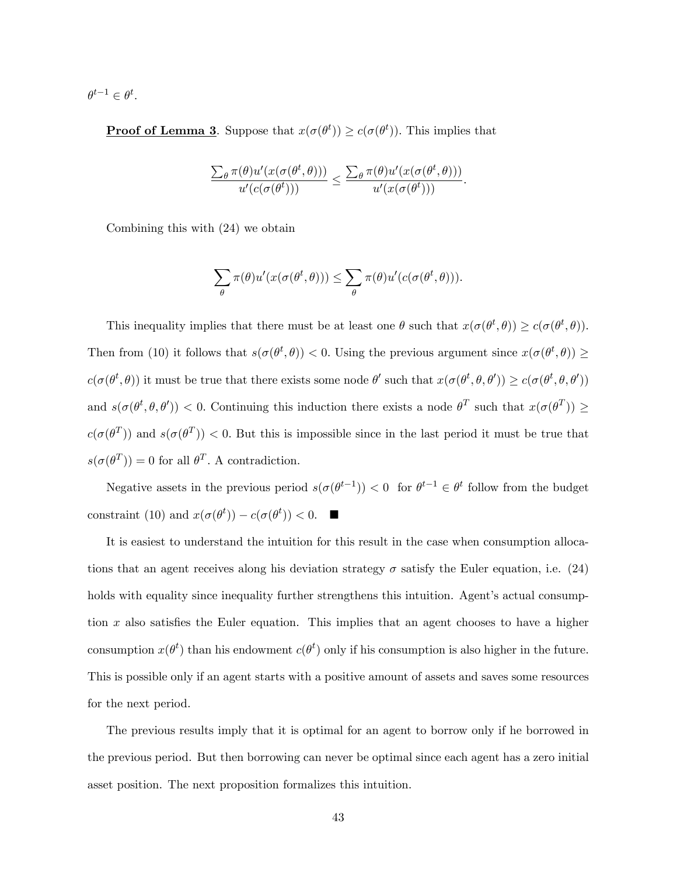$\theta^{t-1} \in \theta^t$ .

**Proof of Lemma 3**. Suppose that  $x(\sigma(\theta^t)) \ge c(\sigma(\theta^t))$ . This implies that

$$
\frac{\sum_{\theta}\pi(\theta)u'(x(\sigma(\theta^t, \theta)))}{u'(c(\sigma(\theta^t)))}\leq \frac{\sum_{\theta}\pi(\theta)u'(x(\sigma(\theta^t, \theta)))}{u'(x(\sigma(\theta^t)))}.
$$

Combining this with (24) we obtain

$$
\sum_{\theta} \pi(\theta) u'(x(\sigma(\theta^t, \theta))) \leq \sum_{\theta} \pi(\theta) u'(c(\sigma(\theta^t, \theta))).
$$

This inequality implies that there must be at least one  $\theta$  such that  $x(\sigma(\theta^t, \theta)) \ge c(\sigma(\theta^t, \theta)).$ Then from (10) it follows that  $s(\sigma(\theta^t, \theta)) < 0$ . Using the previous argument since  $x(\sigma(\theta^t, \theta)) \ge$  $c(\sigma(\theta^t, \theta))$  it must be true that there exists some node  $\theta'$  such that  $x(\sigma(\theta^t, \theta, \theta')) \ge c(\sigma(\theta^t, \theta, \theta'))$ and  $s(\sigma(\theta^t, \theta, \theta')) < 0$ . Continuing this induction there exists a node  $\theta^T$  such that  $x(\sigma(\theta^T)) \ge$  $c(\sigma(\theta^T))$  and  $s(\sigma(\theta^T))$  < 0. But this is impossible since in the last period it must be true that  $s(\sigma(\theta^T)) = 0$  for all  $\theta^T$ . A contradiction.

Negative assets in the previous period  $s(\sigma(\theta^{t-1})) < 0$  for  $\theta^{t-1} \in \theta^t$  follow from the budget constraint (10) and  $x(\sigma(\theta^t)) - c(\sigma(\theta^t)) < 0$ .

It is easiest to understand the intuition for this result in the case when consumption allocations that an agent receives along his deviation strategy  $\sigma$  satisfy the Euler equation, i.e. (24) holds with equality since inequality further strengthens this intuition. Agent's actual consumption  $x$  also satisfies the Euler equation. This implies that an agent chooses to have a higher consumption  $x(\theta^t)$  than his endowment  $c(\theta^t)$  only if his consumption is also higher in the future. This is possible only if an agent starts with a positive amount of assets and saves some resources for the next period.

The previous results imply that it is optimal for an agent to borrow only if he borrowed in the previous period. But then borrowing can never be optimal since each agent has a zero initial asset position. The next proposition formalizes this intuition.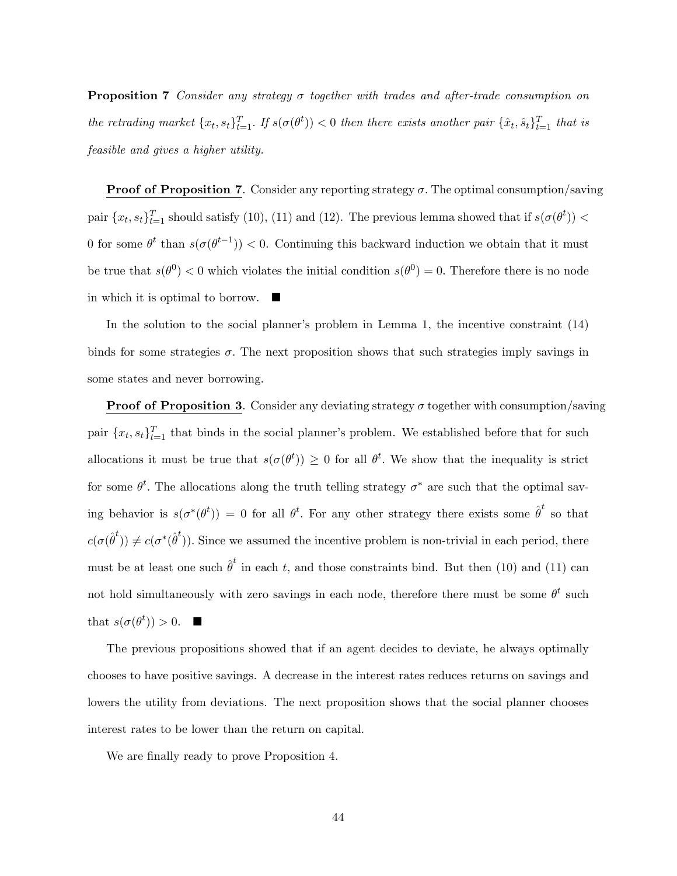**Proposition 7** Consider any strategy  $\sigma$  together with trades and after-trade consumption on the retrading market  $\{x_t, s_t\}_{t=1}^T$ . If  $s(\sigma(\theta^t)) < 0$  then there exists another pair  $\{\hat{x}_t, \hat{s}_t\}_{t=1}^T$  that is feasible and gives a higher utility.

**Proof of Proposition 7.** Consider any reporting strategy  $\sigma$ . The optimal consumption/saving pair  $\{x_t, s_t\}_{t=1}^T$  should satisfy (10), (11) and (12). The previous lemma showed that if  $s(\sigma(\theta^t))$  < 0 for some  $\theta^t$  than  $s(\sigma(\theta^{t-1}))$  < 0. Continuing this backward induction we obtain that it must be true that  $s(\theta^0) < 0$  which violates the initial condition  $s(\theta^0) = 0$ . Therefore there is no node in which it is optimal to borrow.  $\blacksquare$ 

In the solution to the social planner's problem in Lemma 1, the incentive constraint  $(14)$ binds for some strategies  $\sigma$ . The next proposition shows that such strategies imply savings in some states and never borrowing.

**Proof of Proposition 3.** Consider any deviating strategy  $\sigma$  together with consumption/saving pair  ${x_t, s_t}_{t=1}^T$  that binds in the social planner's problem. We established before that for such allocations it must be true that  $s(\sigma(\theta^t)) \geq 0$  for all  $\theta^t$ . We show that the inequality is strict for some  $\theta^t$ . The allocations along the truth telling strategy  $\sigma^*$  are such that the optimal saving behavior is  $s(\sigma^*(\theta^t)) = 0$  for all  $\theta^t$ . For any other strategy there exists some  $\hat{\theta}^t$  so that  $c(\sigma(\hat{\theta}^t)) \neq c(\sigma^*(\hat{\theta}^t))$ . Since we assumed the incentive problem is non-trivial in each period, there must be at least one such  $\hat{\theta}^t$  in each t, and those constraints bind. But then (10) and (11) can not hold simultaneously with zero savings in each node, therefore there must be some  $\theta^t$  such that  $s(\sigma(\theta^t)) > 0$ .

The previous propositions showed that if an agent decides to deviate, he always optimally chooses to have positive savings. A decrease in the interest rates reduces returns on savings and lowers the utility from deviations. The next proposition shows that the social planner chooses interest rates to be lower than the return on capital.

We are finally ready to prove Proposition 4.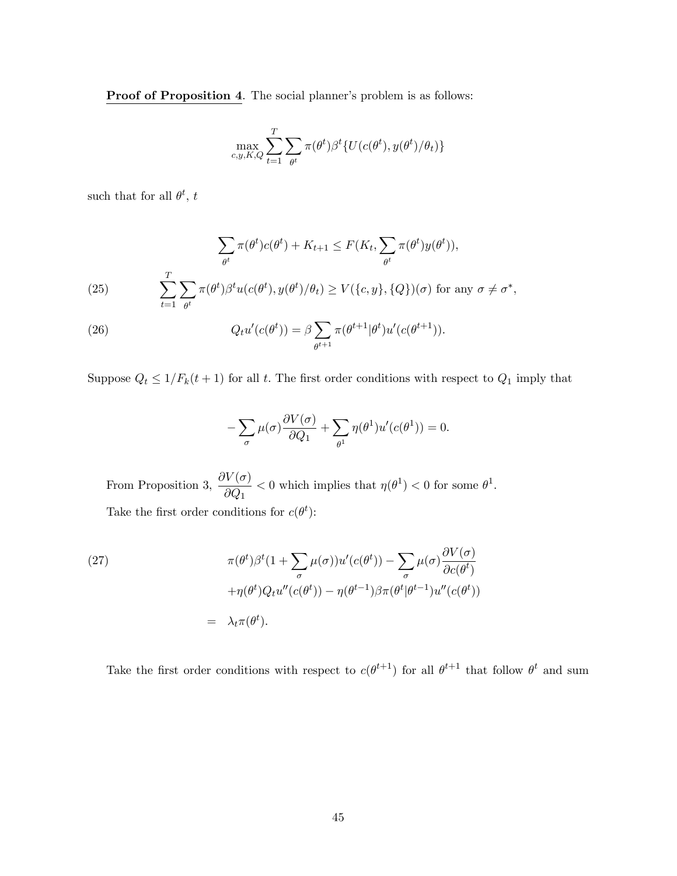Proof of Proposition 4. The social planner's problem is as follows:

$$
\max_{c,y,K,Q} \sum_{t=1}^{T} \sum_{\theta^t} \pi(\theta^t) \beta^t \{ U(c(\theta^t), y(\theta^t)/\theta_t) \}
$$

such that for all  $\theta^t$ , t

(25) 
$$
\sum_{\theta^t} \pi(\theta^t)c(\theta^t) + K_{t+1} \le F(K_t, \sum_{\theta^t} \pi(\theta^t)y(\theta^t)),
$$

$$
\sum_{t=1}^T \sum_{\theta^t} \pi(\theta^t)\beta^t u(c(\theta^t), y(\theta^t)/\theta_t) \ge V(\{c, y\}, \{Q\})(\sigma) \text{ for any } \sigma \ne \sigma^*,
$$

(26) 
$$
Q_t u'(c(\theta^t)) = \beta \sum_{\theta^{t+1}} \pi(\theta^{t+1}|\theta^t) u'(c(\theta^{t+1})).
$$

Suppose  $Q_t \leq 1/F_k(t + 1)$  for all t. The first order conditions with respect to  $Q_1$  imply that

$$
-\sum_{\sigma}\mu(\sigma)\frac{\partial V(\sigma)}{\partial Q_1} + \sum_{\theta^1}\eta(\theta^1)u'(c(\theta^1)) = 0.
$$

From Proposition 3,  $\frac{\partial V(\sigma)}{\partial \Omega}$  $\frac{\partial V(\theta)}{\partial Q_1} < 0$  which implies that  $\eta(\theta^1) < 0$  for some  $\theta^1$ . Take the first order conditions for  $c(\theta^t)$ :

(27)  
\n
$$
\pi(\theta^t)\beta^t(1+\sum_{\sigma}\mu(\sigma))u'(c(\theta^t))-\sum_{\sigma}\mu(\sigma)\frac{\partial V(\sigma)}{\partial c(\theta^t)}
$$
\n
$$
+\eta(\theta^t)Q_t u''(c(\theta^t))-\eta(\theta^{t-1})\beta\pi(\theta^t|\theta^{t-1})u''(c(\theta^t))
$$
\n
$$
=\lambda_t\pi(\theta^t).
$$

Take the first order conditions with respect to  $c(\theta^{t+1})$  for all  $\theta^{t+1}$  that follow  $\theta^t$  and sum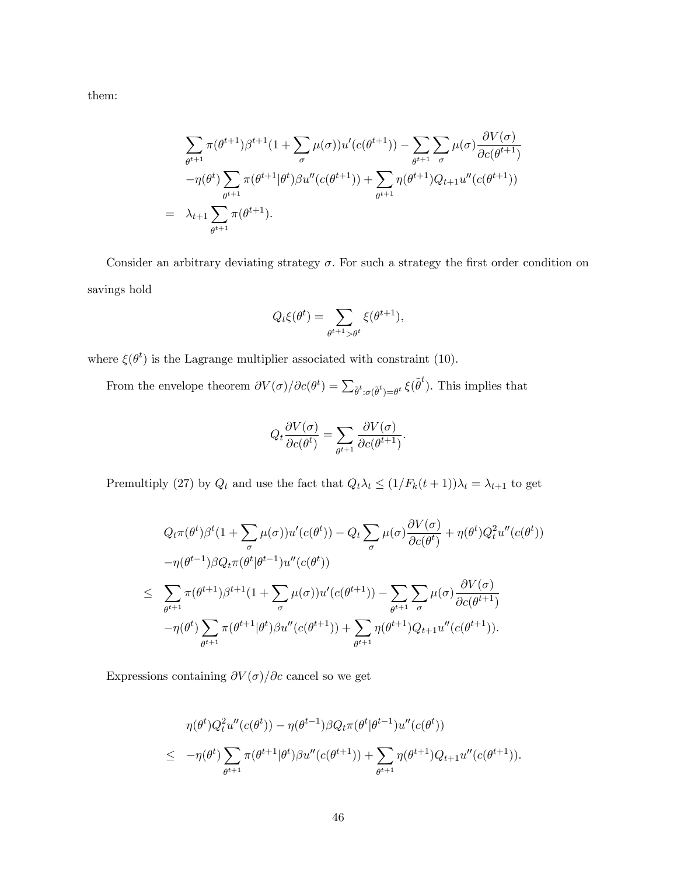them:

$$
\sum_{\theta^{t+1}} \pi(\theta^{t+1}) \beta^{t+1} (1 + \sum_{\sigma} \mu(\sigma)) u'(c(\theta^{t+1})) - \sum_{\theta^{t+1}} \sum_{\sigma} \mu(\sigma) \frac{\partial V(\sigma)}{\partial c(\theta^{t+1})}
$$

$$
- \eta(\theta^t) \sum_{\theta^{t+1}} \pi(\theta^{t+1}|\theta^t) \beta u''(c(\theta^{t+1})) + \sum_{\theta^{t+1}} \eta(\theta^{t+1}) Q_{t+1} u''(c(\theta^{t+1}))
$$

$$
= \lambda_{t+1} \sum_{\theta^{t+1}} \pi(\theta^{t+1}).
$$

Consider an arbitrary deviating strategy  $\sigma$ . For such a strategy the first order condition on savings hold

$$
Q_t \xi(\theta^t) = \sum_{\theta^{t+1} > \theta^t} \xi(\theta^{t+1}),
$$

where  $\xi(\theta^t)$  is the Lagrange multiplier associated with constraint (10).

From the envelope theorem  $\partial V(\sigma)/\partial c(\theta^t) = \sum_{\tilde{\theta}^t : \sigma(\tilde{\theta}^t) = \theta^t} \xi(\tilde{\theta}^t)$ . This implies that

$$
Q_t \frac{\partial V(\sigma)}{\partial c(\theta^t)} = \sum_{\theta^{t+1}} \frac{\partial V(\sigma)}{\partial c(\theta^{t+1})}.
$$

Premultiply (27) by  $Q_t$  and use the fact that  $Q_t\lambda_t \leq (1/F_k(t + 1))\lambda_t = \lambda_{t+1}$  to get

$$
Q_t \pi(\theta^t) \beta^t (1 + \sum_{\sigma} \mu(\sigma)) u'(c(\theta^t)) - Q_t \sum_{\sigma} \mu(\sigma) \frac{\partial V(\sigma)}{\partial c(\theta^t)} + \eta(\theta^t) Q_t^2 u''(c(\theta^t))
$$
  

$$
- \eta(\theta^{t-1}) \beta Q_t \pi(\theta^t | \theta^{t-1}) u''(c(\theta^t))
$$
  

$$
\leq \sum_{\theta^{t+1}} \pi(\theta^{t+1}) \beta^{t+1} (1 + \sum_{\sigma} \mu(\sigma)) u'(c(\theta^{t+1})) - \sum_{\theta^{t+1}} \sum_{\sigma} \mu(\sigma) \frac{\partial V(\sigma)}{\partial c(\theta^{t+1})}
$$
  

$$
- \eta(\theta^t) \sum_{\theta^{t+1}} \pi(\theta^{t+1} | \theta^t) \beta u''(c(\theta^{t+1})) + \sum_{\theta^{t+1}} \eta(\theta^{t+1}) Q_{t+1} u''(c(\theta^{t+1})).
$$

Expressions containing  $\partial V(\sigma)/\partial c$  cancel so we get

$$
\eta(\theta^t) Q_t^2 u''(c(\theta^t)) - \eta(\theta^{t-1}) \beta Q_t \pi(\theta^t | \theta^{t-1}) u''(c(\theta^t))
$$
  

$$
\leq -\eta(\theta^t) \sum_{\theta^{t+1}} \pi(\theta^{t+1} | \theta^t) \beta u''(c(\theta^{t+1})) + \sum_{\theta^{t+1}} \eta(\theta^{t+1}) Q_{t+1} u''(c(\theta^{t+1})).
$$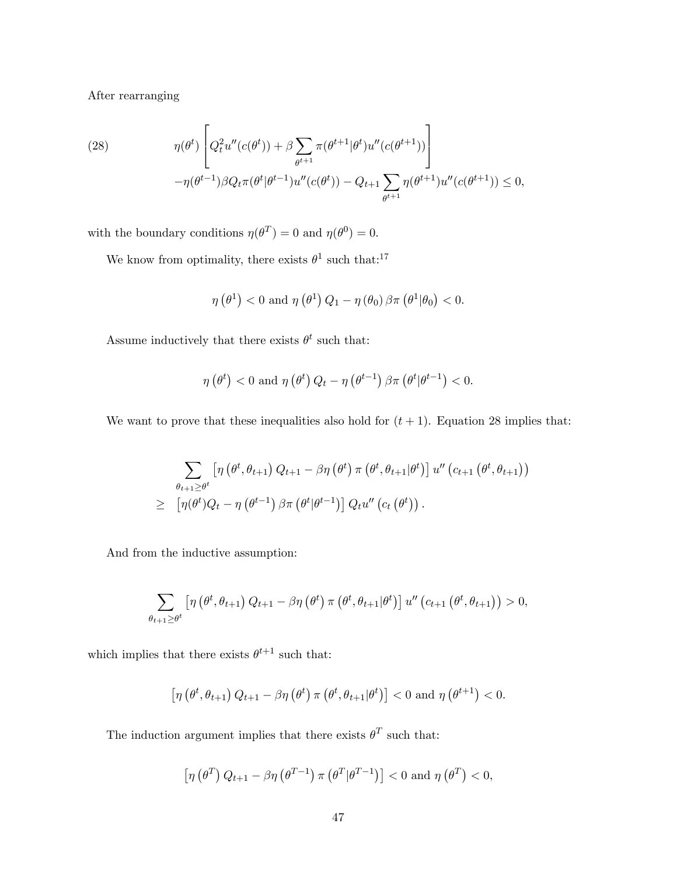After rearranging

(28) 
$$
\eta(\theta^t) \left[ Q_t^2 u''(c(\theta^t)) + \beta \sum_{\theta^{t+1}} \pi(\theta^{t+1}|\theta^t) u''(c(\theta^{t+1})) \right] - \eta(\theta^{t-1}) \beta Q_t \pi(\theta^t|\theta^{t-1}) u''(c(\theta^t)) - Q_{t+1} \sum_{\theta^{t+1}} \eta(\theta^{t+1}) u''(c(\theta^{t+1})) \le 0,
$$

with the boundary conditions  $\eta(\theta^T) = 0$  and  $\eta(\theta^0) = 0$ .

We know from optimality, there exists  $\theta^1$  such that:<sup>17</sup>

$$
\eta\left(\theta^{1}\right) < 0
$$
 and  $\eta\left(\theta^{1}\right)Q_{1} - \eta\left(\theta_{0}\right)\beta\pi\left(\theta^{1}|\theta_{0}\right) < 0$ .

Assume inductively that there exists  $\theta^t$  such that:

$$
\eta\left(\theta^{t}\right) < 0
$$
 and  $\eta\left(\theta^{t}\right)Q_{t} - \eta\left(\theta^{t-1}\right)\beta\pi\left(\theta^{t}|\theta^{t-1}\right) < 0.$ 

We want to prove that these inequalities also hold for  $(t + 1)$ . Equation 28 implies that:

$$
\sum_{\theta_{t+1}\geq\theta^{t}}\left[\eta\left(\theta^{t},\theta_{t+1}\right)Q_{t+1}-\beta\eta\left(\theta^{t}\right)\pi\left(\theta^{t},\theta_{t+1}|\theta^{t}\right)\right]u''\left(c_{t+1}\left(\theta^{t},\theta_{t+1}\right)\right) \geq \left[\eta(\theta^{t})Q_{t}-\eta\left(\theta^{t-1}\right)\beta\pi\left(\theta^{t}|\theta^{t-1}\right)\right]Q_{t}u''\left(c_{t}\left(\theta^{t}\right)\right).
$$

And from the inductive assumption:

$$
\sum_{\theta_{t+1}\geq\theta^{t}}\left[\eta\left(\theta^{t},\theta_{t+1}\right)Q_{t+1}-\beta\eta\left(\theta^{t}\right)\pi\left(\theta^{t},\theta_{t+1}|\theta^{t}\right)\right]u''\left(c_{t+1}\left(\theta^{t},\theta_{t+1}\right)\right)>0,
$$

which implies that there exists  $\theta^{t+1}$  such that:

$$
\left[\eta\left(\theta^t,\theta_{t+1}\right)Q_{t+1}-\beta\eta\left(\theta^t\right)\pi\left(\theta^t,\theta_{t+1}|\theta^t\right)\right]<0 \text{ and } \eta\left(\theta^{t+1}\right)<0.
$$

The induction argument implies that there exists  $\theta^T$  such that:

$$
\left[\eta\left(\theta^T\right)Q_{t+1} - \beta\eta\left(\theta^{T-1}\right)\pi\left(\theta^T|\theta^{T-1}\right)\right] < 0 \text{ and } \eta\left(\theta^T\right) < 0,
$$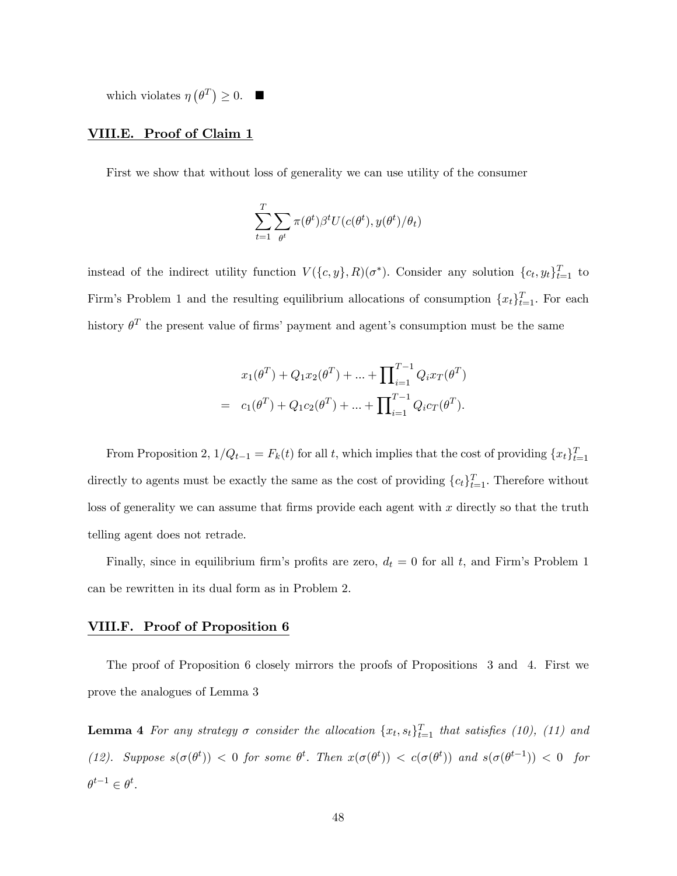which violates  $\eta\left(\theta^T\right) \geq 0$ .

## VIII.E. Proof of Claim 1

First we show that without loss of generality we can use utility of the consumer

$$
\sum_{t=1}^{T} \sum_{\theta^t} \pi(\theta^t) \beta^t U(c(\theta^t), y(\theta^t) / \theta_t)
$$

instead of the indirect utility function  $V(\lbrace c, y \rbrace, R)(\sigma^*)$ . Consider any solution  $\lbrace c_t, y_t \rbrace_{t=1}^T$  to Firm's Problem 1 and the resulting equilibrium allocations of consumption  $\{x_t\}_{t=1}^T$ . For each history  $\theta^T$  the present value of firms' payment and agent's consumption must be the same

$$
x_1(\theta^T) + Q_1 x_2(\theta^T) + \dots + \prod_{i=1}^{T-1} Q_i x_T(\theta^T)
$$
  
=  $c_1(\theta^T) + Q_1 c_2(\theta^T) + \dots + \prod_{i=1}^{T-1} Q_i c_T(\theta^T).$ 

From Proposition 2,  $1/Q_{t-1} = F_k(t)$  for all t, which implies that the cost of providing  ${x_t}_{t=1}^T$ directly to agents must be exactly the same as the cost of providing  $\{c_t\}_{t=1}^T$ . Therefore without loss of generality we can assume that firms provide each agent with  $x$  directly so that the truth telling agent does not retrade.

Finally, since in equilibrium firm's profits are zero,  $d_t = 0$  for all t, and Firm's Problem 1 can be rewritten in its dual form as in Problem 2.

## VIII.F. Proof of Proposition 6

The proof of Proposition 6 closely mirrors the proofs of Propositions 3 and 4. First we prove the analogues of Lemma 3

**Lemma 4** For any strategy  $\sigma$  consider the allocation  $\{x_t, s_t\}_{t=1}^T$  that satisfies (10), (11) and (12). Suppose  $s(\sigma(\theta^t)) < 0$  for some  $\theta^t$ . Then  $x(\sigma(\theta^t)) < c(\sigma(\theta^t))$  and  $s(\sigma(\theta^{t-1})) < 0$  for  $\theta^{t-1} \in \theta^t$ .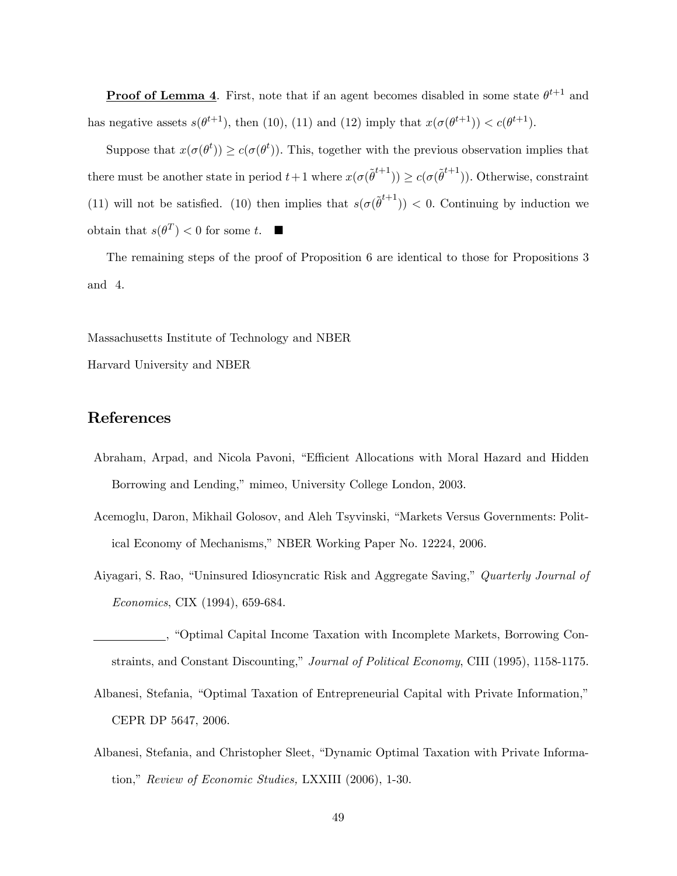**Proof of Lemma 4**. First, note that if an agent becomes disabled in some state  $\theta^{t+1}$  and has negative assets  $s(\theta^{t+1})$ , then (10), (11) and (12) imply that  $x(\sigma(\theta^{t+1})) < c(\theta^{t+1})$ .

Suppose that  $x(\sigma(\theta^t)) \ge c(\sigma(\theta^t))$ . This, together with the previous observation implies that there must be another state in period  $t+1$  where  $x(\sigma(\tilde{\theta}^{t+1})) \ge c(\sigma(\tilde{\theta}^{t+1}))$ . Otherwise, constraint (11) will not be satisfied. (10) then implies that  $s(\sigma(\tilde{\theta}^{t+1})) < 0$ . Continuing by induction we obtain that  $s(\theta^T) < 0$  for some t.  $\blacksquare$ 

The remaining steps of the proof of Proposition 6 are identical to those for Propositions 3 and 4.

Massachusetts Institute of Technology and NBER

Harvard University and NBER

## References

- Abraham, Arpad, and Nicola Pavoni, "Efficient Allocations with Moral Hazard and Hidden Borrowing and Lending," mimeo, University College London, 2003.
- Acemoglu, Daron, Mikhail Golosov, and Aleh Tsyvinski, "Markets Versus Governments: Political Economy of Mechanisms," NBER Working Paper No. 12224, 2006.
- Aiyagari, S. Rao, "Uninsured Idiosyncratic Risk and Aggregate Saving," Quarterly Journal of Economics, CIX (1994), 659-684.
- , "Optimal Capital Income Taxation with Incomplete Markets, Borrowing Constraints, and Constant Discounting," Journal of Political Economy, CIII (1995), 1158-1175.
- Albanesi, Stefania, "Optimal Taxation of Entrepreneurial Capital with Private Information," CEPR DP 5647, 2006.
- Albanesi, Stefania, and Christopher Sleet, "Dynamic Optimal Taxation with Private Information," Review of Economic Studies, LXXIII  $(2006)$ , 1-30.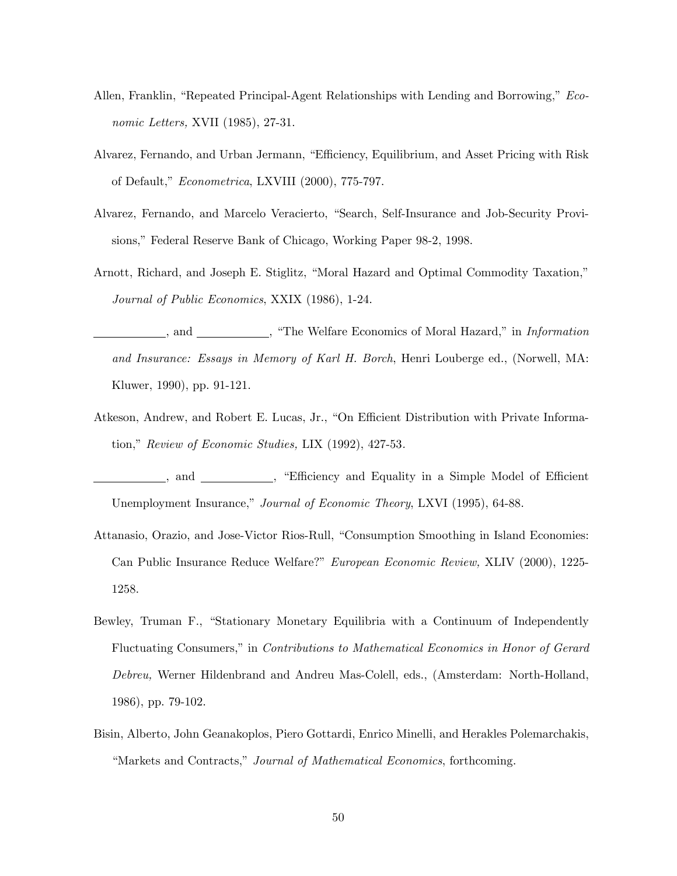- Allen, Franklin, "Repeated Principal-Agent Relationships with Lending and Borrowing," Economic Letters, XVII (1985), 27-31.
- Alvarez, Fernando, and Urban Jermann, "Efficiency, Equilibrium, and Asset Pricing with Risk of Default," Econometrica, LXVIII (2000), 775-797.
- Alvarez, Fernando, and Marcelo Veracierto, "Search, Self-Insurance and Job-Security Provisions," Federal Reserve Bank of Chicago, Working Paper 98-2, 1998.
- Arnott, Richard, and Joseph E. Stiglitz, "Moral Hazard and Optimal Commodity Taxation," Journal of Public Economics, XXIX (1986), 1-24.
- , and , "The Welfare Economics of Moral Hazard," in *Information* and Insurance: Essays in Memory of Karl H. Borch, Henri Louberge ed., (Norwell, MA: Kluwer, 1990), pp. 91-121.
- Atkeson, Andrew, and Robert E. Lucas, Jr., "On Efficient Distribution with Private Information," Review of Economic Studies, LIX (1992), 427-53.
- , and , "Efficiency and Equality in a Simple Model of Efficient Unemployment Insurance," Journal of Economic Theory, LXVI (1995), 64-88.
- Attanasio, Orazio, and Jose-Victor Rios-Rull, "Consumption Smoothing in Island Economies: Can Public Insurance Reduce Welfare?î European Economic Review, XLIV (2000), 1225- 1258.
- Bewley, Truman F., "Stationary Monetary Equilibria with a Continuum of Independently Fluctuating Consumers," in Contributions to Mathematical Economics in Honor of Gerard Debreu, Werner Hildenbrand and Andreu Mas-Colell, eds., (Amsterdam: North-Holland, 1986), pp. 79-102.
- Bisin, Alberto, John Geanakoplos, Piero Gottardi, Enrico Minelli, and Herakles Polemarchakis, "Markets and Contracts," Journal of Mathematical Economics, forthcoming.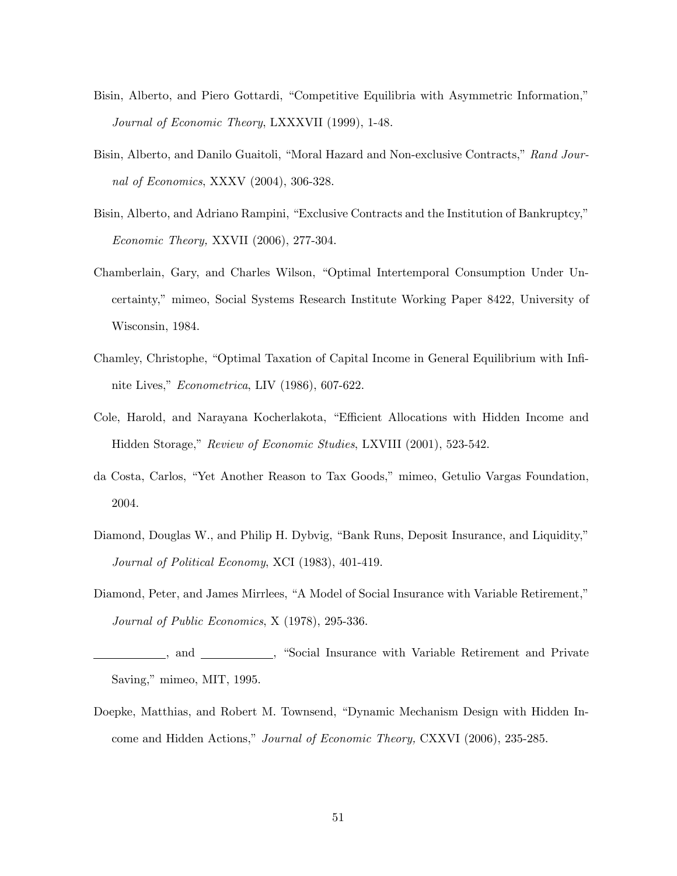- Bisin, Alberto, and Piero Gottardi, "Competitive Equilibria with Asymmetric Information," Journal of Economic Theory, LXXXVII (1999), 1-48.
- Bisin, Alberto, and Danilo Guaitoli, "Moral Hazard and Non-exclusive Contracts," Rand Journal of Economics, XXXV (2004), 306-328.
- Bisin, Alberto, and Adriano Rampini, "Exclusive Contracts and the Institution of Bankruptcy," Economic Theory, XXVII (2006), 277-304.
- Chamberlain, Gary, and Charles Wilson, "Optimal Intertemporal Consumption Under Uncertainty," mimeo, Social Systems Research Institute Working Paper 8422, University of Wisconsin, 1984.
- Chamley, Christophe, "Optimal Taxation of Capital Income in General Equilibrium with Infinite Lives,"  $Econometrica$ , LIV (1986), 607-622.
- Cole, Harold, and Narayana Kocherlakota, "Efficient Allocations with Hidden Income and Hidden Storage," Review of Economic Studies, LXVIII (2001), 523-542.
- da Costa, Carlos, "Yet Another Reason to Tax Goods," mimeo, Getulio Vargas Foundation, 2004.
- Diamond, Douglas W., and Philip H. Dybvig, "Bank Runs, Deposit Insurance, and Liquidity," Journal of Political Economy, XCI (1983), 401-419.
- Diamond, Peter, and James Mirrlees, "A Model of Social Insurance with Variable Retirement," Journal of Public Economics, X (1978), 295-336.
- , and \_\_\_\_\_\_\_\_\_\_, "Social Insurance with Variable Retirement and Private Saving," mimeo, MIT, 1995.
- Doepke, Matthias, and Robert M. Townsend, "Dynamic Mechanism Design with Hidden Income and Hidden Actions," Journal of Economic Theory, CXXVI (2006), 235-285.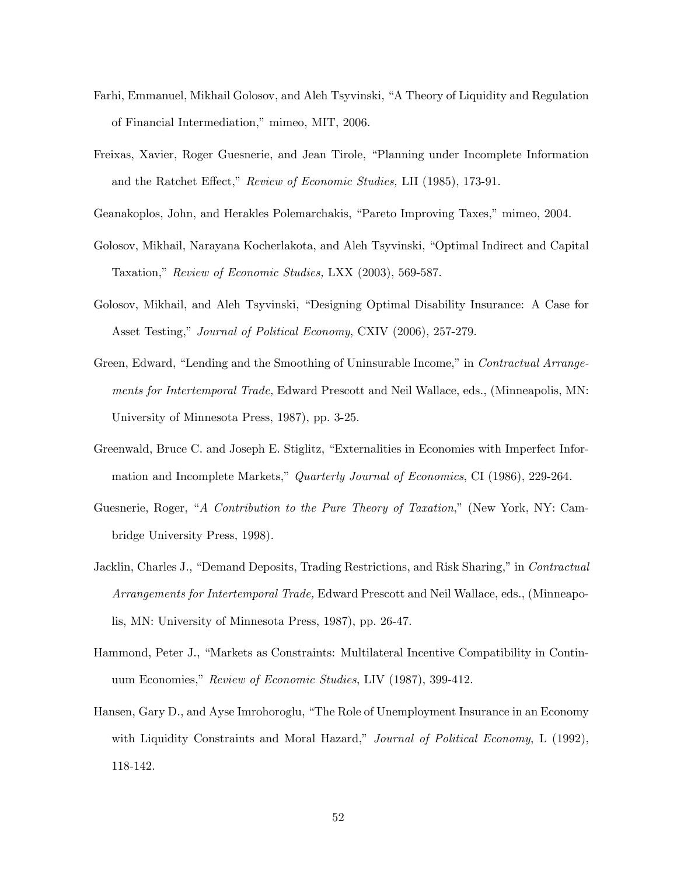- Farhi, Emmanuel, Mikhail Golosov, and Aleh Tsyvinski, "A Theory of Liquidity and Regulation of Financial Intermediation," mimeo, MIT, 2006.
- Freixas, Xavier, Roger Guesnerie, and Jean Tirole, "Planning under Incomplete Information and the Ratchet Effect," Review of Economic Studies, LII (1985), 173-91.

Geanakoplos, John, and Herakles Polemarchakis, "Pareto Improving Taxes," mimeo, 2004.

- Golosov, Mikhail, Narayana Kocherlakota, and Aleh Tsyvinski, "Optimal Indirect and Capital Taxation," Review of Economic Studies, LXX (2003), 569-587.
- Golosov, Mikhail, and Aleh Tsyvinski, "Designing Optimal Disability Insurance: A Case for Asset Testing," Journal of Political Economy, CXIV (2006), 257-279.
- Green, Edward, "Lending and the Smoothing of Uninsurable Income," in Contractual Arrangements for Intertemporal Trade, Edward Prescott and Neil Wallace, eds., (Minneapolis, MN: University of Minnesota Press, 1987), pp. 3-25.
- Greenwald, Bruce C. and Joseph E. Stiglitz, "Externalities in Economies with Imperfect Information and Incomplete Markets," Quarterly Journal of Economics, CI (1986), 229-264.
- Guesnerie, Roger, "A Contribution to the Pure Theory of Taxation," (New York, NY: Cambridge University Press, 1998).
- Jacklin, Charles J., "Demand Deposits, Trading Restrictions, and Risk Sharing," in Contractual Arrangements for Intertemporal Trade, Edward Prescott and Neil Wallace, eds., (Minneapolis, MN: University of Minnesota Press, 1987), pp. 26-47.
- Hammond, Peter J., "Markets as Constraints: Multilateral Incentive Compatibility in Continuum Economies," Review of Economic Studies, LIV (1987), 399-412.
- Hansen, Gary D., and Ayse Imrohoroglu, "The Role of Unemployment Insurance in an Economy with Liquidity Constraints and Moral Hazard," Journal of Political Economy, L  $(1992)$ , 118-142.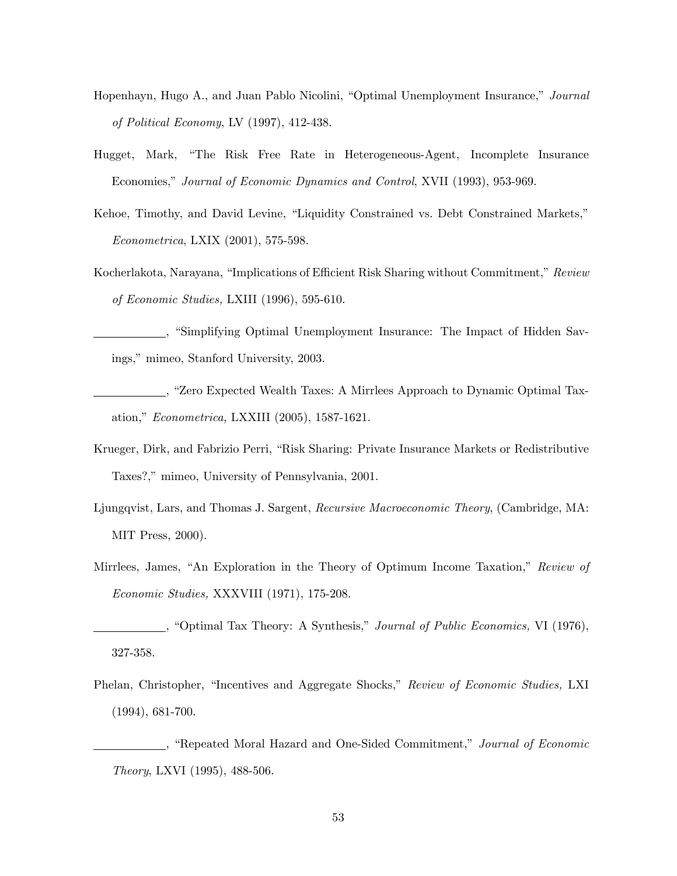- Hopenhayn, Hugo A., and Juan Pablo Nicolini, "Optimal Unemployment Insurance," Journal of Political Economy, LV (1997), 412-438.
- Hugget, Mark, "The Risk Free Rate in Heterogeneous-Agent, Incomplete Insurance Economies," Journal of Economic Dynamics and Control, XVII (1993), 953-969.
- Kehoe, Timothy, and David Levine, "Liquidity Constrained vs. Debt Constrained Markets," Econometrica, LXIX (2001), 575-598.
- Kocherlakota, Narayana, "Implications of Efficient Risk Sharing without Commitment," Review of Economic Studies, LXIII (1996), 595-610.
- , "Simplifying Optimal Unemployment Insurance: The Impact of Hidden Savings," mimeo, Stanford University, 2003.
- , "Zero Expected Wealth Taxes: A Mirrlees Approach to Dynamic Optimal Taxation," *Econometrica*, LXXIII (2005), 1587-1621.
- Krueger, Dirk, and Fabrizio Perri, "Risk Sharing: Private Insurance Markets or Redistributive Taxes?," mimeo, University of Pennsylvania, 2001.
- Ljungqvist, Lars, and Thomas J. Sargent, Recursive Macroeconomic Theory, (Cambridge, MA: MIT Press, 2000).
- Mirrlees, James, "An Exploration in the Theory of Optimum Income Taxation," Review of Economic Studies, XXXVIII (1971), 175-208.
- , "Optimal Tax Theory: A Synthesis," Journal of Public Economics, VI (1976), 327-358.
- Phelan, Christopher, "Incentives and Aggregate Shocks," Review of Economic Studies, LXI (1994), 681-700.

, "Repeated Moral Hazard and One-Sided Commitment," Journal of Economic Theory, LXVI (1995), 488-506.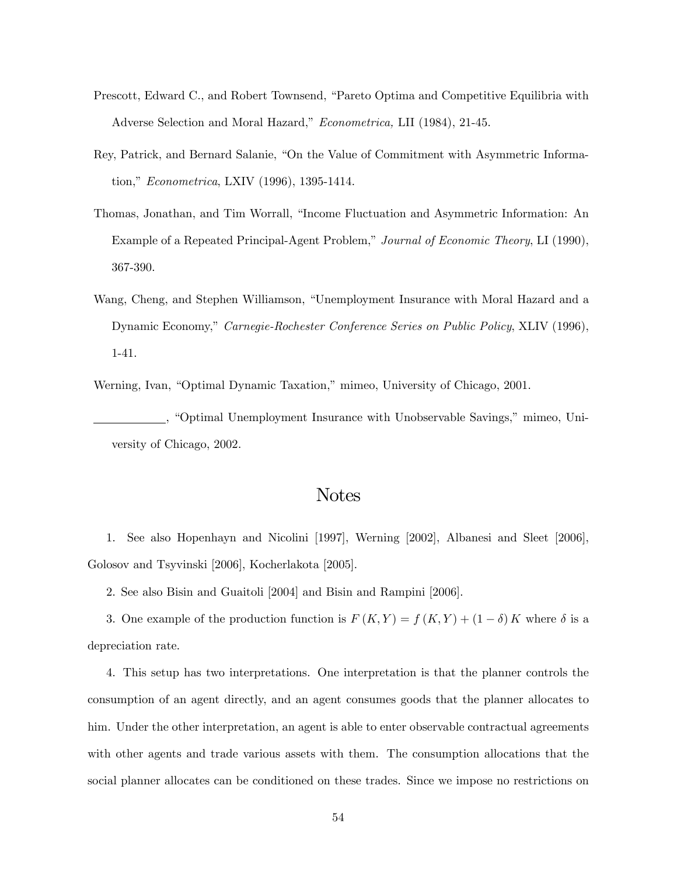- Prescott, Edward C., and Robert Townsend, "Pareto Optima and Competitive Equilibria with Adverse Selection and Moral Hazard," Econometrica, LII (1984), 21-45.
- Rey, Patrick, and Bernard Salanie, "On the Value of Commitment with Asymmetric Information," *Econometrica*, LXIV (1996), 1395-1414.
- Thomas, Jonathan, and Tim Worrall, "Income Fluctuation and Asymmetric Information: An Example of a Repeated Principal-Agent Problem," Journal of Economic Theory, LI (1990), 367-390.
- Wang, Cheng, and Stephen Williamson, "Unemployment Insurance with Moral Hazard and a Dynamic Economy," Carnegie-Rochester Conference Series on Public Policy, XLIV (1996), 1-41.

Werning, Ivan, "Optimal Dynamic Taxation," mimeo, University of Chicago, 2001.

<sub>1</sub>, "Optimal Unemployment Insurance with Unobservable Savings," mimeo, University of Chicago, 2002.

## Notes

1. See also Hopenhayn and Nicolini [1997], Werning [2002], Albanesi and Sleet [2006], Golosov and Tsyvinski [2006], Kocherlakota [2005].

2. See also Bisin and Guaitoli [2004] and Bisin and Rampini [2006].

3. One example of the production function is  $F(K,Y) = f(K,Y) + (1-\delta)K$  where  $\delta$  is a depreciation rate.

4. This setup has two interpretations. One interpretation is that the planner controls the consumption of an agent directly, and an agent consumes goods that the planner allocates to him. Under the other interpretation, an agent is able to enter observable contractual agreements with other agents and trade various assets with them. The consumption allocations that the social planner allocates can be conditioned on these trades. Since we impose no restrictions on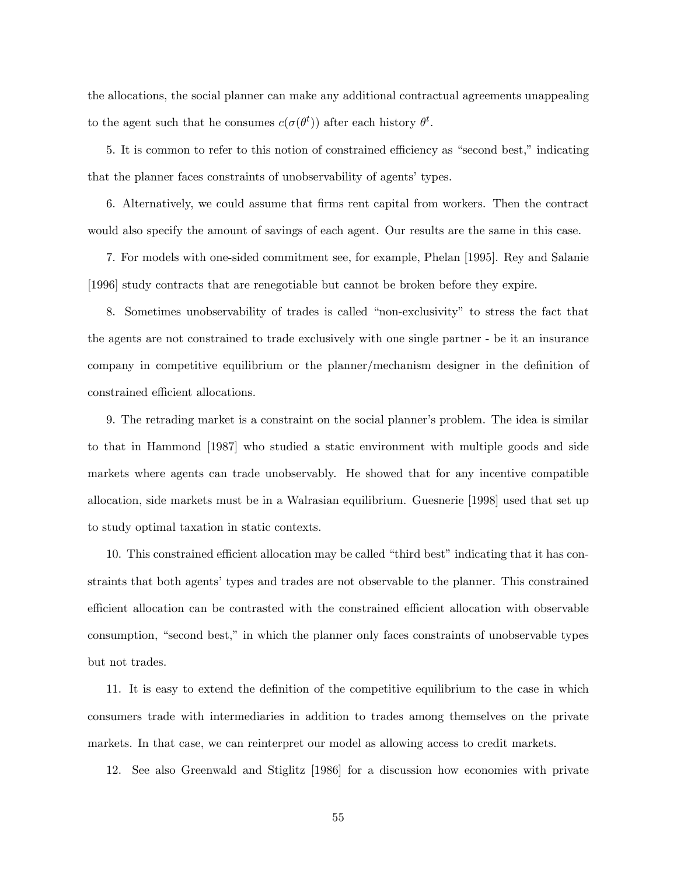the allocations, the social planner can make any additional contractual agreements unappealing to the agent such that he consumes  $c(\sigma(\theta^t))$  after each history  $\theta^t$ .

5. It is common to refer to this notion of constrained efficiency as "second best," indicating that the planner faces constraints of unobservability of agents' types.

6. Alternatively, we could assume that firms rent capital from workers. Then the contract would also specify the amount of savings of each agent. Our results are the same in this case.

7. For models with one-sided commitment see, for example, Phelan [1995]. Rey and Salanie [1996] study contracts that are renegotiable but cannot be broken before they expire.

8. Sometimes unobservability of trades is called "non-exclusivity" to stress the fact that the agents are not constrained to trade exclusively with one single partner - be it an insurance company in competitive equilibrium or the planner/mechanism designer in the definition of constrained efficient allocations.

9. The retrading market is a constraint on the social planner's problem. The idea is similar to that in Hammond [1987] who studied a static environment with multiple goods and side markets where agents can trade unobservably. He showed that for any incentive compatible allocation, side markets must be in a Walrasian equilibrium. Guesnerie [1998] used that set up to study optimal taxation in static contexts.

10. This constrained efficient allocation may be called "third best" indicating that it has constraints that both agents' types and trades are not observable to the planner. This constrained efficient allocation can be contrasted with the constrained efficient allocation with observable consumption, "second best," in which the planner only faces constraints of unobservable types but not trades.

11. It is easy to extend the definition of the competitive equilibrium to the case in which consumers trade with intermediaries in addition to trades among themselves on the private markets. In that case, we can reinterpret our model as allowing access to credit markets.

12. See also Greenwald and Stiglitz [1986] for a discussion how economies with private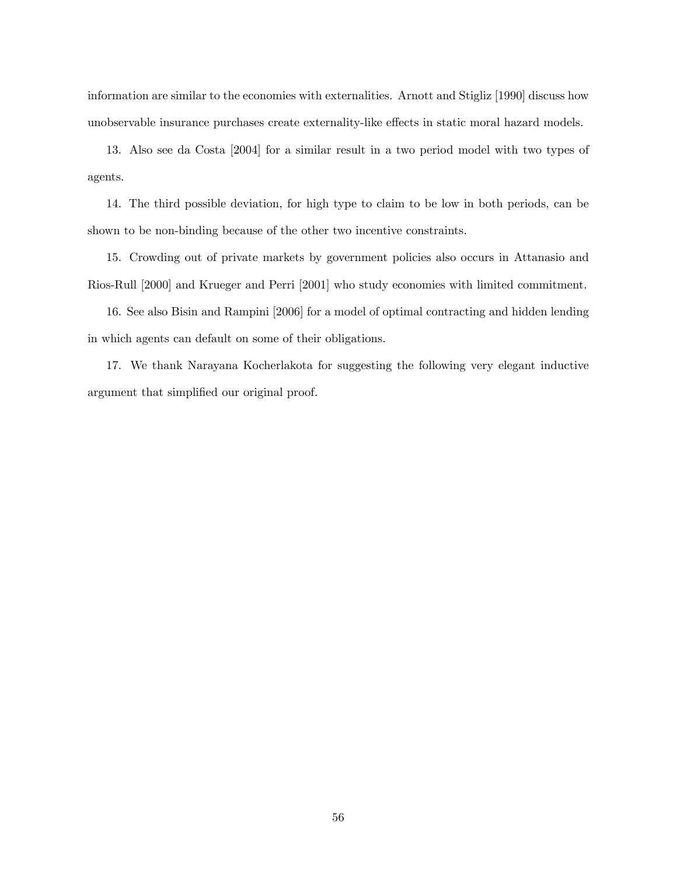information are similar to the economies with externalities. Arnott and Stigliz [1990] discuss how unobservable insurance purchases create externality-like effects in static moral hazard models.

13. Also see da Costa [2004] for a similar result in a two period model with two types of agents.

14. The third possible deviation, for high type to claim to be low in both periods, can be shown to be non-binding because of the other two incentive constraints.

15. Crowding out of private markets by government policies also occurs in Attanasio and Rios-Rull [2000] and Krueger and Perri [2001] who study economies with limited commitment.

16. See also Bisin and Rampini [2006] for a model of optimal contracting and hidden lending in which agents can default on some of their obligations.

17. We thank Narayana Kocherlakota for suggesting the following very elegant inductive argument that simplified our original proof.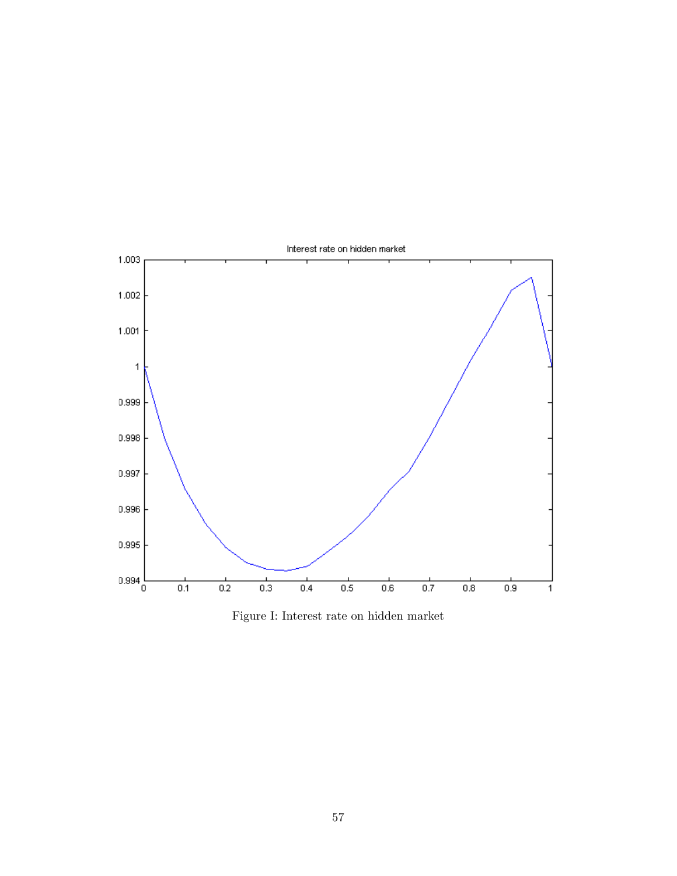

Figure I: Interest rate on hidden market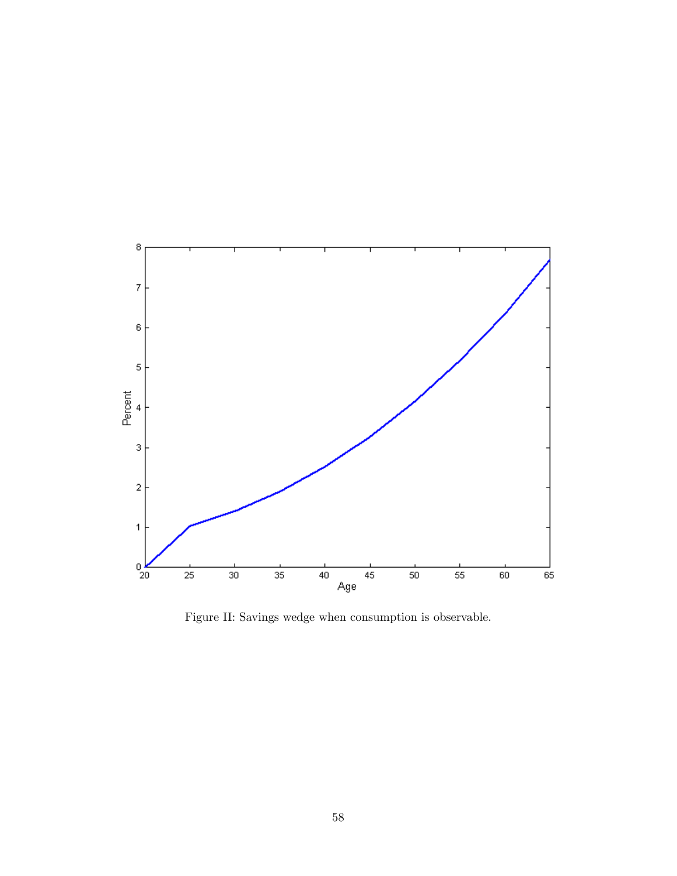

Figure II: Savings wedge when consumption is observable.